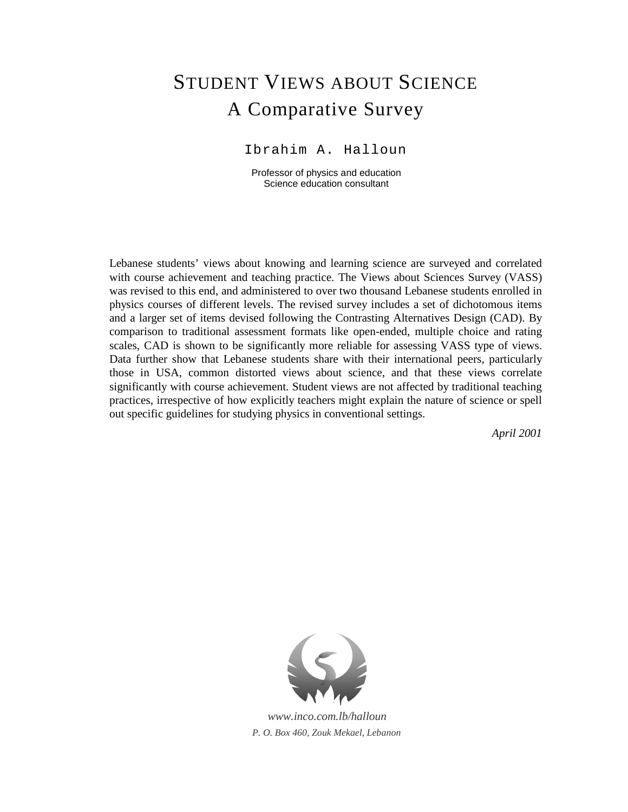# STUDENT VIEWS ABOUT SCIENCE A Comparative Survey

Ibrahim A. Halloun

Professor of physics and education Science education consultant

Lebanese students' views about knowing and learning science are surveyed and correlated with course achievement and teaching practice. The Views about Sciences Survey (VASS) was revised to this end, and administered to over two thousand Lebanese students enrolled in physics courses of different levels. The revised survey includes a set of dichotomous items and a larger set of items devised following the Contrasting Alternatives Design (CAD). By comparison to traditional assessment formats like open-ended, multiple choice and rating scales, CAD is shown to be significantly more reliable for assessing VASS type of views. Data further show that Lebanese students share with their international peers, particularly those in USA, common distorted views about science, and that these views correlate significantly with course achievement. Student views are not affected by traditional teaching practices, irrespective of how explicitly teachers might explain the nature of science or spell out specific guidelines for studying physics in conventional settings.

*April 2001*



*www.inco.com.lb/halloun P. O. Box 460, Zouk Mekael, Lebanon*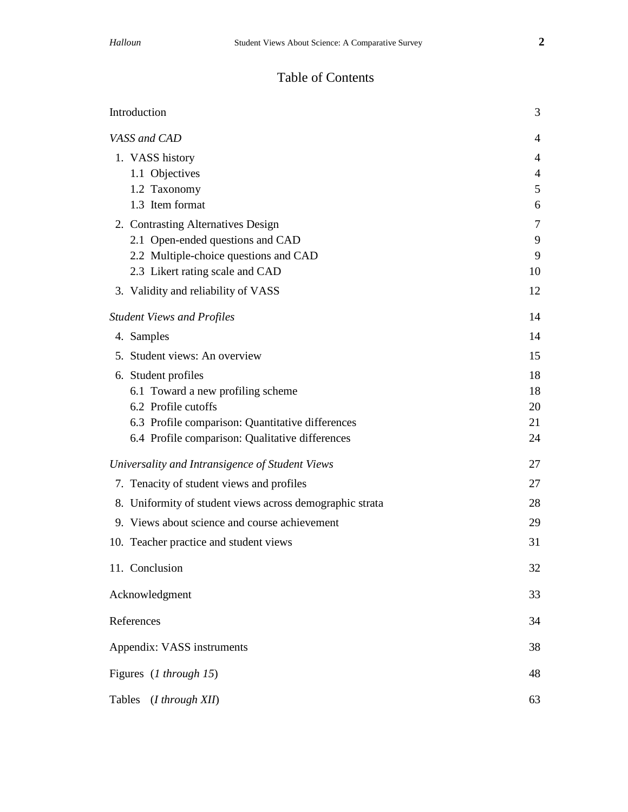# Table of Contents

| Introduction                                             | 3              |
|----------------------------------------------------------|----------------|
| VASS and CAD                                             | $\overline{4}$ |
| 1. VASS history                                          | 4              |
| 1.1 Objectives                                           | 4              |
| 1.2 Taxonomy                                             | 5              |
| 1.3 Item format                                          | 6              |
| 2. Contrasting Alternatives Design                       | 7              |
| 2.1 Open-ended questions and CAD                         | 9              |
| 2.2 Multiple-choice questions and CAD                    | 9              |
| 2.3 Likert rating scale and CAD                          | 10             |
| 3. Validity and reliability of VASS                      | 12             |
| <b>Student Views and Profiles</b>                        | 14             |
| 4. Samples                                               | 14             |
| 5. Student views: An overview                            | 15             |
| 6. Student profiles                                      | 18             |
| 6.1 Toward a new profiling scheme                        | 18             |
| 6.2 Profile cutoffs                                      | 20             |
| 6.3 Profile comparison: Quantitative differences         | 21             |
| 6.4 Profile comparison: Qualitative differences          | 24             |
| Universality and Intransigence of Student Views          | 27             |
| 7. Tenacity of student views and profiles                | 27             |
| 8. Uniformity of student views across demographic strata | 28             |
| 9. Views about science and course achievement            | 29             |
| 10. Teacher practice and student views                   | 31             |
| 11. Conclusion                                           | 32             |
| Acknowledgment                                           | 33             |
| References                                               | 34             |
| Appendix: VASS instruments                               | 38             |
| Figures (1 through 15)                                   | 48             |
| Tables<br>(I through XII)                                | 63             |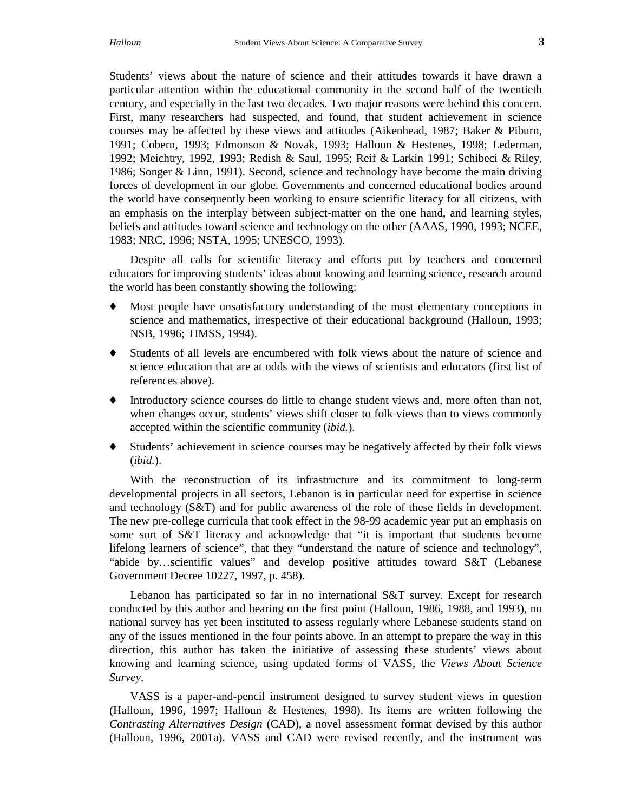Students' views about the nature of science and their attitudes towards it have drawn a particular attention within the educational community in the second half of the twentieth century, and especially in the last two decades. Two major reasons were behind this concern. First, many researchers had suspected, and found, that student achievement in science courses may be affected by these views and attitudes (Aikenhead, 1987; Baker & Piburn, 1991; Cobern, 1993; Edmonson & Novak, 1993; Halloun & Hestenes, 1998; Lederman, 1992; Meichtry, 1992, 1993; Redish & Saul, 1995; Reif & Larkin 1991; Schibeci & Riley, 1986; Songer & Linn, 1991). Second, science and technology have become the main driving forces of development in our globe. Governments and concerned educational bodies around the world have consequently been working to ensure scientific literacy for all citizens, with an emphasis on the interplay between subject-matter on the one hand, and learning styles, beliefs and attitudes toward science and technology on the other (AAAS, 1990, 1993; NCEE, 1983; NRC, 1996; NSTA, 1995; UNESCO, 1993).

Despite all calls for scientific literacy and efforts put by teachers and concerned educators for improving students' ideas about knowing and learning science, research around the world has been constantly showing the following:

- Most people have unsatisfactory understanding of the most elementary conceptions in science and mathematics, irrespective of their educational background (Halloun, 1993; NSB, 1996; TIMSS, 1994).
- Students of all levels are encumbered with folk views about the nature of science and science education that are at odds with the views of scientists and educators (first list of references above).
- ♦ Introductory science courses do little to change student views and, more often than not, when changes occur, students' views shift closer to folk views than to views commonly accepted within the scientific community (*ibid.*).
- ♦ Students' achievement in science courses may be negatively affected by their folk views (*ibid.*).

With the reconstruction of its infrastructure and its commitment to long-term developmental projects in all sectors, Lebanon is in particular need for expertise in science and technology (S&T) and for public awareness of the role of these fields in development. The new pre-college curricula that took effect in the 98-99 academic year put an emphasis on some sort of S&T literacy and acknowledge that "it is important that students become lifelong learners of science", that they "understand the nature of science and technology", "abide by…scientific values" and develop positive attitudes toward S&T (Lebanese Government Decree 10227, 1997, p. 458).

Lebanon has participated so far in no international S&T survey. Except for research conducted by this author and bearing on the first point (Halloun, 1986, 1988, and 1993), no national survey has yet been instituted to assess regularly where Lebanese students stand on any of the issues mentioned in the four points above. In an attempt to prepare the way in this direction, this author has taken the initiative of assessing these students' views about knowing and learning science, using updated forms of VASS, the *Views About Science Survey*.

VASS is a paper-and-pencil instrument designed to survey student views in question (Halloun, 1996, 1997; Halloun & Hestenes, 1998). Its items are written following the *Contrasting Alternatives Design* (CAD), a novel assessment format devised by this author (Halloun, 1996, 2001a). VASS and CAD were revised recently, and the instrument was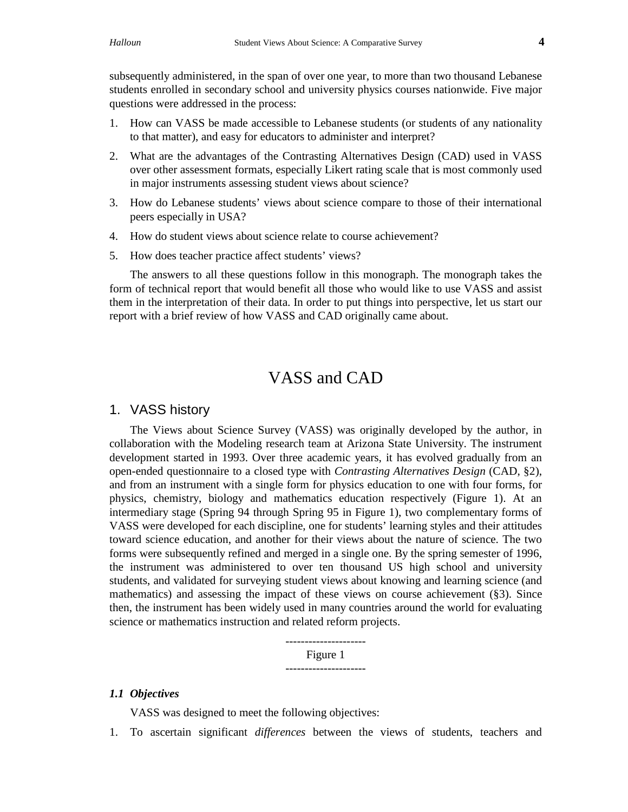subsequently administered, in the span of over one year, to more than two thousand Lebanese students enrolled in secondary school and university physics courses nationwide. Five major questions were addressed in the process:

- 1. How can VASS be made accessible to Lebanese students (or students of any nationality to that matter), and easy for educators to administer and interpret?
- 2. What are the advantages of the Contrasting Alternatives Design (CAD) used in VASS over other assessment formats, especially Likert rating scale that is most commonly used in major instruments assessing student views about science?
- 3. How do Lebanese students' views about science compare to those of their international peers especially in USA?
- 4. How do student views about science relate to course achievement?
- 5. How does teacher practice affect students' views?

The answers to all these questions follow in this monograph. The monograph takes the form of technical report that would benefit all those who would like to use VASS and assist them in the interpretation of their data. In order to put things into perspective, let us start our report with a brief review of how VASS and CAD originally came about.

# VASS and CAD

## 1. VASS history

The Views about Science Survey (VASS) was originally developed by the author, in collaboration with the Modeling research team at Arizona State University. The instrument development started in 1993. Over three academic years, it has evolved gradually from an open-ended questionnaire to a closed type with *Contrasting Alternatives Design* (CAD, §2), and from an instrument with a single form for physics education to one with four forms, for physics, chemistry, biology and mathematics education respectively (Figure 1). At an intermediary stage (Spring 94 through Spring 95 in Figure 1), two complementary forms of VASS were developed for each discipline, one for students' learning styles and their attitudes toward science education, and another for their views about the nature of science. The two forms were subsequently refined and merged in a single one. By the spring semester of 1996, the instrument was administered to over ten thousand US high school and university students, and validated for surveying student views about knowing and learning science (and mathematics) and assessing the impact of these views on course achievement (§3). Since then, the instrument has been widely used in many countries around the world for evaluating science or mathematics instruction and related reform projects.

> --------------------- Figure 1 ---------------------

#### *1.1 Objectives*

VASS was designed to meet the following objectives:

1. To ascertain significant *differences* between the views of students, teachers and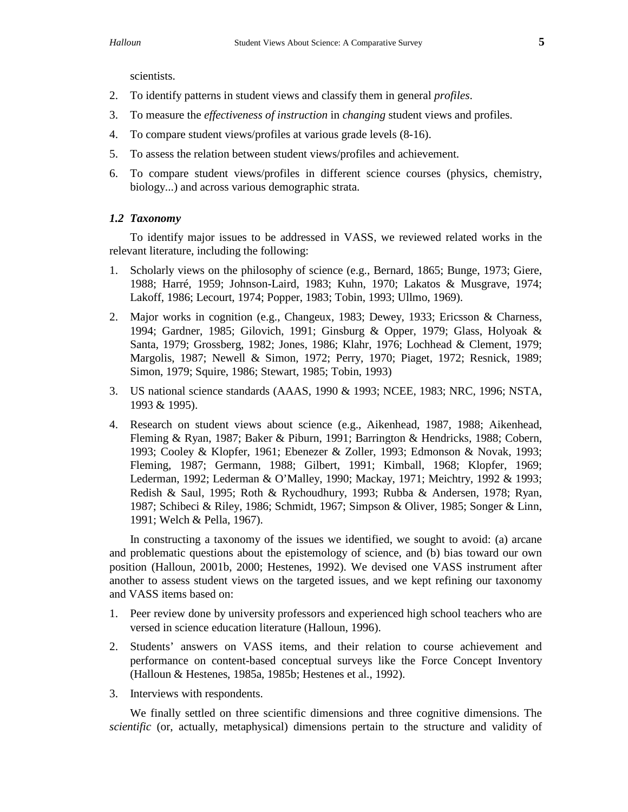scientists.

- 2. To identify patterns in student views and classify them in general *profiles*.
- 3. To measure the *effectiveness of instruction* in *changing* student views and profiles.
- 4. To compare student views/profiles at various grade levels (8-16).
- 5. To assess the relation between student views/profiles and achievement.
- 6. To compare student views/profiles in different science courses (physics, chemistry, biology...) and across various demographic strata.

#### *1.2 Taxonomy*

To identify major issues to be addressed in VASS, we reviewed related works in the relevant literature, including the following:

- 1. Scholarly views on the philosophy of science (e.g., Bernard, 1865; Bunge, 1973; Giere, 1988; Harré, 1959; Johnson-Laird, 1983; Kuhn, 1970; Lakatos & Musgrave, 1974; Lakoff, 1986; Lecourt, 1974; Popper, 1983; Tobin, 1993; Ullmo, 1969).
- 2. Major works in cognition (e.g., Changeux, 1983; Dewey, 1933; Ericsson & Charness, 1994; Gardner, 1985; Gilovich, 1991; Ginsburg & Opper, 1979; Glass, Holyoak & Santa, 1979; Grossberg, 1982; Jones, 1986; Klahr, 1976; Lochhead & Clement, 1979; Margolis, 1987; Newell & Simon, 1972; Perry, 1970; Piaget, 1972; Resnick, 1989; Simon, 1979; Squire, 1986; Stewart, 1985; Tobin, 1993)
- 3. US national science standards (AAAS, 1990 & 1993; NCEE, 1983; NRC, 1996; NSTA, 1993 & 1995).
- 4. Research on student views about science (e.g., Aikenhead, 1987, 1988; Aikenhead, Fleming & Ryan, 1987; Baker & Piburn, 1991; Barrington & Hendricks, 1988; Cobern, 1993; Cooley & Klopfer, 1961; Ebenezer & Zoller, 1993; Edmonson & Novak, 1993; Fleming, 1987; Germann, 1988; Gilbert, 1991; Kimball, 1968; Klopfer, 1969; Lederman, 1992; Lederman & O'Malley, 1990; Mackay, 1971; Meichtry, 1992 & 1993; Redish & Saul, 1995; Roth & Rychoudhury, 1993; Rubba & Andersen, 1978; Ryan, 1987; Schibeci & Riley, 1986; Schmidt, 1967; Simpson & Oliver, 1985; Songer & Linn, 1991; Welch & Pella, 1967).

In constructing a taxonomy of the issues we identified, we sought to avoid: (a) arcane and problematic questions about the epistemology of science, and (b) bias toward our own position (Halloun, 2001b, 2000; Hestenes, 1992). We devised one VASS instrument after another to assess student views on the targeted issues, and we kept refining our taxonomy and VASS items based on:

- 1. Peer review done by university professors and experienced high school teachers who are versed in science education literature (Halloun, 1996).
- 2. Students' answers on VASS items, and their relation to course achievement and performance on content-based conceptual surveys like the Force Concept Inventory (Halloun & Hestenes, 1985a, 1985b; Hestenes et al., 1992).
- 3. Interviews with respondents.

We finally settled on three scientific dimensions and three cognitive dimensions. The *scientific* (or, actually, metaphysical) dimensions pertain to the structure and validity of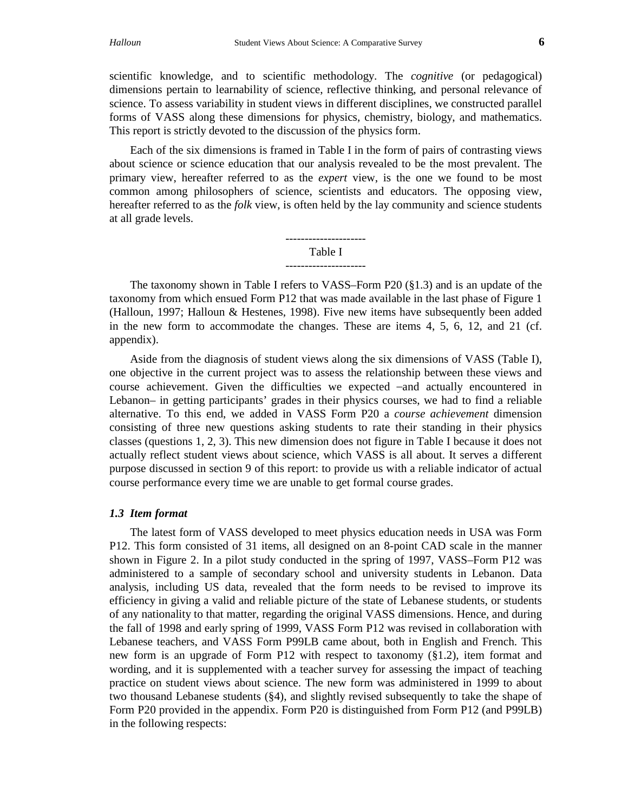scientific knowledge, and to scientific methodology. The *cognitive* (or pedagogical) dimensions pertain to learnability of science, reflective thinking, and personal relevance of science. To assess variability in student views in different disciplines, we constructed parallel forms of VASS along these dimensions for physics, chemistry, biology, and mathematics. This report is strictly devoted to the discussion of the physics form.

Each of the six dimensions is framed in Table I in the form of pairs of contrasting views about science or science education that our analysis revealed to be the most prevalent. The primary view, hereafter referred to as the *expert* view, is the one we found to be most common among philosophers of science, scientists and educators. The opposing view, hereafter referred to as the *folk* view, is often held by the lay community and science students at all grade levels.

> --------------------- Table I ---------------------

The taxonomy shown in Table I refers to VASS–Form P20 (§1.3) and is an update of the taxonomy from which ensued Form P12 that was made available in the last phase of Figure 1 (Halloun, 1997; Halloun & Hestenes, 1998). Five new items have subsequently been added in the new form to accommodate the changes. These are items 4, 5, 6, 12, and 21 (cf. appendix).

Aside from the diagnosis of student views along the six dimensions of VASS (Table I), one objective in the current project was to assess the relationship between these views and course achievement. Given the difficulties we expected –and actually encountered in Lebanon– in getting participants' grades in their physics courses, we had to find a reliable alternative. To this end, we added in VASS Form P20 a *course achievement* dimension consisting of three new questions asking students to rate their standing in their physics classes (questions 1, 2, 3). This new dimension does not figure in Table I because it does not actually reflect student views about science, which VASS is all about. It serves a different purpose discussed in section 9 of this report: to provide us with a reliable indicator of actual course performance every time we are unable to get formal course grades.

#### *1.3 Item format*

The latest form of VASS developed to meet physics education needs in USA was Form P12. This form consisted of 31 items, all designed on an 8-point CAD scale in the manner shown in Figure 2. In a pilot study conducted in the spring of 1997, VASS–Form P12 was administered to a sample of secondary school and university students in Lebanon. Data analysis, including US data, revealed that the form needs to be revised to improve its efficiency in giving a valid and reliable picture of the state of Lebanese students, or students of any nationality to that matter, regarding the original VASS dimensions. Hence, and during the fall of 1998 and early spring of 1999, VASS Form P12 was revised in collaboration with Lebanese teachers, and VASS Form P99LB came about, both in English and French. This new form is an upgrade of Form P12 with respect to taxonomy (§1.2), item format and wording, and it is supplemented with a teacher survey for assessing the impact of teaching practice on student views about science. The new form was administered in 1999 to about two thousand Lebanese students (§4), and slightly revised subsequently to take the shape of Form P20 provided in the appendix. Form P20 is distinguished from Form P12 (and P99LB) in the following respects: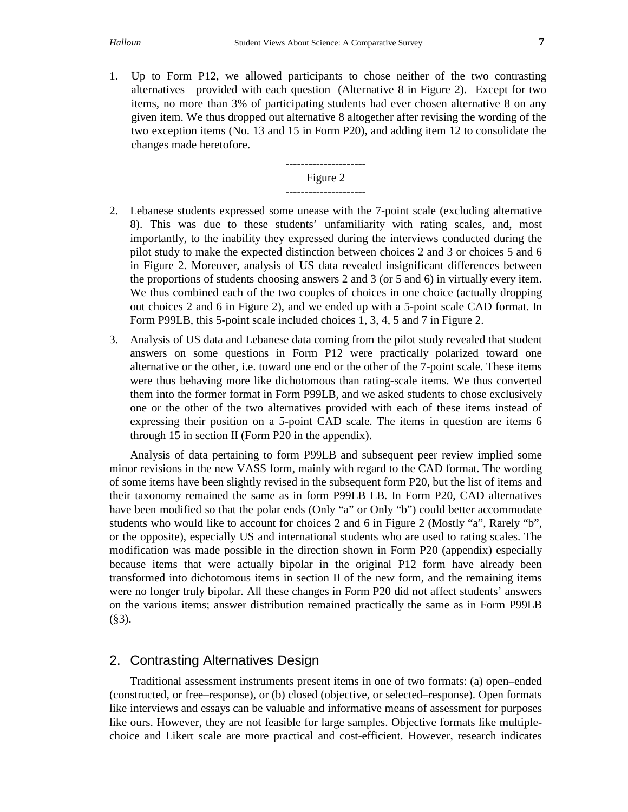1. Up to Form P12, we allowed participants to chose neither of the two contrasting alternatives provided with each question (Alternative 8 in Figure 2). Except for two items, no more than 3% of participating students had ever chosen alternative 8 on any given item. We thus dropped out alternative 8 altogether after revising the wording of the two exception items (No. 13 and 15 in Form P20), and adding item 12 to consolidate the changes made heretofore.



- 2. Lebanese students expressed some unease with the 7-point scale (excluding alternative 8). This was due to these students' unfamiliarity with rating scales, and, most importantly, to the inability they expressed during the interviews conducted during the pilot study to make the expected distinction between choices 2 and 3 or choices 5 and 6 in Figure 2. Moreover, analysis of US data revealed insignificant differences between the proportions of students choosing answers 2 and 3 (or 5 and 6) in virtually every item. We thus combined each of the two couples of choices in one choice (actually dropping out choices 2 and 6 in Figure 2), and we ended up with a 5-point scale CAD format. In Form P99LB, this 5-point scale included choices 1, 3, 4, 5 and 7 in Figure 2.
- 3. Analysis of US data and Lebanese data coming from the pilot study revealed that student answers on some questions in Form P12 were practically polarized toward one alternative or the other, i.e. toward one end or the other of the 7-point scale. These items were thus behaving more like dichotomous than rating-scale items. We thus converted them into the former format in Form P99LB, and we asked students to chose exclusively one or the other of the two alternatives provided with each of these items instead of expressing their position on a 5-point CAD scale. The items in question are items 6 through 15 in section II (Form P20 in the appendix).

Analysis of data pertaining to form P99LB and subsequent peer review implied some minor revisions in the new VASS form, mainly with regard to the CAD format. The wording of some items have been slightly revised in the subsequent form P20, but the list of items and their taxonomy remained the same as in form P99LB LB. In Form P20, CAD alternatives have been modified so that the polar ends (Only "a" or Only "b") could better accommodate students who would like to account for choices 2 and 6 in Figure 2 (Mostly "a", Rarely "b", or the opposite), especially US and international students who are used to rating scales. The modification was made possible in the direction shown in Form P20 (appendix) especially because items that were actually bipolar in the original P12 form have already been transformed into dichotomous items in section II of the new form, and the remaining items were no longer truly bipolar. All these changes in Form P20 did not affect students' answers on the various items; answer distribution remained practically the same as in Form P99LB  $(\$3)$ .

## 2. Contrasting Alternatives Design

Traditional assessment instruments present items in one of two formats: (a) open–ended (constructed, or free–response), or (b) closed (objective, or selected–response). Open formats like interviews and essays can be valuable and informative means of assessment for purposes like ours. However, they are not feasible for large samples. Objective formats like multiplechoice and Likert scale are more practical and cost-efficient. However, research indicates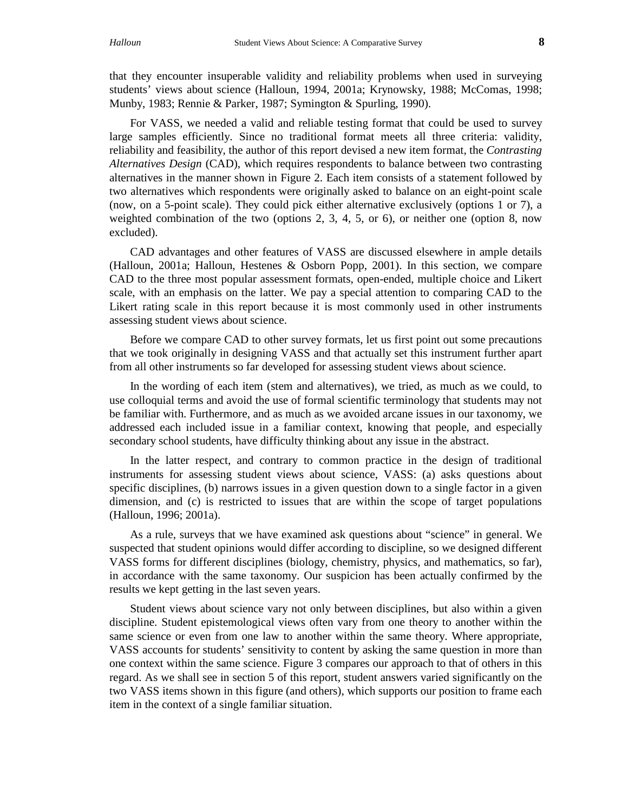that they encounter insuperable validity and reliability problems when used in surveying students' views about science (Halloun, 1994, 2001a; Krynowsky, 1988; McComas, 1998; Munby, 1983; Rennie & Parker, 1987; Symington & Spurling, 1990).

For VASS, we needed a valid and reliable testing format that could be used to survey large samples efficiently. Since no traditional format meets all three criteria: validity, reliability and feasibility, the author of this report devised a new item format, the *Contrasting Alternatives Design* (CAD), which requires respondents to balance between two contrasting alternatives in the manner shown in Figure 2. Each item consists of a statement followed by two alternatives which respondents were originally asked to balance on an eight-point scale (now, on a 5-point scale). They could pick either alternative exclusively (options 1 or 7), a weighted combination of the two (options 2, 3, 4, 5, or 6), or neither one (option 8, now excluded).

CAD advantages and other features of VASS are discussed elsewhere in ample details (Halloun, 2001a; Halloun, Hestenes & Osborn Popp, 2001). In this section, we compare CAD to the three most popular assessment formats, open-ended, multiple choice and Likert scale, with an emphasis on the latter. We pay a special attention to comparing CAD to the Likert rating scale in this report because it is most commonly used in other instruments assessing student views about science.

Before we compare CAD to other survey formats, let us first point out some precautions that we took originally in designing VASS and that actually set this instrument further apart from all other instruments so far developed for assessing student views about science.

In the wording of each item (stem and alternatives), we tried, as much as we could, to use colloquial terms and avoid the use of formal scientific terminology that students may not be familiar with. Furthermore, and as much as we avoided arcane issues in our taxonomy, we addressed each included issue in a familiar context, knowing that people, and especially secondary school students, have difficulty thinking about any issue in the abstract.

In the latter respect, and contrary to common practice in the design of traditional instruments for assessing student views about science, VASS: (a) asks questions about specific disciplines, (b) narrows issues in a given question down to a single factor in a given dimension, and (c) is restricted to issues that are within the scope of target populations (Halloun, 1996; 2001a).

As a rule, surveys that we have examined ask questions about "science" in general. We suspected that student opinions would differ according to discipline, so we designed different VASS forms for different disciplines (biology, chemistry, physics, and mathematics, so far), in accordance with the same taxonomy. Our suspicion has been actually confirmed by the results we kept getting in the last seven years.

Student views about science vary not only between disciplines, but also within a given discipline. Student epistemological views often vary from one theory to another within the same science or even from one law to another within the same theory. Where appropriate, VASS accounts for students' sensitivity to content by asking the same question in more than one context within the same science. Figure 3 compares our approach to that of others in this regard. As we shall see in section 5 of this report, student answers varied significantly on the two VASS items shown in this figure (and others), which supports our position to frame each item in the context of a single familiar situation.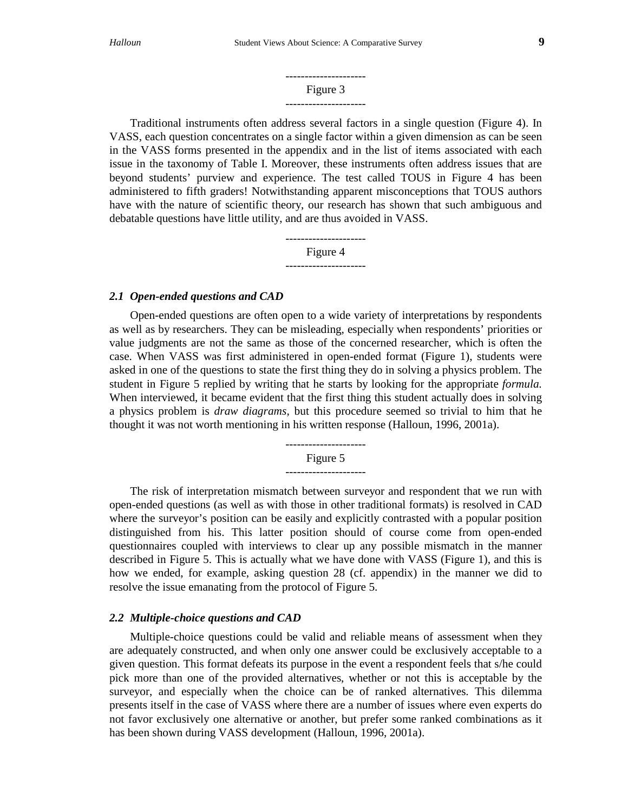#### --------------------- Figure 3 ---------------------

Traditional instruments often address several factors in a single question (Figure 4). In VASS, each question concentrates on a single factor within a given dimension as can be seen in the VASS forms presented in the appendix and in the list of items associated with each issue in the taxonomy of Table I. Moreover, these instruments often address issues that are beyond students' purview and experience. The test called TOUS in Figure 4 has been administered to fifth graders! Notwithstanding apparent misconceptions that TOUS authors have with the nature of scientific theory, our research has shown that such ambiguous and debatable questions have little utility, and are thus avoided in VASS.



#### *2.1 Open-ended questions and CAD*

Open-ended questions are often open to a wide variety of interpretations by respondents as well as by researchers. They can be misleading, especially when respondents' priorities or value judgments are not the same as those of the concerned researcher, which is often the case. When VASS was first administered in open-ended format (Figure 1), students were asked in one of the questions to state the first thing they do in solving a physics problem. The student in Figure 5 replied by writing that he starts by looking for the appropriate *formula.* When interviewed, it became evident that the first thing this student actually does in solving a physics problem is *draw diagrams*, but this procedure seemed so trivial to him that he thought it was not worth mentioning in his written response (Halloun, 1996, 2001a).

> --------------------- Figure 5 ---------------------

The risk of interpretation mismatch between surveyor and respondent that we run with open-ended questions (as well as with those in other traditional formats) is resolved in CAD where the surveyor's position can be easily and explicitly contrasted with a popular position distinguished from his. This latter position should of course come from open-ended questionnaires coupled with interviews to clear up any possible mismatch in the manner described in Figure 5. This is actually what we have done with VASS (Figure 1), and this is how we ended, for example, asking question 28 (cf. appendix) in the manner we did to resolve the issue emanating from the protocol of Figure 5.

#### *2.2 Multiple-choice questions and CAD*

Multiple-choice questions could be valid and reliable means of assessment when they are adequately constructed, and when only one answer could be exclusively acceptable to a given question. This format defeats its purpose in the event a respondent feels that s/he could pick more than one of the provided alternatives, whether or not this is acceptable by the surveyor, and especially when the choice can be of ranked alternatives. This dilemma presents itself in the case of VASS where there are a number of issues where even experts do not favor exclusively one alternative or another, but prefer some ranked combinations as it has been shown during VASS development (Halloun, 1996, 2001a).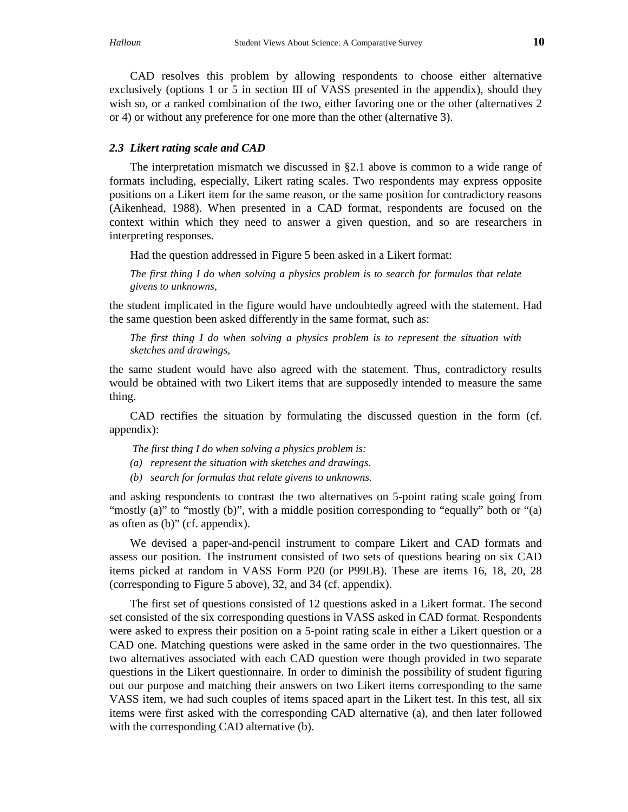CAD resolves this problem by allowing respondents to choose either alternative exclusively (options 1 or 5 in section III of VASS presented in the appendix), should they wish so, or a ranked combination of the two, either favoring one or the other (alternatives 2) or 4) or without any preference for one more than the other (alternative 3).

#### *2.3 Likert rating scale and CAD*

The interpretation mismatch we discussed in §2.1 above is common to a wide range of formats including, especially, Likert rating scales. Two respondents may express opposite positions on a Likert item for the same reason, or the same position for contradictory reasons (Aikenhead, 1988). When presented in a CAD format, respondents are focused on the context within which they need to answer a given question, and so are researchers in interpreting responses.

Had the question addressed in Figure 5 been asked in a Likert format:

*The first thing I do when solving a physics problem is to search for formulas that relate givens to unknowns,*

the student implicated in the figure would have undoubtedly agreed with the statement. Had the same question been asked differently in the same format, such as:

*The first thing I do when solving a physics problem is to represent the situation with sketches and drawings,*

the same student would have also agreed with the statement. Thus, contradictory results would be obtained with two Likert items that are supposedly intended to measure the same thing.

CAD rectifies the situation by formulating the discussed question in the form (cf. appendix):

*The first thing I do when solving a physics problem is:*

- *(a) represent the situation with sketches and drawings.*
- *(b) search for formulas that relate givens to unknowns.*

and asking respondents to contrast the two alternatives on 5-point rating scale going from "mostly (a)" to "mostly (b)", with a middle position corresponding to "equally" both or "(a) as often as (b)" (cf. appendix).

We devised a paper-and-pencil instrument to compare Likert and CAD formats and assess our position. The instrument consisted of two sets of questions bearing on six CAD items picked at random in VASS Form P20 (or P99LB). These are items 16, 18, 20, 28 (corresponding to Figure 5 above), 32, and 34 (cf. appendix).

The first set of questions consisted of 12 questions asked in a Likert format. The second set consisted of the six corresponding questions in VASS asked in CAD format. Respondents were asked to express their position on a 5-point rating scale in either a Likert question or a CAD one. Matching questions were asked in the same order in the two questionnaires. The two alternatives associated with each CAD question were though provided in two separate questions in the Likert questionnaire. In order to diminish the possibility of student figuring out our purpose and matching their answers on two Likert items corresponding to the same VASS item, we had such couples of items spaced apart in the Likert test. In this test, all six items were first asked with the corresponding CAD alternative (a), and then later followed with the corresponding CAD alternative (b).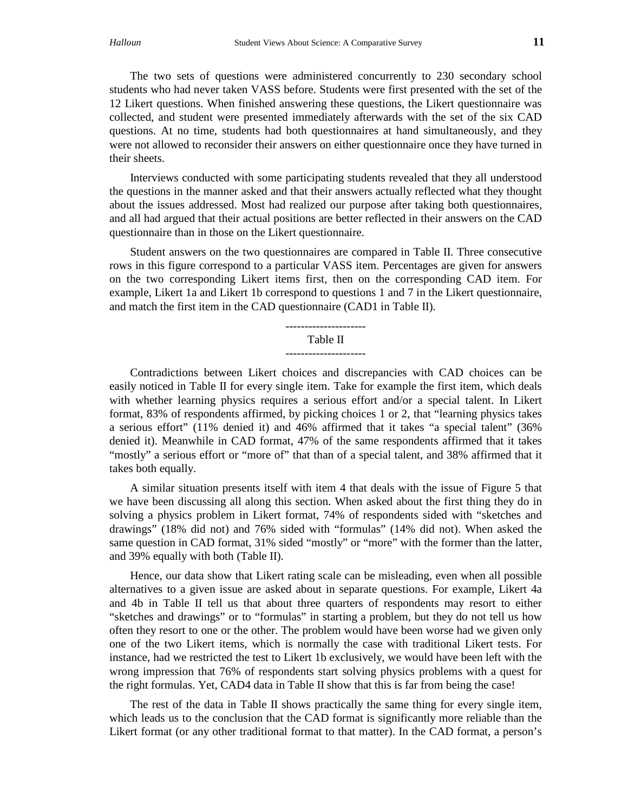The two sets of questions were administered concurrently to 230 secondary school students who had never taken VASS before. Students were first presented with the set of the 12 Likert questions. When finished answering these questions, the Likert questionnaire was collected, and student were presented immediately afterwards with the set of the six CAD questions. At no time, students had both questionnaires at hand simultaneously, and they were not allowed to reconsider their answers on either questionnaire once they have turned in their sheets.

Interviews conducted with some participating students revealed that they all understood the questions in the manner asked and that their answers actually reflected what they thought about the issues addressed. Most had realized our purpose after taking both questionnaires, and all had argued that their actual positions are better reflected in their answers on the CAD questionnaire than in those on the Likert questionnaire.

Student answers on the two questionnaires are compared in Table II. Three consecutive rows in this figure correspond to a particular VASS item. Percentages are given for answers on the two corresponding Likert items first, then on the corresponding CAD item. For example, Likert 1a and Likert 1b correspond to questions 1 and 7 in the Likert questionnaire, and match the first item in the CAD questionnaire (CAD1 in Table II).

#### --------------------- Table II ---------------------

Contradictions between Likert choices and discrepancies with CAD choices can be easily noticed in Table II for every single item. Take for example the first item, which deals with whether learning physics requires a serious effort and/or a special talent. In Likert format, 83% of respondents affirmed, by picking choices 1 or 2, that "learning physics takes a serious effort" (11% denied it) and 46% affirmed that it takes "a special talent" (36% denied it). Meanwhile in CAD format, 47% of the same respondents affirmed that it takes "mostly" a serious effort or "more of" that than of a special talent, and 38% affirmed that it takes both equally.

A similar situation presents itself with item 4 that deals with the issue of Figure 5 that we have been discussing all along this section. When asked about the first thing they do in solving a physics problem in Likert format, 74% of respondents sided with "sketches and drawings" (18% did not) and 76% sided with "formulas" (14% did not). When asked the same question in CAD format, 31% sided "mostly" or "more" with the former than the latter, and 39% equally with both (Table II).

Hence, our data show that Likert rating scale can be misleading, even when all possible alternatives to a given issue are asked about in separate questions. For example, Likert 4a and 4b in Table II tell us that about three quarters of respondents may resort to either "sketches and drawings" or to "formulas" in starting a problem, but they do not tell us how often they resort to one or the other. The problem would have been worse had we given only one of the two Likert items, which is normally the case with traditional Likert tests. For instance, had we restricted the test to Likert 1b exclusively, we would have been left with the wrong impression that 76% of respondents start solving physics problems with a quest for the right formulas. Yet, CAD4 data in Table II show that this is far from being the case!

The rest of the data in Table II shows practically the same thing for every single item, which leads us to the conclusion that the CAD format is significantly more reliable than the Likert format (or any other traditional format to that matter). In the CAD format, a person's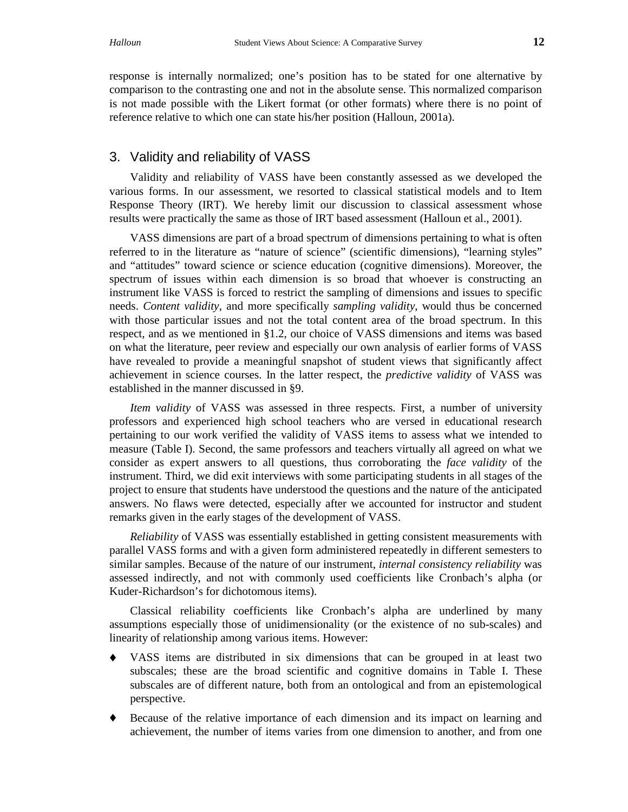response is internally normalized; one's position has to be stated for one alternative by comparison to the contrasting one and not in the absolute sense. This normalized comparison is not made possible with the Likert format (or other formats) where there is no point of reference relative to which one can state his/her position (Halloun, 2001a).

## 3. Validity and reliability of VASS

Validity and reliability of VASS have been constantly assessed as we developed the various forms. In our assessment, we resorted to classical statistical models and to Item Response Theory (IRT). We hereby limit our discussion to classical assessment whose results were practically the same as those of IRT based assessment (Halloun et al., 2001).

VASS dimensions are part of a broad spectrum of dimensions pertaining to what is often referred to in the literature as "nature of science" (scientific dimensions), "learning styles" and "attitudes" toward science or science education (cognitive dimensions). Moreover, the spectrum of issues within each dimension is so broad that whoever is constructing an instrument like VASS is forced to restrict the sampling of dimensions and issues to specific needs. *Content validity*, and more specifically *sampling validity*, would thus be concerned with those particular issues and not the total content area of the broad spectrum. In this respect, and as we mentioned in §1.2, our choice of VASS dimensions and items was based on what the literature, peer review and especially our own analysis of earlier forms of VASS have revealed to provide a meaningful snapshot of student views that significantly affect achievement in science courses. In the latter respect, the *predictive validity* of VASS was established in the manner discussed in §9.

*Item validity* of VASS was assessed in three respects. First, a number of university professors and experienced high school teachers who are versed in educational research pertaining to our work verified the validity of VASS items to assess what we intended to measure (Table I). Second, the same professors and teachers virtually all agreed on what we consider as expert answers to all questions, thus corroborating the *face validity* of the instrument. Third, we did exit interviews with some participating students in all stages of the project to ensure that students have understood the questions and the nature of the anticipated answers. No flaws were detected, especially after we accounted for instructor and student remarks given in the early stages of the development of VASS.

*Reliability* of VASS was essentially established in getting consistent measurements with parallel VASS forms and with a given form administered repeatedly in different semesters to similar samples. Because of the nature of our instrument, *internal consistency reliability* was assessed indirectly, and not with commonly used coefficients like Cronbach's alpha (or Kuder-Richardson's for dichotomous items).

Classical reliability coefficients like Cronbach's alpha are underlined by many assumptions especially those of unidimensionality (or the existence of no sub-scales) and linearity of relationship among various items. However:

- VASS items are distributed in six dimensions that can be grouped in at least two subscales; these are the broad scientific and cognitive domains in Table I. These subscales are of different nature, both from an ontological and from an epistemological perspective.
- ♦ Because of the relative importance of each dimension and its impact on learning and achievement, the number of items varies from one dimension to another, and from one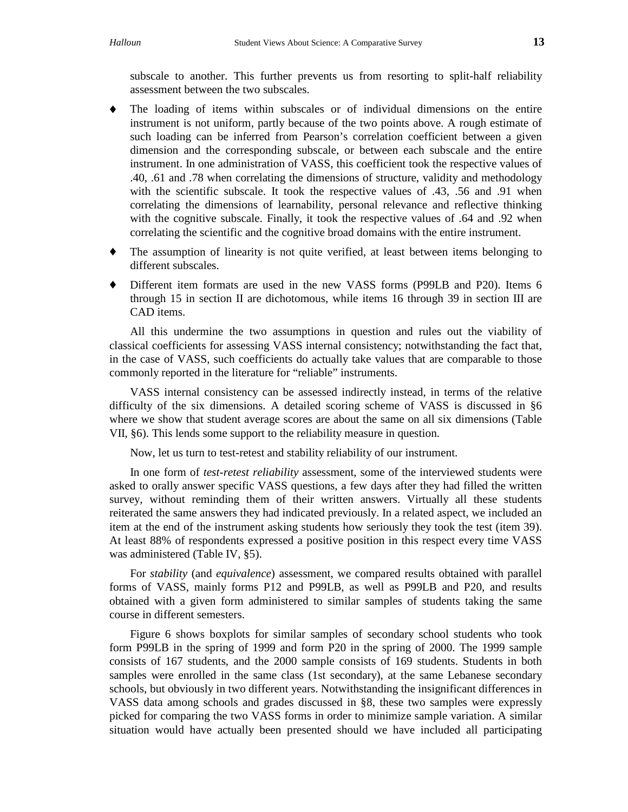subscale to another. This further prevents us from resorting to split-half reliability assessment between the two subscales.

- ♦ The loading of items within subscales or of individual dimensions on the entire instrument is not uniform, partly because of the two points above. A rough estimate of such loading can be inferred from Pearson's correlation coefficient between a given dimension and the corresponding subscale, or between each subscale and the entire instrument. In one administration of VASS, this coefficient took the respective values of .40, .61 and .78 when correlating the dimensions of structure, validity and methodology with the scientific subscale. It took the respective values of .43, .56 and .91 when correlating the dimensions of learnability, personal relevance and reflective thinking with the cognitive subscale. Finally, it took the respective values of .64 and .92 when correlating the scientific and the cognitive broad domains with the entire instrument.
- ♦ The assumption of linearity is not quite verified, at least between items belonging to different subscales.
- ♦ Different item formats are used in the new VASS forms (P99LB and P20). Items 6 through 15 in section II are dichotomous, while items 16 through 39 in section III are CAD items.

All this undermine the two assumptions in question and rules out the viability of classical coefficients for assessing VASS internal consistency; notwithstanding the fact that, in the case of VASS, such coefficients do actually take values that are comparable to those commonly reported in the literature for "reliable" instruments.

VASS internal consistency can be assessed indirectly instead, in terms of the relative difficulty of the six dimensions. A detailed scoring scheme of VASS is discussed in §6 where we show that student average scores are about the same on all six dimensions (Table VII, §6). This lends some support to the reliability measure in question.

Now, let us turn to test-retest and stability reliability of our instrument.

In one form of *test-retest reliability* assessment, some of the interviewed students were asked to orally answer specific VASS questions, a few days after they had filled the written survey, without reminding them of their written answers. Virtually all these students reiterated the same answers they had indicated previously. In a related aspect, we included an item at the end of the instrument asking students how seriously they took the test (item 39). At least 88% of respondents expressed a positive position in this respect every time VASS was administered (Table IV, §5).

For *stability* (and *equivalence*) assessment, we compared results obtained with parallel forms of VASS, mainly forms P12 and P99LB, as well as P99LB and P20, and results obtained with a given form administered to similar samples of students taking the same course in different semesters.

Figure 6 shows boxplots for similar samples of secondary school students who took form P99LB in the spring of 1999 and form P20 in the spring of 2000. The 1999 sample consists of 167 students, and the 2000 sample consists of 169 students. Students in both samples were enrolled in the same class (1st secondary), at the same Lebanese secondary schools, but obviously in two different years. Notwithstanding the insignificant differences in VASS data among schools and grades discussed in §8, these two samples were expressly picked for comparing the two VASS forms in order to minimize sample variation. A similar situation would have actually been presented should we have included all participating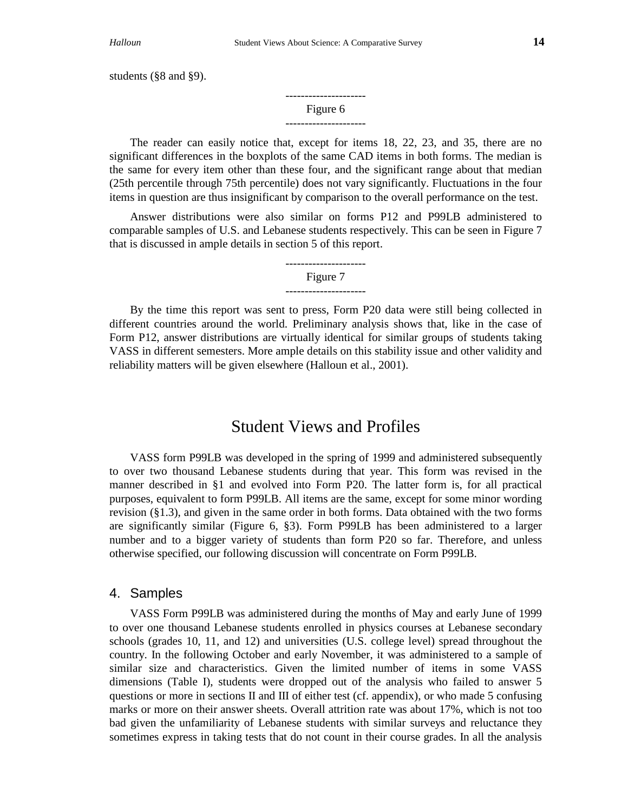students (§8 and §9).

--------------------- Figure 6 ---------------------

The reader can easily notice that, except for items 18, 22, 23, and 35, there are no significant differences in the boxplots of the same CAD items in both forms. The median is the same for every item other than these four, and the significant range about that median (25th percentile through 75th percentile) does not vary significantly. Fluctuations in the four items in question are thus insignificant by comparison to the overall performance on the test.

Answer distributions were also similar on forms P12 and P99LB administered to comparable samples of U.S. and Lebanese students respectively. This can be seen in Figure 7 that is discussed in ample details in section 5 of this report.

> --------------------- Figure 7

---------------------

By the time this report was sent to press, Form P20 data were still being collected in different countries around the world. Preliminary analysis shows that, like in the case of Form P12, answer distributions are virtually identical for similar groups of students taking VASS in different semesters. More ample details on this stability issue and other validity and reliability matters will be given elsewhere (Halloun et al., 2001).

## Student Views and Profiles

VASS form P99LB was developed in the spring of 1999 and administered subsequently to over two thousand Lebanese students during that year. This form was revised in the manner described in §1 and evolved into Form P20. The latter form is, for all practical purposes, equivalent to form P99LB. All items are the same, except for some minor wording revision (§1.3), and given in the same order in both forms. Data obtained with the two forms are significantly similar (Figure 6, §3). Form P99LB has been administered to a larger number and to a bigger variety of students than form P20 so far. Therefore, and unless otherwise specified, our following discussion will concentrate on Form P99LB.

## 4. Samples

VASS Form P99LB was administered during the months of May and early June of 1999 to over one thousand Lebanese students enrolled in physics courses at Lebanese secondary schools (grades 10, 11, and 12) and universities (U.S. college level) spread throughout the country. In the following October and early November, it was administered to a sample of similar size and characteristics. Given the limited number of items in some VASS dimensions (Table I), students were dropped out of the analysis who failed to answer 5 questions or more in sections II and III of either test (cf. appendix), or who made 5 confusing marks or more on their answer sheets. Overall attrition rate was about 17%, which is not too bad given the unfamiliarity of Lebanese students with similar surveys and reluctance they sometimes express in taking tests that do not count in their course grades. In all the analysis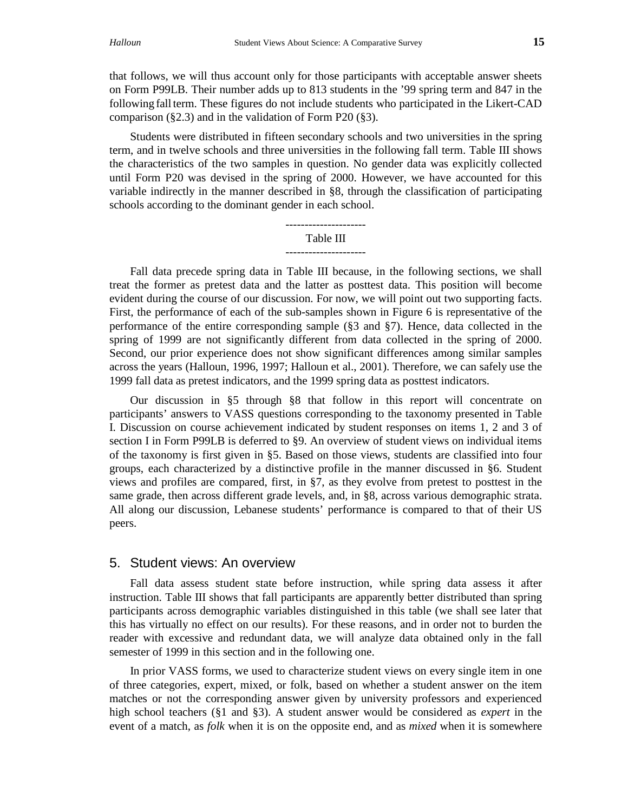that follows, we will thus account only for those participants with acceptable answer sheets on Form P99LB. Their number adds up to 813 students in the '99 spring term and 847 in the following fall term. These figures do not include students who participated in the Likert-CAD comparison (§2.3) and in the validation of Form P20 (§3).

Students were distributed in fifteen secondary schools and two universities in the spring term, and in twelve schools and three universities in the following fall term. Table III shows the characteristics of the two samples in question. No gender data was explicitly collected until Form P20 was devised in the spring of 2000. However, we have accounted for this variable indirectly in the manner described in §8, through the classification of participating schools according to the dominant gender in each school.



Fall data precede spring data in Table III because, in the following sections, we shall treat the former as pretest data and the latter as posttest data. This position will become evident during the course of our discussion. For now, we will point out two supporting facts. First, the performance of each of the sub-samples shown in Figure 6 is representative of the performance of the entire corresponding sample (§3 and §7). Hence, data collected in the spring of 1999 are not significantly different from data collected in the spring of 2000. Second, our prior experience does not show significant differences among similar samples across the years (Halloun, 1996, 1997; Halloun et al., 2001). Therefore, we can safely use the 1999 fall data as pretest indicators, and the 1999 spring data as posttest indicators.

Our discussion in §5 through §8 that follow in this report will concentrate on participants' answers to VASS questions corresponding to the taxonomy presented in Table I. Discussion on course achievement indicated by student responses on items 1, 2 and 3 of section I in Form P99LB is deferred to §9. An overview of student views on individual items of the taxonomy is first given in §5. Based on those views, students are classified into four groups, each characterized by a distinctive profile in the manner discussed in §6. Student views and profiles are compared, first, in §7, as they evolve from pretest to posttest in the same grade, then across different grade levels, and, in §8, across various demographic strata. All along our discussion, Lebanese students' performance is compared to that of their US peers.

#### 5. Student views: An overview

Fall data assess student state before instruction, while spring data assess it after instruction. Table III shows that fall participants are apparently better distributed than spring participants across demographic variables distinguished in this table (we shall see later that this has virtually no effect on our results). For these reasons, and in order not to burden the reader with excessive and redundant data, we will analyze data obtained only in the fall semester of 1999 in this section and in the following one.

In prior VASS forms, we used to characterize student views on every single item in one of three categories, expert, mixed, or folk, based on whether a student answer on the item matches or not the corresponding answer given by university professors and experienced high school teachers (§1 and §3). A student answer would be considered as *expert* in the event of a match, as *folk* when it is on the opposite end, and as *mixed* when it is somewhere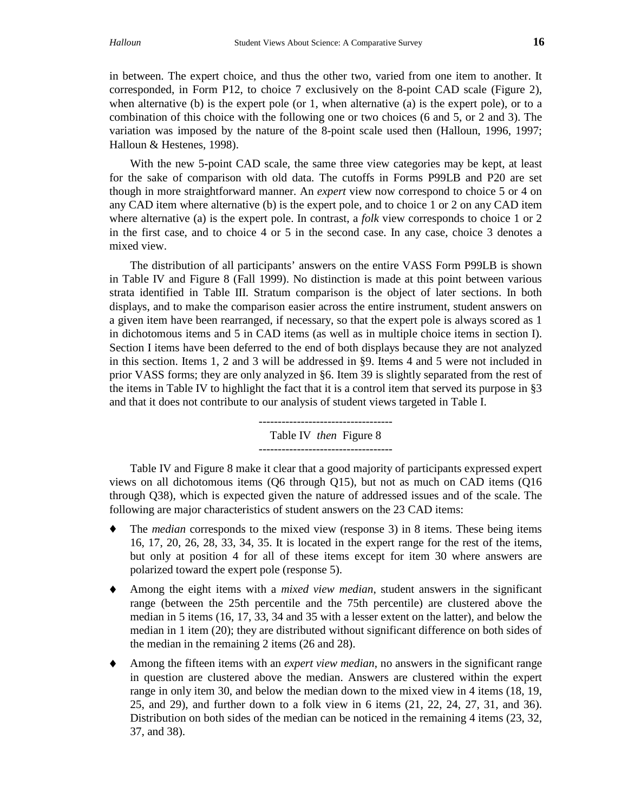in between. The expert choice, and thus the other two, varied from one item to another. It corresponded, in Form P12, to choice 7 exclusively on the 8-point CAD scale (Figure 2), when alternative (b) is the expert pole (or 1, when alternative (a) is the expert pole), or to a combination of this choice with the following one or two choices (6 and 5, or 2 and 3). The variation was imposed by the nature of the 8-point scale used then (Halloun, 1996, 1997; Halloun & Hestenes, 1998).

With the new 5-point CAD scale, the same three view categories may be kept, at least for the sake of comparison with old data. The cutoffs in Forms P99LB and P20 are set though in more straightforward manner. An *expert* view now correspond to choice 5 or 4 on any CAD item where alternative (b) is the expert pole, and to choice 1 or 2 on any CAD item where alternative (a) is the expert pole. In contrast, a *folk* view corresponds to choice 1 or 2 in the first case, and to choice 4 or 5 in the second case. In any case, choice 3 denotes a mixed view.

The distribution of all participants' answers on the entire VASS Form P99LB is shown in Table IV and Figure 8 (Fall 1999). No distinction is made at this point between various strata identified in Table III. Stratum comparison is the object of later sections. In both displays, and to make the comparison easier across the entire instrument, student answers on a given item have been rearranged, if necessary, so that the expert pole is always scored as 1 in dichotomous items and 5 in CAD items (as well as in multiple choice items in section I). Section I items have been deferred to the end of both displays because they are not analyzed in this section. Items 1, 2 and 3 will be addressed in §9. Items 4 and 5 were not included in prior VASS forms; they are only analyzed in §6. Item 39 is slightly separated from the rest of the items in Table IV to highlight the fact that it is a control item that served its purpose in §3 and that it does not contribute to our analysis of student views targeted in Table I.

> ----------------------------------- Table IV *then* Figure 8 -----------------------------------

Table IV and Figure 8 make it clear that a good majority of participants expressed expert views on all dichotomous items (Q6 through Q15), but not as much on CAD items (Q16 through Q38), which is expected given the nature of addressed issues and of the scale. The following are major characteristics of student answers on the 23 CAD items:

- ♦ The *median* corresponds to the mixed view (response 3) in 8 items. These being items 16, 17, 20, 26, 28, 33, 34, 35. It is located in the expert range for the rest of the items, but only at position 4 for all of these items except for item 30 where answers are polarized toward the expert pole (response 5).
- ♦ Among the eight items with a *mixed view median*, student answers in the significant range (between the 25th percentile and the 75th percentile) are clustered above the median in 5 items (16, 17, 33, 34 and 35 with a lesser extent on the latter), and below the median in 1 item (20); they are distributed without significant difference on both sides of the median in the remaining 2 items (26 and 28).
- ♦ Among the fifteen items with an *expert view median*, no answers in the significant range in question are clustered above the median. Answers are clustered within the expert range in only item 30, and below the median down to the mixed view in 4 items (18, 19, 25, and 29), and further down to a folk view in 6 items (21, 22, 24, 27, 31, and 36). Distribution on both sides of the median can be noticed in the remaining 4 items (23, 32, 37, and 38).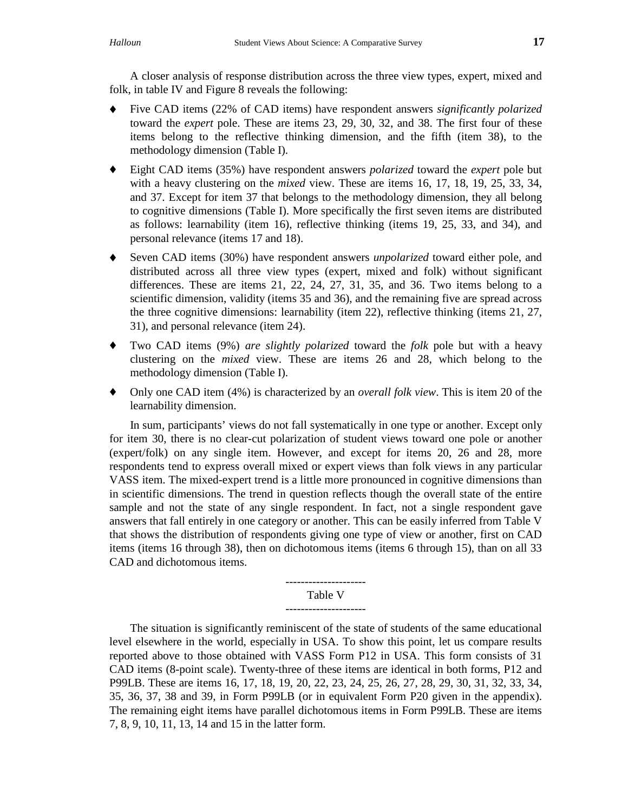A closer analysis of response distribution across the three view types, expert, mixed and folk, in table IV and Figure 8 reveals the following:

- ♦ Five CAD items (22% of CAD items) have respondent answers *significantly polarized* toward the *expert* pole. These are items 23, 29, 30, 32, and 38. The first four of these items belong to the reflective thinking dimension, and the fifth (item 38), to the methodology dimension (Table I).
- ♦ Eight CAD items (35%) have respondent answers *polarized* toward the *expert* pole but with a heavy clustering on the *mixed* view. These are items 16, 17, 18, 19, 25, 33, 34, and 37. Except for item 37 that belongs to the methodology dimension, they all belong to cognitive dimensions (Table I). More specifically the first seven items are distributed as follows: learnability (item 16), reflective thinking (items 19, 25, 33, and 34), and personal relevance (items 17 and 18).
- ♦ Seven CAD items (30%) have respondent answers *unpolarized* toward either pole, and distributed across all three view types (expert, mixed and folk) without significant differences. These are items  $21, 22, 24, 27, 31, 35,$  and  $36$ . Two items belong to a scientific dimension, validity (items 35 and 36), and the remaining five are spread across the three cognitive dimensions: learnability (item 22), reflective thinking (items 21, 27, 31), and personal relevance (item 24).
- ♦ Two CAD items (9%) *are slightly polarized* toward the *folk* pole but with a heavy clustering on the *mixed* view. These are items 26 and 28, which belong to the methodology dimension (Table I).
- ♦ Only one CAD item (4%) is characterized by an *overall folk view*. This is item 20 of the learnability dimension.

In sum, participants' views do not fall systematically in one type or another. Except only for item 30, there is no clear-cut polarization of student views toward one pole or another (expert/folk) on any single item. However, and except for items 20, 26 and 28, more respondents tend to express overall mixed or expert views than folk views in any particular VASS item. The mixed-expert trend is a little more pronounced in cognitive dimensions than in scientific dimensions. The trend in question reflects though the overall state of the entire sample and not the state of any single respondent. In fact, not a single respondent gave answers that fall entirely in one category or another. This can be easily inferred from Table V that shows the distribution of respondents giving one type of view or another, first on CAD items (items 16 through 38), then on dichotomous items (items 6 through 15), than on all 33 CAD and dichotomous items.

#### --------------------- Table V

## ---------------------

The situation is significantly reminiscent of the state of students of the same educational level elsewhere in the world, especially in USA. To show this point, let us compare results reported above to those obtained with VASS Form P12 in USA. This form consists of 31 CAD items (8-point scale). Twenty-three of these items are identical in both forms, P12 and P99LB. These are items 16, 17, 18, 19, 20, 22, 23, 24, 25, 26, 27, 28, 29, 30, 31, 32, 33, 34, 35, 36, 37, 38 and 39, in Form P99LB (or in equivalent Form P20 given in the appendix). The remaining eight items have parallel dichotomous items in Form P99LB. These are items 7, 8, 9, 10, 11, 13, 14 and 15 in the latter form.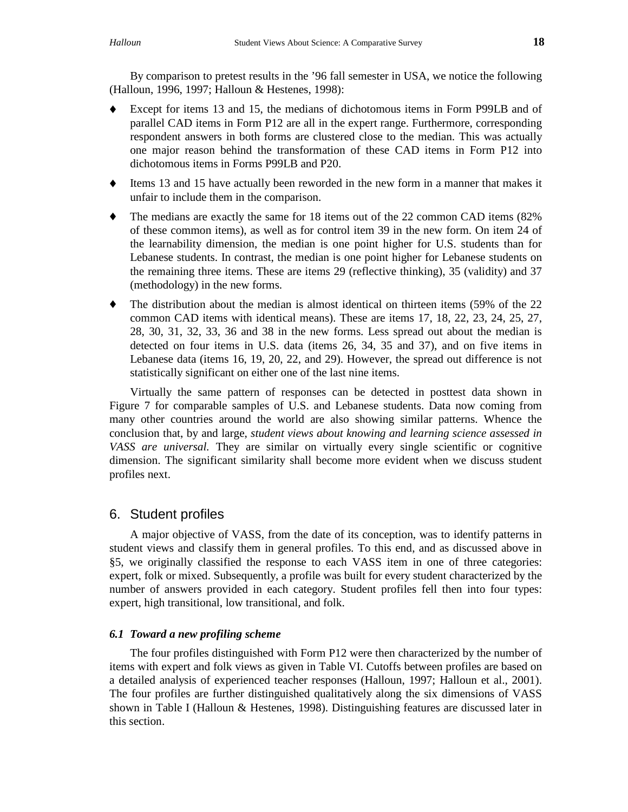By comparison to pretest results in the '96 fall semester in USA, we notice the following (Halloun, 1996, 1997; Halloun & Hestenes, 1998):

- Except for items 13 and 15, the medians of dichotomous items in Form P99LB and of parallel CAD items in Form P12 are all in the expert range. Furthermore, corresponding respondent answers in both forms are clustered close to the median. This was actually one major reason behind the transformation of these CAD items in Form P12 into dichotomous items in Forms P99LB and P20.
- ♦ Items 13 and 15 have actually been reworded in the new form in a manner that makes it unfair to include them in the comparison.
- $\bullet$  The medians are exactly the same for 18 items out of the 22 common CAD items (82%) of these common items), as well as for control item 39 in the new form. On item 24 of the learnability dimension, the median is one point higher for U.S. students than for Lebanese students. In contrast, the median is one point higher for Lebanese students on the remaining three items. These are items 29 (reflective thinking), 35 (validity) and 37 (methodology) in the new forms.
- $\bullet$  The distribution about the median is almost identical on thirteen items (59% of the 22 common CAD items with identical means). These are items 17, 18, 22, 23, 24, 25, 27, 28, 30, 31, 32, 33, 36 and 38 in the new forms. Less spread out about the median is detected on four items in U.S. data (items 26, 34, 35 and 37), and on five items in Lebanese data (items 16, 19, 20, 22, and 29). However, the spread out difference is not statistically significant on either one of the last nine items.

Virtually the same pattern of responses can be detected in posttest data shown in Figure 7 for comparable samples of U.S. and Lebanese students. Data now coming from many other countries around the world are also showing similar patterns. Whence the conclusion that, by and large, *student views about knowing and learning science assessed in VASS are universal.* They are similar on virtually every single scientific or cognitive dimension. The significant similarity shall become more evident when we discuss student profiles next.

## 6. Student profiles

A major objective of VASS, from the date of its conception, was to identify patterns in student views and classify them in general profiles. To this end, and as discussed above in §5, we originally classified the response to each VASS item in one of three categories: expert, folk or mixed. Subsequently, a profile was built for every student characterized by the number of answers provided in each category. Student profiles fell then into four types: expert, high transitional, low transitional, and folk.

### *6.1 Toward a new profiling scheme*

The four profiles distinguished with Form P12 were then characterized by the number of items with expert and folk views as given in Table VI. Cutoffs between profiles are based on a detailed analysis of experienced teacher responses (Halloun, 1997; Halloun et al., 2001). The four profiles are further distinguished qualitatively along the six dimensions of VASS shown in Table I (Halloun & Hestenes, 1998). Distinguishing features are discussed later in this section.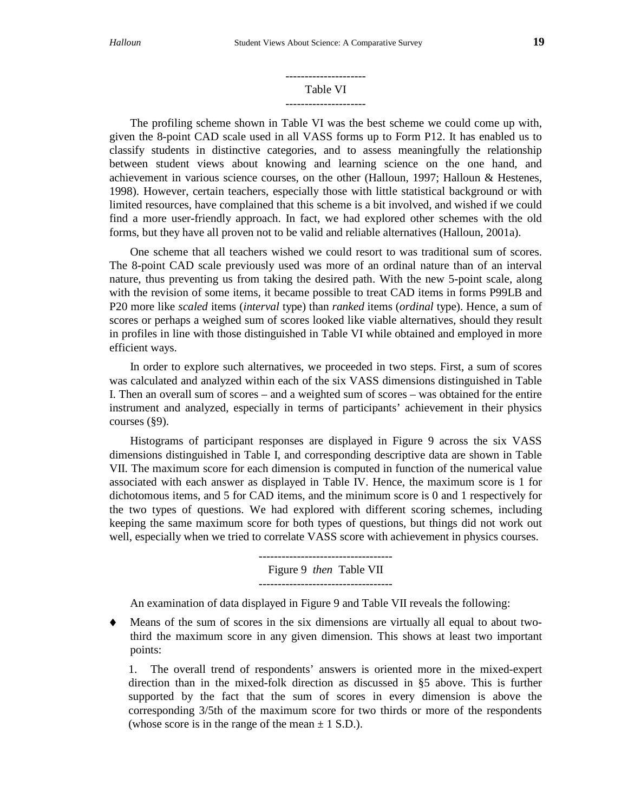#### --------------------- Table VI

## ---------------------

The profiling scheme shown in Table VI was the best scheme we could come up with, given the 8-point CAD scale used in all VASS forms up to Form P12. It has enabled us to classify students in distinctive categories, and to assess meaningfully the relationship between student views about knowing and learning science on the one hand, and achievement in various science courses, on the other (Halloun, 1997; Halloun & Hestenes, 1998). However, certain teachers, especially those with little statistical background or with limited resources, have complained that this scheme is a bit involved, and wished if we could find a more user-friendly approach. In fact, we had explored other schemes with the old forms, but they have all proven not to be valid and reliable alternatives (Halloun, 2001a).

One scheme that all teachers wished we could resort to was traditional sum of scores. The 8-point CAD scale previously used was more of an ordinal nature than of an interval nature, thus preventing us from taking the desired path. With the new 5-point scale, along with the revision of some items, it became possible to treat CAD items in forms P99LB and P20 more like *scaled* items (*interval* type) than *ranked* items (*ordinal* type). Hence, a sum of scores or perhaps a weighed sum of scores looked like viable alternatives, should they result in profiles in line with those distinguished in Table VI while obtained and employed in more efficient ways.

In order to explore such alternatives, we proceeded in two steps. First, a sum of scores was calculated and analyzed within each of the six VASS dimensions distinguished in Table I. Then an overall sum of scores – and a weighted sum of scores – was obtained for the entire instrument and analyzed, especially in terms of participants' achievement in their physics courses (§9).

Histograms of participant responses are displayed in Figure 9 across the six VASS dimensions distinguished in Table I, and corresponding descriptive data are shown in Table VII. The maximum score for each dimension is computed in function of the numerical value associated with each answer as displayed in Table IV. Hence, the maximum score is 1 for dichotomous items, and 5 for CAD items, and the minimum score is 0 and 1 respectively for the two types of questions. We had explored with different scoring schemes, including keeping the same maximum score for both types of questions, but things did not work out well, especially when we tried to correlate VASS score with achievement in physics courses.

> ----------------------------------- Figure 9 *then* Table VII -----------------------------------

An examination of data displayed in Figure 9 and Table VII reveals the following:

♦ Means of the sum of scores in the six dimensions are virtually all equal to about twothird the maximum score in any given dimension. This shows at least two important points:

1. The overall trend of respondents' answers is oriented more in the mixed-expert direction than in the mixed-folk direction as discussed in §5 above. This is further supported by the fact that the sum of scores in every dimension is above the corresponding 3/5th of the maximum score for two thirds or more of the respondents (whose score is in the range of the mean  $\pm$  1 S.D.).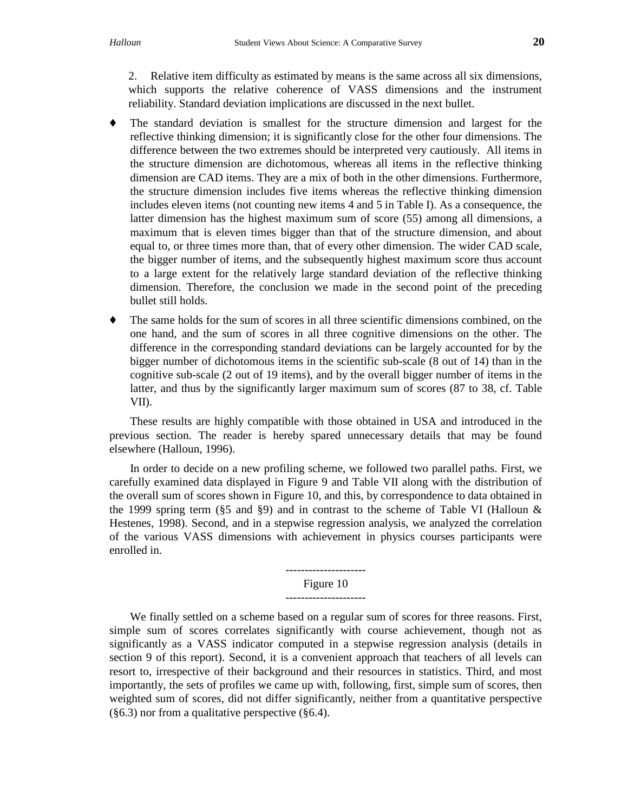- ♦ The standard deviation is smallest for the structure dimension and largest for the reflective thinking dimension; it is significantly close for the other four dimensions. The difference between the two extremes should be interpreted very cautiously. All items in the structure dimension are dichotomous, whereas all items in the reflective thinking dimension are CAD items. They are a mix of both in the other dimensions. Furthermore, the structure dimension includes five items whereas the reflective thinking dimension includes eleven items (not counting new items 4 and 5 in Table I). As a consequence, the latter dimension has the highest maximum sum of score (55) among all dimensions, a maximum that is eleven times bigger than that of the structure dimension, and about equal to, or three times more than, that of every other dimension. The wider CAD scale, the bigger number of items, and the subsequently highest maximum score thus account to a large extent for the relatively large standard deviation of the reflective thinking dimension. Therefore, the conclusion we made in the second point of the preceding bullet still holds.
- ♦ The same holds for the sum of scores in all three scientific dimensions combined, on the one hand, and the sum of scores in all three cognitive dimensions on the other. The difference in the corresponding standard deviations can be largely accounted for by the bigger number of dichotomous items in the scientific sub-scale (8 out of 14) than in the cognitive sub-scale (2 out of 19 items), and by the overall bigger number of items in the latter, and thus by the significantly larger maximum sum of scores (87 to 38, cf. Table VII).

These results are highly compatible with those obtained in USA and introduced in the previous section. The reader is hereby spared unnecessary details that may be found elsewhere (Halloun, 1996).

In order to decide on a new profiling scheme, we followed two parallel paths. First, we carefully examined data displayed in Figure 9 and Table VII along with the distribution of the overall sum of scores shown in Figure 10, and this, by correspondence to data obtained in the 1999 spring term (§5 and §9) and in contrast to the scheme of Table VI (Halloun & Hestenes, 1998). Second, and in a stepwise regression analysis, we analyzed the correlation of the various VASS dimensions with achievement in physics courses participants were enrolled in.

#### --------------------- Figure 10

## ---------------------

We finally settled on a scheme based on a regular sum of scores for three reasons. First, simple sum of scores correlates significantly with course achievement, though not as significantly as a VASS indicator computed in a stepwise regression analysis (details in section 9 of this report). Second, it is a convenient approach that teachers of all levels can resort to, irrespective of their background and their resources in statistics. Third, and most importantly, the sets of profiles we came up with, following, first, simple sum of scores, then weighted sum of scores, did not differ significantly, neither from a quantitative perspective (§6.3) nor from a qualitative perspective (§6.4).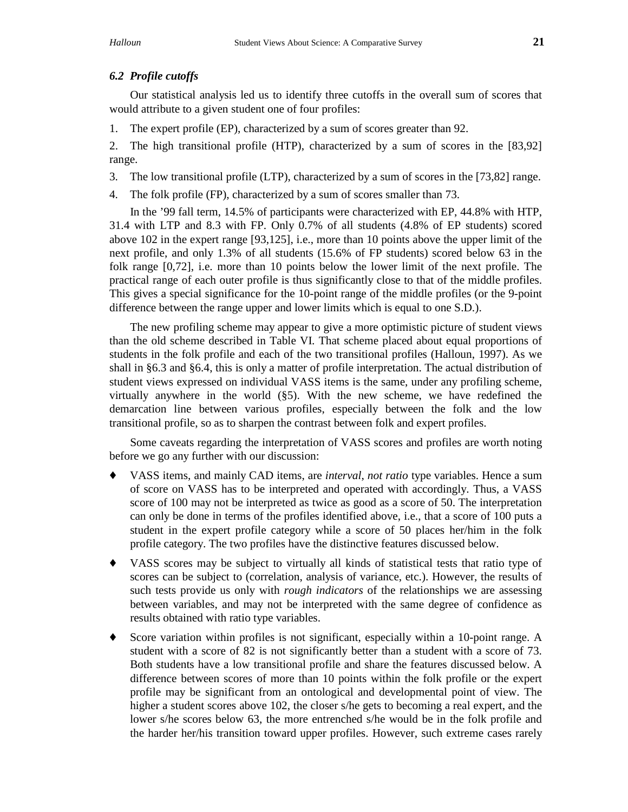#### *6.2 Profile cutoffs*

Our statistical analysis led us to identify three cutoffs in the overall sum of scores that would attribute to a given student one of four profiles:

1. The expert profile (EP), characterized by a sum of scores greater than 92.

2. The high transitional profile (HTP), characterized by a sum of scores in the [83,92] range.

- 3. The low transitional profile (LTP), characterized by a sum of scores in the [73,82] range.
- 4. The folk profile (FP), characterized by a sum of scores smaller than 73.

In the '99 fall term, 14.5% of participants were characterized with EP, 44.8% with HTP, 31.4 with LTP and 8.3 with FP. Only 0.7% of all students (4.8% of EP students) scored above 102 in the expert range [93,125], i.e., more than 10 points above the upper limit of the next profile, and only 1.3% of all students (15.6% of FP students) scored below 63 in the folk range [0,72], i.e. more than 10 points below the lower limit of the next profile. The practical range of each outer profile is thus significantly close to that of the middle profiles. This gives a special significance for the 10-point range of the middle profiles (or the 9-point difference between the range upper and lower limits which is equal to one S.D.).

The new profiling scheme may appear to give a more optimistic picture of student views than the old scheme described in Table VI. That scheme placed about equal proportions of students in the folk profile and each of the two transitional profiles (Halloun, 1997). As we shall in §6.3 and §6.4, this is only a matter of profile interpretation. The actual distribution of student views expressed on individual VASS items is the same, under any profiling scheme, virtually anywhere in the world (§5). With the new scheme, we have redefined the demarcation line between various profiles, especially between the folk and the low transitional profile, so as to sharpen the contrast between folk and expert profiles.

Some caveats regarding the interpretation of VASS scores and profiles are worth noting before we go any further with our discussion:

- ♦ VASS items, and mainly CAD items, are *interval*, *not ratio* type variables. Hence a sum of score on VASS has to be interpreted and operated with accordingly. Thus, a VASS score of 100 may not be interpreted as twice as good as a score of 50. The interpretation can only be done in terms of the profiles identified above, i.e., that a score of 100 puts a student in the expert profile category while a score of 50 places her/him in the folk profile category. The two profiles have the distinctive features discussed below.
- ♦ VASS scores may be subject to virtually all kinds of statistical tests that ratio type of scores can be subject to (correlation, analysis of variance, etc.). However, the results of such tests provide us only with *rough indicators* of the relationships we are assessing between variables, and may not be interpreted with the same degree of confidence as results obtained with ratio type variables.
- ♦ Score variation within profiles is not significant, especially within a 10-point range. A student with a score of 82 is not significantly better than a student with a score of 73. Both students have a low transitional profile and share the features discussed below. A difference between scores of more than 10 points within the folk profile or the expert profile may be significant from an ontological and developmental point of view. The higher a student scores above 102, the closer s/he gets to becoming a real expert, and the lower s/he scores below 63, the more entrenched s/he would be in the folk profile and the harder her/his transition toward upper profiles. However, such extreme cases rarely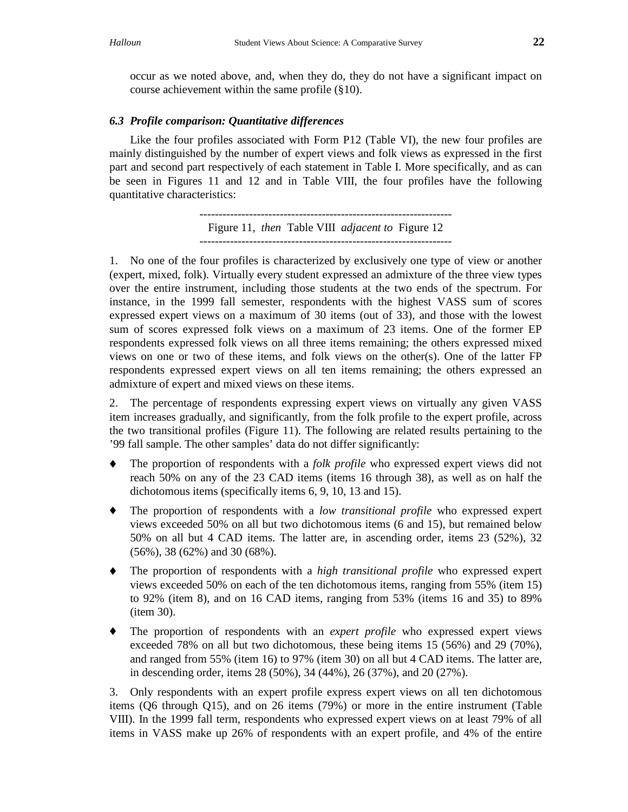occur as we noted above, and, when they do, they do not have a significant impact on course achievement within the same profile (§10).

## *6.3 Profile comparison: Quantitative differences*

Like the four profiles associated with Form P12 (Table VI), the new four profiles are mainly distinguished by the number of expert views and folk views as expressed in the first part and second part respectively of each statement in Table I. More specifically, and as can be seen in Figures 11 and 12 and in Table VIII, the four profiles have the following quantitative characteristics:

> ------------------------------------------------------------------ Figure 11, *then* Table VIII *adjacent to* Figure 12

1. No one of the four profiles is characterized by exclusively one type of view or another (expert, mixed, folk). Virtually every student expressed an admixture of the three view types over the entire instrument, including those students at the two ends of the spectrum. For instance, in the 1999 fall semester, respondents with the highest VASS sum of scores expressed expert views on a maximum of 30 items (out of 33), and those with the lowest sum of scores expressed folk views on a maximum of 23 items. One of the former EP respondents expressed folk views on all three items remaining; the others expressed mixed views on one or two of these items, and folk views on the other(s). One of the latter FP respondents expressed expert views on all ten items remaining; the others expressed an admixture of expert and mixed views on these items.

2. The percentage of respondents expressing expert views on virtually any given VASS item increases gradually, and significantly, from the folk profile to the expert profile, across the two transitional profiles (Figure 11). The following are related results pertaining to the '99 fall sample. The other samples' data do not differ significantly:

- The proportion of respondents with a *folk profile* who expressed expert views did not reach 50% on any of the 23 CAD items (items 16 through 38), as well as on half the dichotomous items (specifically items 6, 9, 10, 13 and 15).
- ♦ The proportion of respondents with a *low transitional profile* who expressed expert views exceeded 50% on all but two dichotomous items (6 and 15), but remained below 50% on all but 4 CAD items. The latter are, in ascending order, items 23 (52%), 32 (56%), 38 (62%) and 30 (68%).
- ♦ The proportion of respondents with a *high transitional profile* who expressed expert views exceeded 50% on each of the ten dichotomous items, ranging from 55% (item 15) to 92% (item 8), and on 16 CAD items, ranging from 53% (items 16 and 35) to 89% (item 30).
- ♦ The proportion of respondents with an *expert profile* who expressed expert views exceeded 78% on all but two dichotomous, these being items 15 (56%) and 29 (70%), and ranged from 55% (item 16) to 97% (item 30) on all but 4 CAD items. The latter are, in descending order, items 28 (50%), 34 (44%), 26 (37%), and 20 (27%).

3. Only respondents with an expert profile express expert views on all ten dichotomous items (Q6 through Q15), and on 26 items (79%) or more in the entire instrument (Table VIII). In the 1999 fall term, respondents who expressed expert views on at least 79% of all items in VASS make up 26% of respondents with an expert profile, and 4% of the entire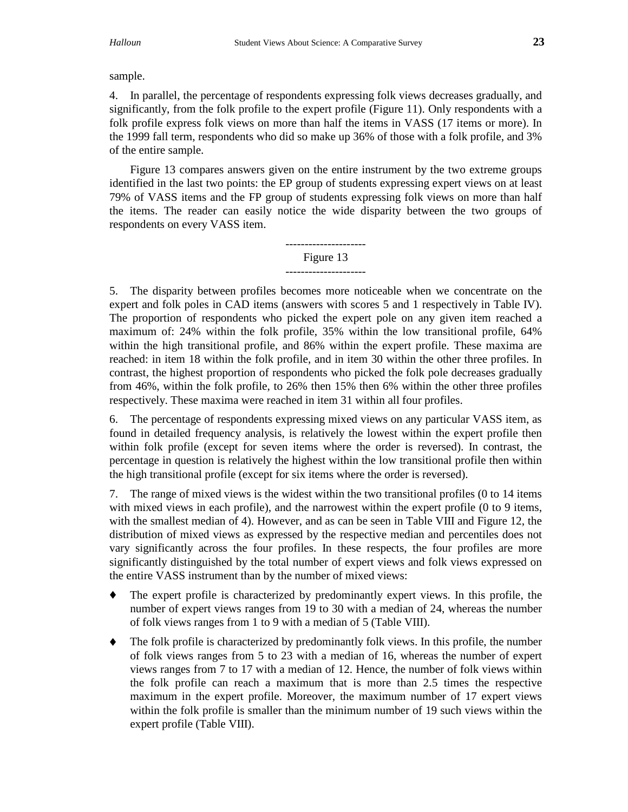## sample.

4. In parallel, the percentage of respondents expressing folk views decreases gradually, and significantly, from the folk profile to the expert profile (Figure 11). Only respondents with a folk profile express folk views on more than half the items in VASS (17 items or more). In the 1999 fall term, respondents who did so make up 36% of those with a folk profile, and 3% of the entire sample.

Figure 13 compares answers given on the entire instrument by the two extreme groups identified in the last two points: the EP group of students expressing expert views on at least 79% of VASS items and the FP group of students expressing folk views on more than half the items. The reader can easily notice the wide disparity between the two groups of respondents on every VASS item.

#### --------------------- Figure 13 ---------------------

5. The disparity between profiles becomes more noticeable when we concentrate on the expert and folk poles in CAD items (answers with scores 5 and 1 respectively in Table IV). The proportion of respondents who picked the expert pole on any given item reached a maximum of: 24% within the folk profile, 35% within the low transitional profile, 64% within the high transitional profile, and 86% within the expert profile. These maxima are reached: in item 18 within the folk profile, and in item 30 within the other three profiles. In contrast, the highest proportion of respondents who picked the folk pole decreases gradually from 46%, within the folk profile, to 26% then 15% then 6% within the other three profiles respectively. These maxima were reached in item 31 within all four profiles.

6. The percentage of respondents expressing mixed views on any particular VASS item, as found in detailed frequency analysis, is relatively the lowest within the expert profile then within folk profile (except for seven items where the order is reversed). In contrast, the percentage in question is relatively the highest within the low transitional profile then within the high transitional profile (except for six items where the order is reversed).

7. The range of mixed views is the widest within the two transitional profiles (0 to 14 items with mixed views in each profile), and the narrowest within the expert profile (0 to 9 items, with the smallest median of 4). However, and as can be seen in Table VIII and Figure 12, the distribution of mixed views as expressed by the respective median and percentiles does not vary significantly across the four profiles. In these respects, the four profiles are more significantly distinguished by the total number of expert views and folk views expressed on the entire VASS instrument than by the number of mixed views:

- ♦ The expert profile is characterized by predominantly expert views. In this profile, the number of expert views ranges from 19 to 30 with a median of 24, whereas the number of folk views ranges from 1 to 9 with a median of 5 (Table VIII).
- ♦ The folk profile is characterized by predominantly folk views. In this profile, the number of folk views ranges from 5 to 23 with a median of 16, whereas the number of expert views ranges from 7 to 17 with a median of 12. Hence, the number of folk views within the folk profile can reach a maximum that is more than 2.5 times the respective maximum in the expert profile. Moreover, the maximum number of 17 expert views within the folk profile is smaller than the minimum number of 19 such views within the expert profile (Table VIII).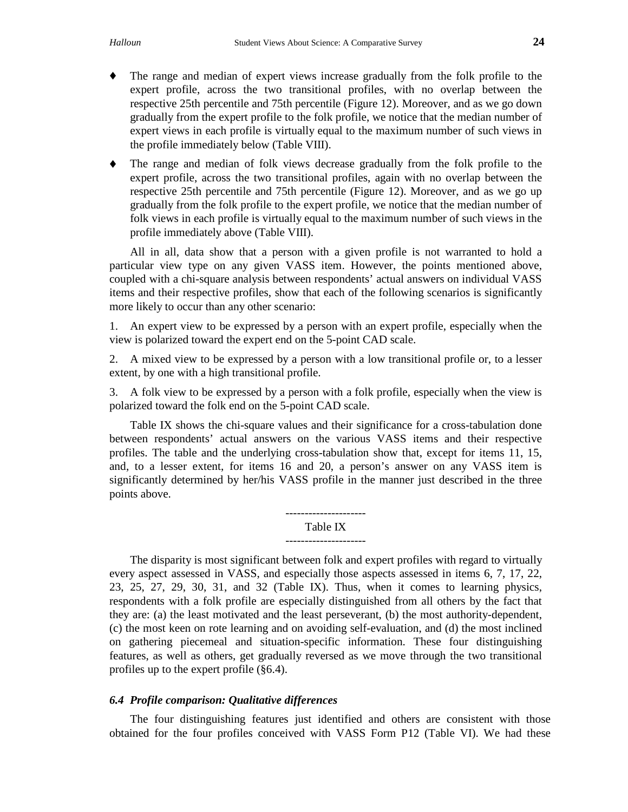- ♦ The range and median of expert views increase gradually from the folk profile to the expert profile, across the two transitional profiles, with no overlap between the respective 25th percentile and 75th percentile (Figure 12). Moreover, and as we go down gradually from the expert profile to the folk profile, we notice that the median number of expert views in each profile is virtually equal to the maximum number of such views in the profile immediately below (Table VIII).
- ♦ The range and median of folk views decrease gradually from the folk profile to the expert profile, across the two transitional profiles, again with no overlap between the respective 25th percentile and 75th percentile (Figure 12). Moreover, and as we go up gradually from the folk profile to the expert profile, we notice that the median number of folk views in each profile is virtually equal to the maximum number of such views in the profile immediately above (Table VIII).

All in all, data show that a person with a given profile is not warranted to hold a particular view type on any given VASS item. However, the points mentioned above, coupled with a chi-square analysis between respondents' actual answers on individual VASS items and their respective profiles, show that each of the following scenarios is significantly more likely to occur than any other scenario:

1. An expert view to be expressed by a person with an expert profile, especially when the view is polarized toward the expert end on the 5-point CAD scale.

2. A mixed view to be expressed by a person with a low transitional profile or, to a lesser extent, by one with a high transitional profile.

3. A folk view to be expressed by a person with a folk profile, especially when the view is polarized toward the folk end on the 5-point CAD scale.

Table IX shows the chi-square values and their significance for a cross-tabulation done between respondents' actual answers on the various VASS items and their respective profiles. The table and the underlying cross-tabulation show that, except for items 11, 15, and, to a lesser extent, for items 16 and 20, a person's answer on any VASS item is significantly determined by her/his VASS profile in the manner just described in the three points above.

#### --------------------- Table IX

The disparity is most significant between folk and expert profiles with regard to virtually every aspect assessed in VASS, and especially those aspects assessed in items 6, 7, 17, 22, 23, 25, 27, 29, 30, 31, and 32 (Table IX). Thus, when it comes to learning physics, respondents with a folk profile are especially distinguished from all others by the fact that they are: (a) the least motivated and the least perseverant, (b) the most authority-dependent, (c) the most keen on rote learning and on avoiding self-evaluation, and (d) the most inclined on gathering piecemeal and situation-specific information. These four distinguishing features, as well as others, get gradually reversed as we move through the two transitional profiles up to the expert profile (§6.4).

#### *6.4 Profile comparison: Qualitative differences*

The four distinguishing features just identified and others are consistent with those obtained for the four profiles conceived with VASS Form P12 (Table VI). We had these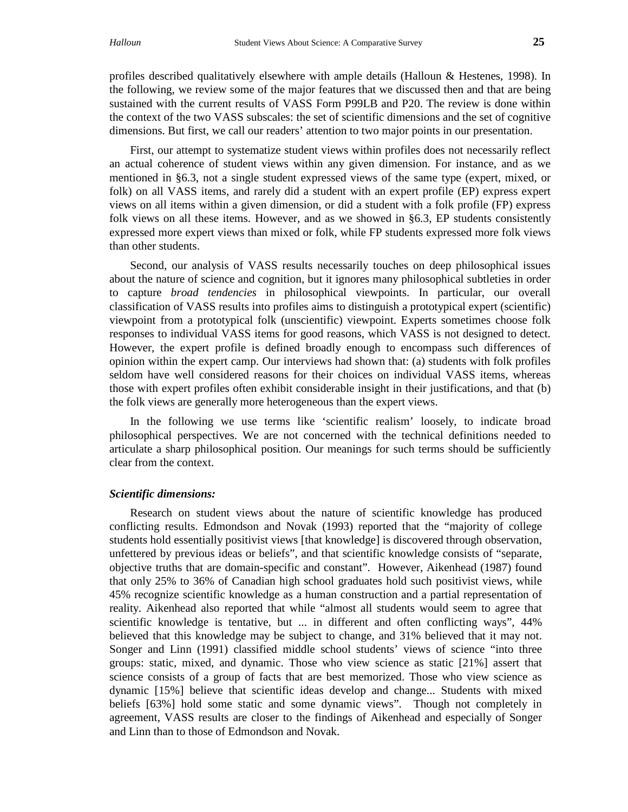profiles described qualitatively elsewhere with ample details (Halloun & Hestenes, 1998). In the following, we review some of the major features that we discussed then and that are being sustained with the current results of VASS Form P99LB and P20. The review is done within the context of the two VASS subscales: the set of scientific dimensions and the set of cognitive dimensions. But first, we call our readers' attention to two major points in our presentation.

First, our attempt to systematize student views within profiles does not necessarily reflect an actual coherence of student views within any given dimension. For instance, and as we mentioned in §6.3, not a single student expressed views of the same type (expert, mixed, or folk) on all VASS items, and rarely did a student with an expert profile (EP) express expert views on all items within a given dimension, or did a student with a folk profile (FP) express folk views on all these items. However, and as we showed in §6.3, EP students consistently expressed more expert views than mixed or folk, while FP students expressed more folk views than other students.

Second, our analysis of VASS results necessarily touches on deep philosophical issues about the nature of science and cognition, but it ignores many philosophical subtleties in order to capture *broad tendencies* in philosophical viewpoints. In particular, our overall classification of VASS results into profiles aims to distinguish a prototypical expert (scientific) viewpoint from a prototypical folk (unscientific) viewpoint. Experts sometimes choose folk responses to individual VASS items for good reasons, which VASS is not designed to detect. However, the expert profile is defined broadly enough to encompass such differences of opinion within the expert camp. Our interviews had shown that: (a) students with folk profiles seldom have well considered reasons for their choices on individual VASS items, whereas those with expert profiles often exhibit considerable insight in their justifications, and that (b) the folk views are generally more heterogeneous than the expert views.

In the following we use terms like 'scientific realism' loosely, to indicate broad philosophical perspectives. We are not concerned with the technical definitions needed to articulate a sharp philosophical position. Our meanings for such terms should be sufficiently clear from the context.

#### *Scientific dimensions:*

Research on student views about the nature of scientific knowledge has produced conflicting results. Edmondson and Novak (1993) reported that the "majority of college students hold essentially positivist views [that knowledge] is discovered through observation, unfettered by previous ideas or beliefs", and that scientific knowledge consists of "separate, objective truths that are domain-specific and constant". However, Aikenhead (1987) found that only 25% to 36% of Canadian high school graduates hold such positivist views, while 45% recognize scientific knowledge as a human construction and a partial representation of reality. Aikenhead also reported that while "almost all students would seem to agree that scientific knowledge is tentative, but ... in different and often conflicting ways", 44% believed that this knowledge may be subject to change, and 31% believed that it may not. Songer and Linn (1991) classified middle school students' views of science "into three groups: static, mixed, and dynamic. Those who view science as static [21%] assert that science consists of a group of facts that are best memorized. Those who view science as dynamic [15%] believe that scientific ideas develop and change... Students with mixed beliefs [63%] hold some static and some dynamic views". Though not completely in agreement, VASS results are closer to the findings of Aikenhead and especially of Songer and Linn than to those of Edmondson and Novak.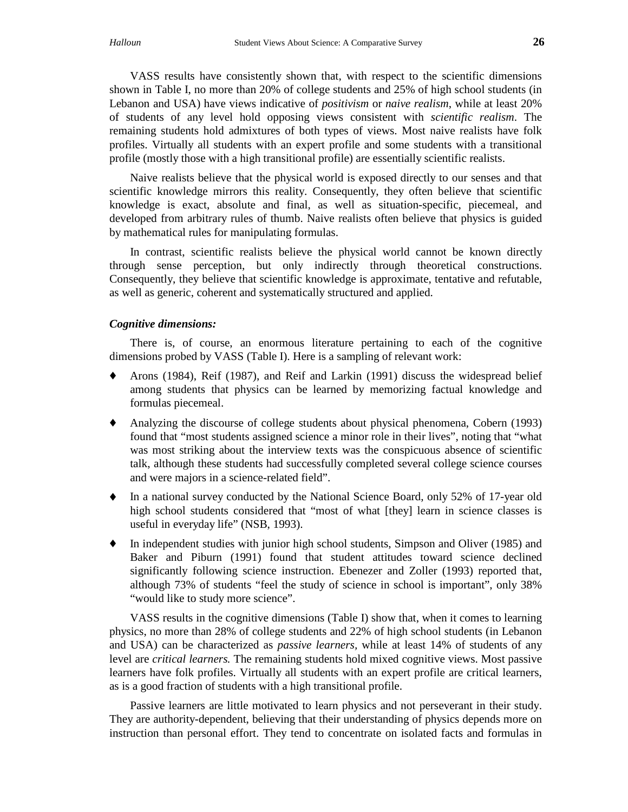VASS results have consistently shown that, with respect to the scientific dimensions shown in Table I, no more than 20% of college students and 25% of high school students (in Lebanon and USA) have views indicative of *positivism* or *naive realism*, while at least 20% of students of any level hold opposing views consistent with *scientific realism*. The remaining students hold admixtures of both types of views. Most naive realists have folk profiles. Virtually all students with an expert profile and some students with a transitional profile (mostly those with a high transitional profile) are essentially scientific realists.

Naive realists believe that the physical world is exposed directly to our senses and that scientific knowledge mirrors this reality. Consequently, they often believe that scientific knowledge is exact, absolute and final, as well as situation-specific, piecemeal, and developed from arbitrary rules of thumb. Naive realists often believe that physics is guided by mathematical rules for manipulating formulas.

In contrast, scientific realists believe the physical world cannot be known directly through sense perception, but only indirectly through theoretical constructions. Consequently, they believe that scientific knowledge is approximate, tentative and refutable, as well as generic, coherent and systematically structured and applied.

#### *Cognitive dimensions:*

There is, of course, an enormous literature pertaining to each of the cognitive dimensions probed by VASS (Table I). Here is a sampling of relevant work:

- Arons (1984), Reif (1987), and Reif and Larkin (1991) discuss the widespread belief among students that physics can be learned by memorizing factual knowledge and formulas piecemeal.
- Analyzing the discourse of college students about physical phenomena, Cobern (1993) found that "most students assigned science a minor role in their lives", noting that "what was most striking about the interview texts was the conspicuous absence of scientific talk, although these students had successfully completed several college science courses and were majors in a science-related field".
- ♦ In a national survey conducted by the National Science Board, only 52% of 17-year old high school students considered that "most of what [they] learn in science classes is useful in everyday life" (NSB, 1993).
- ♦ In independent studies with junior high school students, Simpson and Oliver (1985) and Baker and Piburn (1991) found that student attitudes toward science declined significantly following science instruction. Ebenezer and Zoller (1993) reported that, although 73% of students "feel the study of science in school is important", only 38% "would like to study more science".

VASS results in the cognitive dimensions (Table I) show that, when it comes to learning physics, no more than 28% of college students and 22% of high school students (in Lebanon and USA) can be characterized as *passive learners,* while at least 14% of students of any level are *critical learners.* The remaining students hold mixed cognitive views. Most passive learners have folk profiles. Virtually all students with an expert profile are critical learners, as is a good fraction of students with a high transitional profile.

Passive learners are little motivated to learn physics and not perseverant in their study. They are authority-dependent, believing that their understanding of physics depends more on instruction than personal effort. They tend to concentrate on isolated facts and formulas in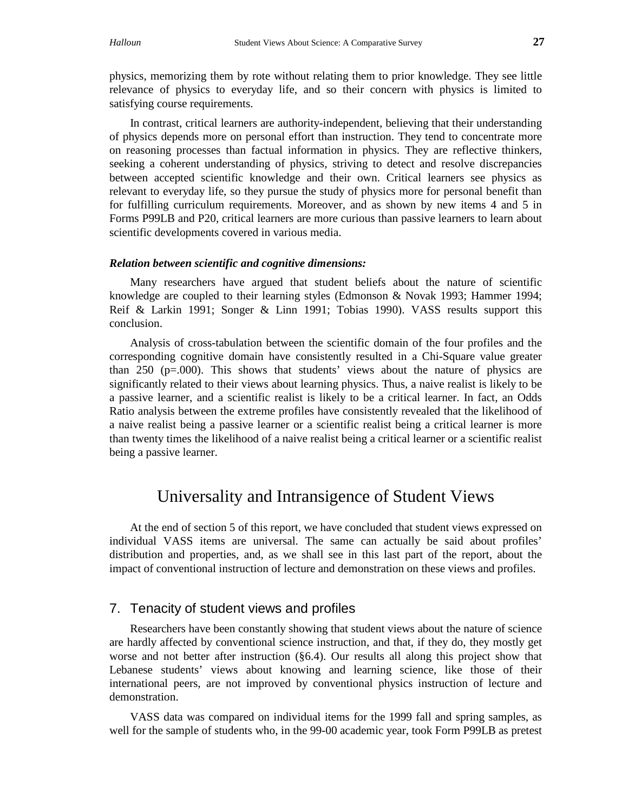physics, memorizing them by rote without relating them to prior knowledge. They see little relevance of physics to everyday life, and so their concern with physics is limited to satisfying course requirements.

In contrast, critical learners are authority-independent, believing that their understanding of physics depends more on personal effort than instruction. They tend to concentrate more on reasoning processes than factual information in physics. They are reflective thinkers, seeking a coherent understanding of physics, striving to detect and resolve discrepancies between accepted scientific knowledge and their own. Critical learners see physics as relevant to everyday life, so they pursue the study of physics more for personal benefit than for fulfilling curriculum requirements. Moreover, and as shown by new items 4 and 5 in Forms P99LB and P20, critical learners are more curious than passive learners to learn about scientific developments covered in various media.

#### *Relation between scientific and cognitive dimensions:*

Many researchers have argued that student beliefs about the nature of scientific knowledge are coupled to their learning styles (Edmonson & Novak 1993; Hammer 1994; Reif & Larkin 1991; Songer & Linn 1991; Tobias 1990). VASS results support this conclusion.

Analysis of cross-tabulation between the scientific domain of the four profiles and the corresponding cognitive domain have consistently resulted in a Chi-Square value greater than 250 ( $p=0.00$ ). This shows that students' views about the nature of physics are significantly related to their views about learning physics. Thus, a naive realist is likely to be a passive learner, and a scientific realist is likely to be a critical learner. In fact, an Odds Ratio analysis between the extreme profiles have consistently revealed that the likelihood of a naive realist being a passive learner or a scientific realist being a critical learner is more than twenty times the likelihood of a naive realist being a critical learner or a scientific realist being a passive learner.

# Universality and Intransigence of Student Views

At the end of section 5 of this report, we have concluded that student views expressed on individual VASS items are universal. The same can actually be said about profiles' distribution and properties, and, as we shall see in this last part of the report, about the impact of conventional instruction of lecture and demonstration on these views and profiles.

## 7. Tenacity of student views and profiles

Researchers have been constantly showing that student views about the nature of science are hardly affected by conventional science instruction, and that, if they do, they mostly get worse and not better after instruction (§6.4). Our results all along this project show that Lebanese students' views about knowing and learning science, like those of their international peers, are not improved by conventional physics instruction of lecture and demonstration.

VASS data was compared on individual items for the 1999 fall and spring samples, as well for the sample of students who, in the 99-00 academic year, took Form P99LB as pretest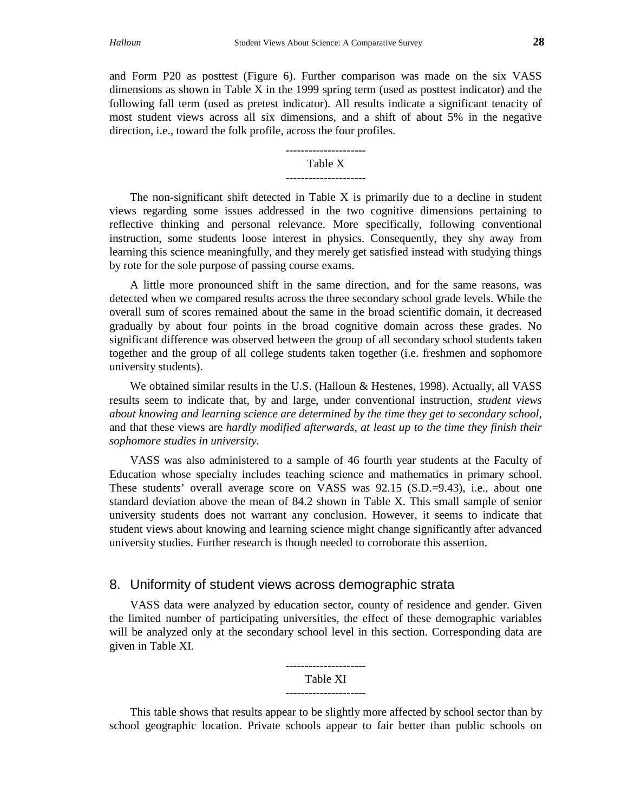and Form P20 as posttest (Figure 6). Further comparison was made on the six VASS dimensions as shown in Table X in the 1999 spring term (used as posttest indicator) and the following fall term (used as pretest indicator). All results indicate a significant tenacity of most student views across all six dimensions, and a shift of about 5% in the negative direction, i.e., toward the folk profile, across the four profiles.

# --------------------- Table X

The non-significant shift detected in Table X is primarily due to a decline in student views regarding some issues addressed in the two cognitive dimensions pertaining to reflective thinking and personal relevance. More specifically, following conventional instruction, some students loose interest in physics. Consequently, they shy away from learning this science meaningfully, and they merely get satisfied instead with studying things by rote for the sole purpose of passing course exams.

A little more pronounced shift in the same direction, and for the same reasons, was detected when we compared results across the three secondary school grade levels. While the overall sum of scores remained about the same in the broad scientific domain, it decreased gradually by about four points in the broad cognitive domain across these grades. No significant difference was observed between the group of all secondary school students taken together and the group of all college students taken together (i.e. freshmen and sophomore university students).

We obtained similar results in the U.S. (Halloun & Hestenes, 1998). Actually, all VASS results seem to indicate that, by and large, under conventional instruction, *student views about knowing and learning science are determined by the time they get to secondary school,* and that these views are *hardly modified afterwards, at least up to the time they finish their sophomore studies in university*.

VASS was also administered to a sample of 46 fourth year students at the Faculty of Education whose specialty includes teaching science and mathematics in primary school. These students' overall average score on VASS was 92.15 (S.D.=9.43), i.e., about one standard deviation above the mean of 84.2 shown in Table X. This small sample of senior university students does not warrant any conclusion. However, it seems to indicate that student views about knowing and learning science might change significantly after advanced university studies. Further research is though needed to corroborate this assertion.

## 8. Uniformity of student views across demographic strata

VASS data were analyzed by education sector, county of residence and gender. Given the limited number of participating universities, the effect of these demographic variables will be analyzed only at the secondary school level in this section. Corresponding data are given in Table XI.

## --------------------- Table XI ---------------------

This table shows that results appear to be slightly more affected by school sector than by school geographic location. Private schools appear to fair better than public schools on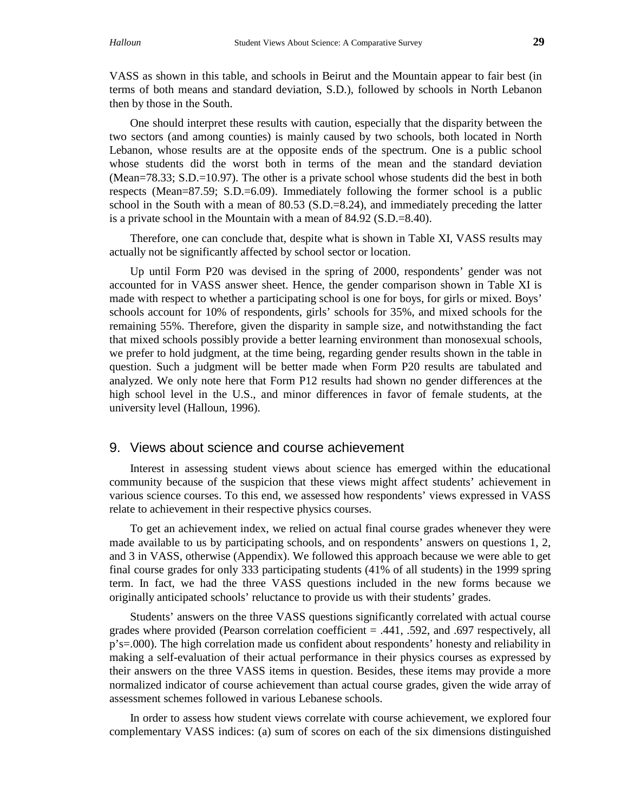VASS as shown in this table, and schools in Beirut and the Mountain appear to fair best (in terms of both means and standard deviation, S.D.), followed by schools in North Lebanon then by those in the South.

One should interpret these results with caution, especially that the disparity between the two sectors (and among counties) is mainly caused by two schools, both located in North Lebanon, whose results are at the opposite ends of the spectrum. One is a public school whose students did the worst both in terms of the mean and the standard deviation (Mean=78.33; S.D.=10.97). The other is a private school whose students did the best in both respects (Mean=87.59; S.D.=6.09). Immediately following the former school is a public school in the South with a mean of  $80.53$  (S.D.=8.24), and immediately preceding the latter is a private school in the Mountain with a mean of 84.92 (S.D.=8.40).

Therefore, one can conclude that, despite what is shown in Table XI, VASS results may actually not be significantly affected by school sector or location.

Up until Form P20 was devised in the spring of 2000, respondents' gender was not accounted for in VASS answer sheet. Hence, the gender comparison shown in Table XI is made with respect to whether a participating school is one for boys, for girls or mixed. Boys' schools account for 10% of respondents, girls' schools for 35%, and mixed schools for the remaining 55%. Therefore, given the disparity in sample size, and notwithstanding the fact that mixed schools possibly provide a better learning environment than monosexual schools, we prefer to hold judgment, at the time being, regarding gender results shown in the table in question. Such a judgment will be better made when Form P20 results are tabulated and analyzed. We only note here that Form P12 results had shown no gender differences at the high school level in the U.S., and minor differences in favor of female students, at the university level (Halloun, 1996).

### 9. Views about science and course achievement

Interest in assessing student views about science has emerged within the educational community because of the suspicion that these views might affect students' achievement in various science courses. To this end, we assessed how respondents' views expressed in VASS relate to achievement in their respective physics courses.

To get an achievement index, we relied on actual final course grades whenever they were made available to us by participating schools, and on respondents' answers on questions 1, 2, and 3 in VASS, otherwise (Appendix). We followed this approach because we were able to get final course grades for only 333 participating students (41% of all students) in the 1999 spring term. In fact, we had the three VASS questions included in the new forms because we originally anticipated schools' reluctance to provide us with their students' grades.

Students' answers on the three VASS questions significantly correlated with actual course grades where provided (Pearson correlation coefficient = .441, .592, and .697 respectively, all p's=.000). The high correlation made us confident about respondents' honesty and reliability in making a self-evaluation of their actual performance in their physics courses as expressed by their answers on the three VASS items in question. Besides, these items may provide a more normalized indicator of course achievement than actual course grades, given the wide array of assessment schemes followed in various Lebanese schools.

In order to assess how student views correlate with course achievement, we explored four complementary VASS indices: (a) sum of scores on each of the six dimensions distinguished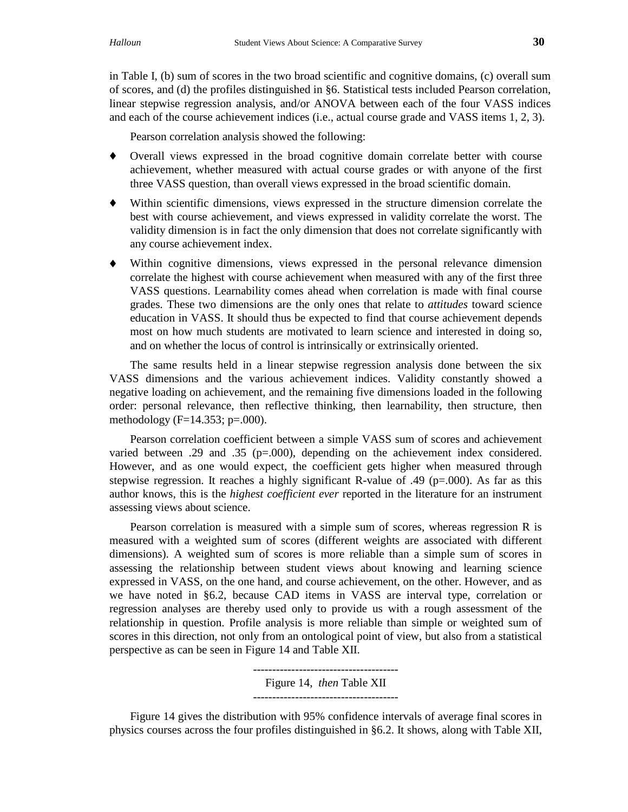in Table I, (b) sum of scores in the two broad scientific and cognitive domains, (c) overall sum of scores, and (d) the profiles distinguished in §6. Statistical tests included Pearson correlation, linear stepwise regression analysis, and/or ANOVA between each of the four VASS indices and each of the course achievement indices (i.e., actual course grade and VASS items 1, 2, 3).

Pearson correlation analysis showed the following:

- ♦ Overall views expressed in the broad cognitive domain correlate better with course achievement, whether measured with actual course grades or with anyone of the first three VASS question, than overall views expressed in the broad scientific domain.
- ♦ Within scientific dimensions, views expressed in the structure dimension correlate the best with course achievement, and views expressed in validity correlate the worst. The validity dimension is in fact the only dimension that does not correlate significantly with any course achievement index.
- ♦ Within cognitive dimensions, views expressed in the personal relevance dimension correlate the highest with course achievement when measured with any of the first three VASS questions. Learnability comes ahead when correlation is made with final course grades. These two dimensions are the only ones that relate to *attitudes* toward science education in VASS. It should thus be expected to find that course achievement depends most on how much students are motivated to learn science and interested in doing so, and on whether the locus of control is intrinsically or extrinsically oriented.

The same results held in a linear stepwise regression analysis done between the six VASS dimensions and the various achievement indices. Validity constantly showed a negative loading on achievement, and the remaining five dimensions loaded in the following order: personal relevance, then reflective thinking, then learnability, then structure, then methodology ( $F=14.353$ ;  $p=.000$ ).

Pearson correlation coefficient between a simple VASS sum of scores and achievement varied between .29 and .35 (p=.000), depending on the achievement index considered. However, and as one would expect, the coefficient gets higher when measured through stepwise regression. It reaches a highly significant R-value of .49 ( $p=000$ ). As far as this author knows, this is the *highest coefficient ever* reported in the literature for an instrument assessing views about science.

Pearson correlation is measured with a simple sum of scores, whereas regression R is measured with a weighted sum of scores (different weights are associated with different dimensions). A weighted sum of scores is more reliable than a simple sum of scores in assessing the relationship between student views about knowing and learning science expressed in VASS, on the one hand, and course achievement, on the other. However, and as we have noted in §6.2, because CAD items in VASS are interval type, correlation or regression analyses are thereby used only to provide us with a rough assessment of the relationship in question. Profile analysis is more reliable than simple or weighted sum of scores in this direction, not only from an ontological point of view, but also from a statistical perspective as can be seen in Figure 14 and Table XII.

> -------------------------------------- Figure 14, *then* Table XII --------------------------------------

Figure 14 gives the distribution with 95% confidence intervals of average final scores in physics courses across the four profiles distinguished in §6.2. It shows, along with Table XII,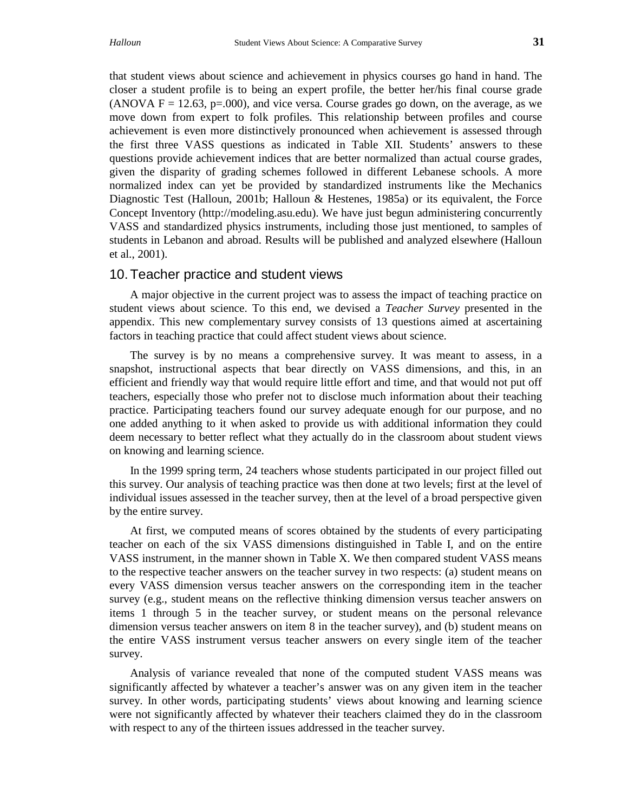that student views about science and achievement in physics courses go hand in hand. The closer a student profile is to being an expert profile, the better her/his final course grade (ANOVA  $F = 12.63$ , p=.000), and vice versa. Course grades go down, on the average, as we move down from expert to folk profiles. This relationship between profiles and course achievement is even more distinctively pronounced when achievement is assessed through the first three VASS questions as indicated in Table XII. Students' answers to these questions provide achievement indices that are better normalized than actual course grades, given the disparity of grading schemes followed in different Lebanese schools. A more normalized index can yet be provided by standardized instruments like the Mechanics Diagnostic Test (Halloun, 2001b; Halloun & Hestenes, 1985a) or its equivalent, the Force Concept Inventory (http://modeling.asu.edu). We have just begun administering concurrently VASS and standardized physics instruments, including those just mentioned, to samples of students in Lebanon and abroad. Results will be published and analyzed elsewhere (Halloun et al., 2001).

### 10. Teacher practice and student views

A major objective in the current project was to assess the impact of teaching practice on student views about science. To this end, we devised a *Teacher Survey* presented in the appendix. This new complementary survey consists of 13 questions aimed at ascertaining factors in teaching practice that could affect student views about science.

The survey is by no means a comprehensive survey. It was meant to assess, in a snapshot, instructional aspects that bear directly on VASS dimensions, and this, in an efficient and friendly way that would require little effort and time, and that would not put off teachers, especially those who prefer not to disclose much information about their teaching practice. Participating teachers found our survey adequate enough for our purpose, and no one added anything to it when asked to provide us with additional information they could deem necessary to better reflect what they actually do in the classroom about student views on knowing and learning science.

In the 1999 spring term, 24 teachers whose students participated in our project filled out this survey. Our analysis of teaching practice was then done at two levels; first at the level of individual issues assessed in the teacher survey, then at the level of a broad perspective given by the entire survey.

At first, we computed means of scores obtained by the students of every participating teacher on each of the six VASS dimensions distinguished in Table I, and on the entire VASS instrument, in the manner shown in Table X. We then compared student VASS means to the respective teacher answers on the teacher survey in two respects: (a) student means on every VASS dimension versus teacher answers on the corresponding item in the teacher survey (e.g., student means on the reflective thinking dimension versus teacher answers on items 1 through 5 in the teacher survey, or student means on the personal relevance dimension versus teacher answers on item 8 in the teacher survey), and (b) student means on the entire VASS instrument versus teacher answers on every single item of the teacher survey.

Analysis of variance revealed that none of the computed student VASS means was significantly affected by whatever a teacher's answer was on any given item in the teacher survey. In other words, participating students' views about knowing and learning science were not significantly affected by whatever their teachers claimed they do in the classroom with respect to any of the thirteen issues addressed in the teacher survey.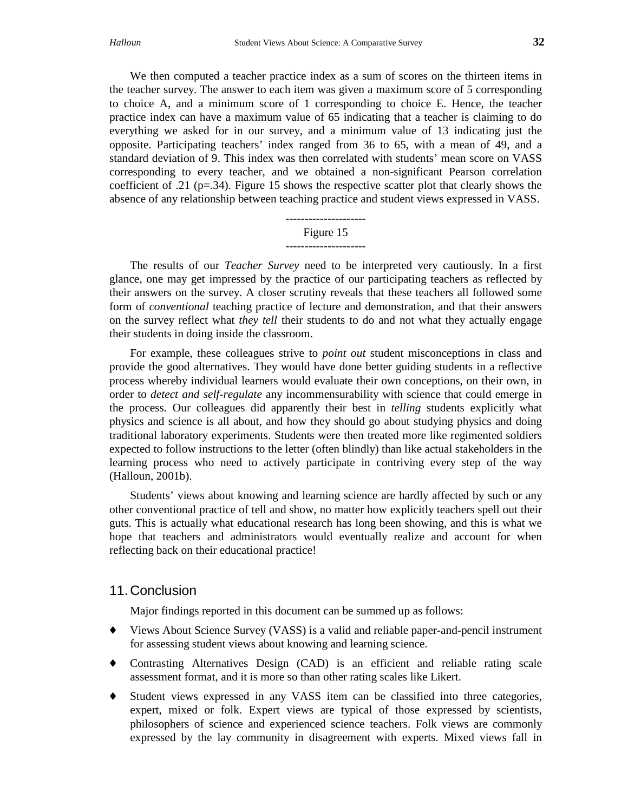We then computed a teacher practice index as a sum of scores on the thirteen items in the teacher survey. The answer to each item was given a maximum score of 5 corresponding to choice A, and a minimum score of 1 corresponding to choice E. Hence, the teacher practice index can have a maximum value of 65 indicating that a teacher is claiming to do everything we asked for in our survey, and a minimum value of 13 indicating just the opposite. Participating teachers' index ranged from 36 to 65, with a mean of 49, and a standard deviation of 9. This index was then correlated with students' mean score on VASS corresponding to every teacher, and we obtained a non-significant Pearson correlation coefficient of .21 (p=.34). Figure 15 shows the respective scatter plot that clearly shows the absence of any relationship between teaching practice and student views expressed in VASS.

#### --------------------- Figure 15

#### ---------------------

The results of our *Teacher Survey* need to be interpreted very cautiously. In a first glance, one may get impressed by the practice of our participating teachers as reflected by their answers on the survey. A closer scrutiny reveals that these teachers all followed some form of *conventional* teaching practice of lecture and demonstration, and that their answers on the survey reflect what *they tell* their students to do and not what they actually engage their students in doing inside the classroom.

For example, these colleagues strive to *point out* student misconceptions in class and provide the good alternatives. They would have done better guiding students in a reflective process whereby individual learners would evaluate their own conceptions, on their own, in order to *detect and self-regulate* any incommensurability with science that could emerge in the process. Our colleagues did apparently their best in *telling* students explicitly what physics and science is all about, and how they should go about studying physics and doing traditional laboratory experiments. Students were then treated more like regimented soldiers expected to follow instructions to the letter (often blindly) than like actual stakeholders in the learning process who need to actively participate in contriving every step of the way (Halloun, 2001b).

Students' views about knowing and learning science are hardly affected by such or any other conventional practice of tell and show, no matter how explicitly teachers spell out their guts. This is actually what educational research has long been showing, and this is what we hope that teachers and administrators would eventually realize and account for when reflecting back on their educational practice!

## 11. Conclusion

Major findings reported in this document can be summed up as follows:

- ♦ Views About Science Survey (VASS) is a valid and reliable paper-and-pencil instrument for assessing student views about knowing and learning science.
- ♦ Contrasting Alternatives Design (CAD) is an efficient and reliable rating scale assessment format, and it is more so than other rating scales like Likert.
- ♦ Student views expressed in any VASS item can be classified into three categories, expert, mixed or folk. Expert views are typical of those expressed by scientists, philosophers of science and experienced science teachers. Folk views are commonly expressed by the lay community in disagreement with experts. Mixed views fall in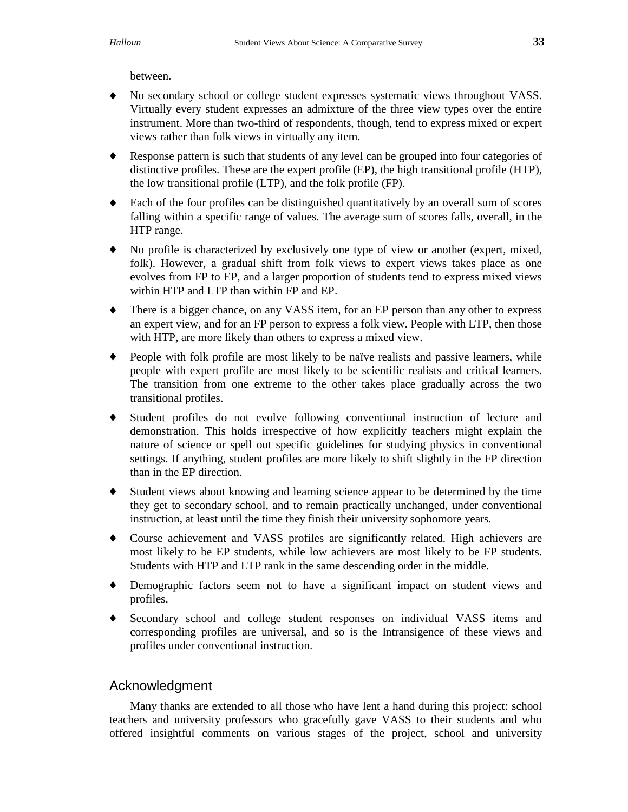between.

- ♦ No secondary school or college student expresses systematic views throughout VASS. Virtually every student expresses an admixture of the three view types over the entire instrument. More than two-third of respondents, though, tend to express mixed or expert views rather than folk views in virtually any item.
- ♦ Response pattern is such that students of any level can be grouped into four categories of distinctive profiles. These are the expert profile (EP), the high transitional profile (HTP), the low transitional profile (LTP), and the folk profile (FP).
- ♦ Each of the four profiles can be distinguished quantitatively by an overall sum of scores falling within a specific range of values. The average sum of scores falls, overall, in the HTP range.
- ♦ No profile is characterized by exclusively one type of view or another (expert, mixed, folk). However, a gradual shift from folk views to expert views takes place as one evolves from FP to EP, and a larger proportion of students tend to express mixed views within HTP and LTP than within FP and EP.
- ♦ There is a bigger chance, on any VASS item, for an EP person than any other to express an expert view, and for an FP person to express a folk view. People with LTP, then those with HTP, are more likely than others to express a mixed view.
- ♦ People with folk profile are most likely to be naïve realists and passive learners, while people with expert profile are most likely to be scientific realists and critical learners. The transition from one extreme to the other takes place gradually across the two transitional profiles.
- ♦ Student profiles do not evolve following conventional instruction of lecture and demonstration. This holds irrespective of how explicitly teachers might explain the nature of science or spell out specific guidelines for studying physics in conventional settings. If anything, student profiles are more likely to shift slightly in the FP direction than in the EP direction.
- ♦ Student views about knowing and learning science appear to be determined by the time they get to secondary school, and to remain practically unchanged, under conventional instruction, at least until the time they finish their university sophomore years.
- ♦ Course achievement and VASS profiles are significantly related. High achievers are most likely to be EP students, while low achievers are most likely to be FP students. Students with HTP and LTP rank in the same descending order in the middle.
- ♦ Demographic factors seem not to have a significant impact on student views and profiles.
- ♦ Secondary school and college student responses on individual VASS items and corresponding profiles are universal, and so is the Intransigence of these views and profiles under conventional instruction.

## Acknowledgment

Many thanks are extended to all those who have lent a hand during this project: school teachers and university professors who gracefully gave VASS to their students and who offered insightful comments on various stages of the project, school and university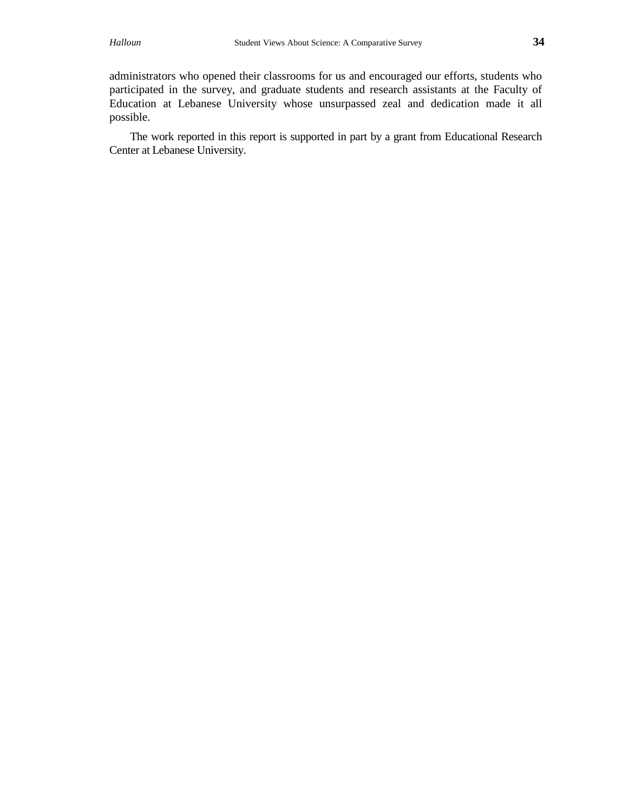administrators who opened their classrooms for us and encouraged our efforts, students who participated in the survey, and graduate students and research assistants at the Faculty of Education at Lebanese University whose unsurpassed zeal and dedication made it all possible.

The work reported in this report is supported in part by a grant from Educational Research Center at Lebanese University.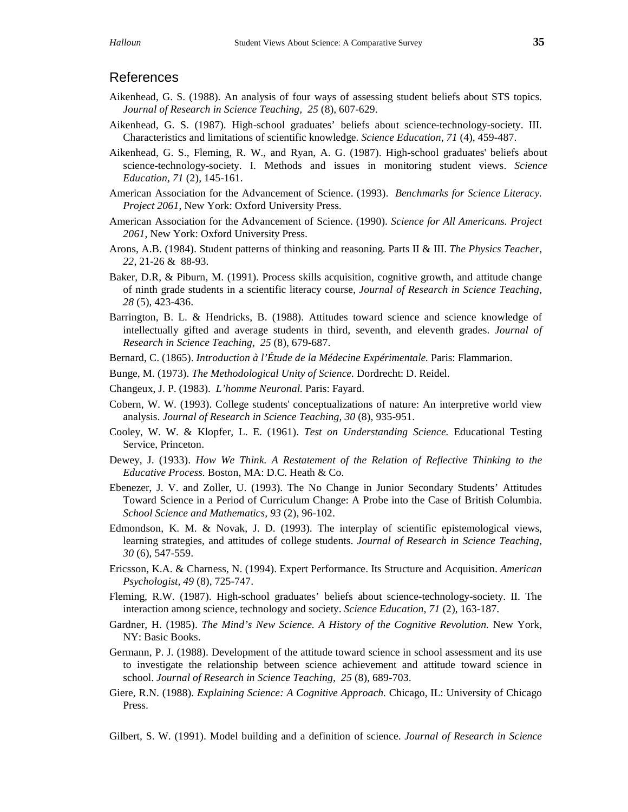## References

- Aikenhead, G. S. (1988). An analysis of four ways of assessing student beliefs about STS topics. *Journal of Research in Science Teaching, 25* (8), 607-629.
- Aikenhead, G. S. (1987). High-school graduates' beliefs about science-technology-society. III. Characteristics and limitations of scientific knowledge. *Science Education*, *71* (4), 459-487.
- Aikenhead, G. S., Fleming, R. W., and Ryan, A. G. (1987). High-school graduates' beliefs about science-technology-society. I. Methods and issues in monitoring student views. *Science Education, 71* (2), 145-161.
- American Association for the Advancement of Science. (1993). *Benchmarks for Science Literacy. Project 2061*, New York: Oxford University Press.
- American Association for the Advancement of Science. (1990). *Science for All Americans. Project 2061*, New York: Oxford University Press.
- Arons, A.B. (1984). Student patterns of thinking and reasoning. Parts II & III. *The Physics Teacher, 22,* 21-26 & 88-93.
- Baker, D.R, & Piburn, M. (1991). Process skills acquisition, cognitive growth, and attitude change of ninth grade students in a scientific literacy course, *Journal of Research in Science Teaching, 28* (5), 423-436.
- Barrington, B. L. & Hendricks, B. (1988). Attitudes toward science and science knowledge of intellectually gifted and average students in third, seventh, and eleventh grades. *Journal of Research in Science Teaching, 25* (8), 679-687.
- Bernard, C. (1865). *Introduction à l'Étude de la Médecine Expérimentale.* Paris: Flammarion.
- Bunge, M. (1973). *The Methodological Unity of Science.* Dordrecht: D. Reidel.
- Changeux, J. P. (1983). *L'homme Neuronal.* Paris: Fayard.
- Cobern, W. W. (1993). College students' conceptualizations of nature: An interpretive world view analysis. *Journal of Research in Science Teaching, 30* (8), 935-951.
- Cooley, W. W. & Klopfer, L. E. (1961). *Test on Understanding Science.* Educational Testing Service, Princeton.
- Dewey, J. (1933). *How We Think. A Restatement of the Relation of Reflective Thinking to the Educative Process.* Boston, MA: D.C. Heath & Co.
- Ebenezer, J. V. and Zoller, U. (1993). The No Change in Junior Secondary Students' Attitudes Toward Science in a Period of Curriculum Change: A Probe into the Case of British Columbia. *School Science and Mathematics, 93* (2), 96-102.
- Edmondson, K. M. & Novak, J. D. (1993). The interplay of scientific epistemological views, learning strategies, and attitudes of college students. *Journal of Research in Science Teaching, 30* (6), 547-559.
- Ericsson, K.A. & Charness, N. (1994). Expert Performance. Its Structure and Acquisition. *American Psychologist, 49* (8), 725-747.
- Fleming, R.W. (1987). High-school graduates' beliefs about science-technology-society. II. The interaction among science, technology and society. *Science Education*, *71* (2), 163-187.
- Gardner, H. (1985). *The Mind's New Science. A History of the Cognitive Revolution.* New York, NY: Basic Books.
- Germann, P. J. (1988). Development of the attitude toward science in school assessment and its use to investigate the relationship between science achievement and attitude toward science in school. *Journal of Research in Science Teaching, 25* (8), 689-703.
- Giere, R.N. (1988). *Explaining Science: A Cognitive Approach.* Chicago, IL: University of Chicago Press.
- Gilbert, S. W. (1991). Model building and a definition of science. *Journal of Research in Science*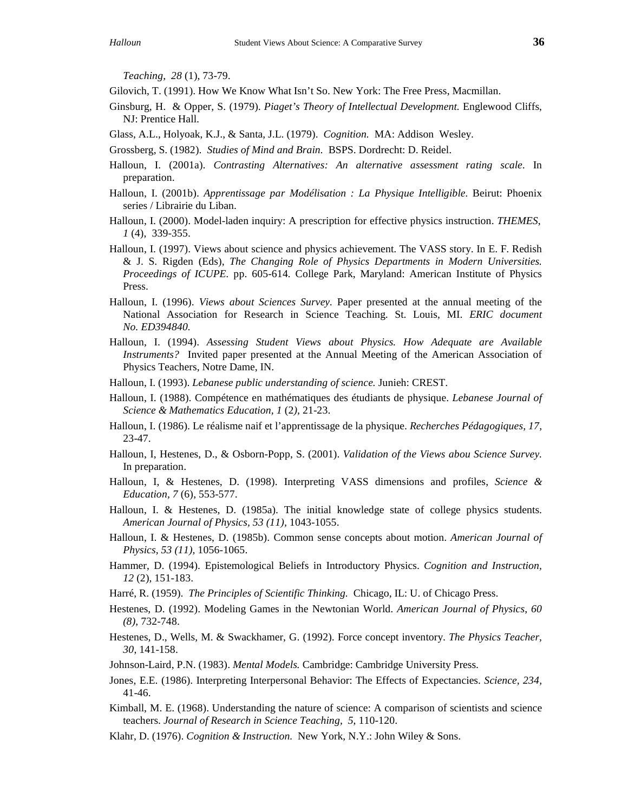*Teaching, 28* (1), 73-79.

Gilovich, T. (1991). How We Know What Isn't So. New York: The Free Press, Macmillan.

- Ginsburg, H. & Opper, S. (1979). *Piaget's Theory of Intellectual Development.* Englewood Cliffs, NJ: Prentice Hall.
- Glass, A.L., Holyoak, K.J., & Santa, J.L. (1979). *Cognition.* MA: Addison Wesley.
- Grossberg, S. (1982). *Studies of Mind and Brain.* BSPS. Dordrecht: D. Reidel.
- Halloun, I. (2001a). *Contrasting Alternatives: An alternative assessment rating scale*. In preparation.
- Halloun, I. (2001b). *Apprentissage par Modélisation : La Physique Intelligible.* Beirut: Phoenix series / Librairie du Liban.
- Halloun, I. (2000). Model-laden inquiry: A prescription for effective physics instruction. *THEMES*, *1* (4), 339-355.
- Halloun, I. (1997). Views about science and physics achievement. The VASS story. In E. F. Redish & J. S. Rigden (Eds), *The Changing Role of Physics Departments in Modern Universities. Proceedings of ICUPE.* pp. 605-614*.* College Park, Maryland: American Institute of Physics Press.
- Halloun, I. (1996). *Views about Sciences Survey.* Paper presented at the annual meeting of the National Association for Research in Science Teaching. St. Louis, MI. *ERIC document No. ED394840.*
- Halloun, I. (1994). *Assessing Student Views about Physics. How Adequate are Available Instruments?* Invited paper presented at the Annual Meeting of the American Association of Physics Teachers, Notre Dame, IN.
- Halloun, I. (1993). *Lebanese public understanding of science.* Junieh: CREST.
- Halloun, I. (1988). Compétence en mathématiques des étudiants de physique. *Lebanese Journal of Science & Mathematics Education, 1* (2*),* 21-23.
- Halloun, I. (1986). Le réalisme naif et l'apprentissage de la physique. *Recherches Pédagogiques, 17,* 23-47.
- Halloun, I, Hestenes, D., & Osborn-Popp, S. (2001). *Validation of the Views abou Science Survey.* In preparation.
- Halloun, I, & Hestenes, D. (1998). Interpreting VASS dimensions and profiles, *Science & Education, 7* (6), 553-577.
- Halloun, I. & Hestenes, D. (1985a). The initial knowledge state of college physics students. *American Journal of Physics, 53 (11),* 1043-1055.
- Halloun, I. & Hestenes, D. (1985b). Common sense concepts about motion. *American Journal of Physics, 53 (11),* 1056-1065.
- Hammer, D. (1994). Epistemological Beliefs in Introductory Physics. *Cognition and Instruction, 12* (2), 151-183.
- Harré, R. (1959). *The Principles of Scientific Thinking.* Chicago, IL: U. of Chicago Press.
- Hestenes, D. (1992). Modeling Games in the Newtonian World. *American Journal of Physics*, *60 (8)*, 732-748.
- Hestenes, D., Wells, M. & Swackhamer, G. (1992). Force concept inventory. *The Physics Teacher, 30*, 141-158.
- Johnson-Laird, P.N. (1983). *Mental Models.* Cambridge: Cambridge University Press.
- Jones, E.E. (1986). Interpreting Interpersonal Behavior: The Effects of Expectancies. *Science, 234,* 41-46.
- Kimball, M. E. (1968). Understanding the nature of science: A comparison of scientists and science teachers. *Journal of Research in Science Teaching, 5*, 110-120.
- Klahr, D. (1976). *Cognition & Instruction.* New York, N.Y.: John Wiley & Sons.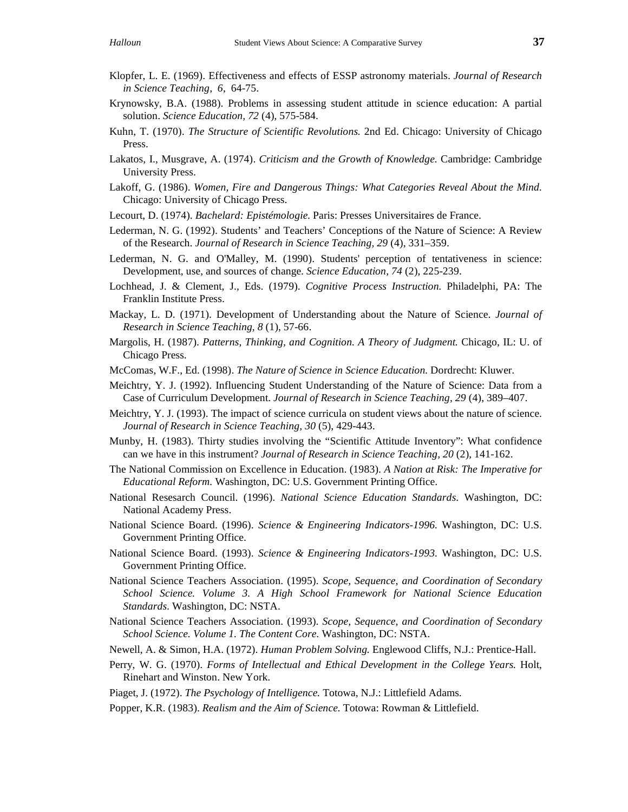- Klopfer, L. E. (1969). Effectiveness and effects of ESSP astronomy materials. *Journal of Research in Science Teaching, 6*, 64-75.
- Krynowsky, B.A. (1988). Problems in assessing student attitude in science education: A partial solution. *Science Education, 72* (4), 575-584.
- Kuhn, T. (1970). *The Structure of Scientific Revolutions.* 2nd Ed. Chicago: University of Chicago Press.
- Lakatos, I., Musgrave, A. (1974). *Criticism and the Growth of Knowledge.* Cambridge: Cambridge University Press.
- Lakoff, G. (1986). *Women, Fire and Dangerous Things: What Categories Reveal About the Mind.* Chicago: University of Chicago Press.
- Lecourt, D. (1974). *Bachelard: Epistémologie.* Paris: Presses Universitaires de France.
- Lederman, N. G. (1992). Students' and Teachers' Conceptions of the Nature of Science: A Review of the Research. *Journal of Research in Science Teaching, 29* (4), 331–359.
- Lederman, N. G. and O'Malley, M. (1990). Students' perception of tentativeness in science: Development, use, and sources of change. *Science Education, 74* (2), 225-239.
- Lochhead, J. & Clement, J., Eds. (1979). *Cognitive Process Instruction.* Philadelphi, PA: The Franklin Institute Press.
- Mackay, L. D. (1971). Development of Understanding about the Nature of Science. *Journal of Research in Science Teaching, 8* (1), 57-66.
- Margolis, H. (1987). *Patterns, Thinking, and Cognition. A Theory of Judgment.* Chicago, IL: U. of Chicago Press.
- McComas, W.F., Ed. (1998). *The Nature of Science in Science Education.* Dordrecht: Kluwer.
- Meichtry, Y. J. (1992). Influencing Student Understanding of the Nature of Science: Data from a Case of Curriculum Development. *Journal of Research in Science Teaching, 29* (4), 389–407.
- Meichtry, Y. J. (1993). The impact of science curricula on student views about the nature of science. *Journal of Research in Science Teaching, 30* (5), 429-443.
- Munby, H. (1983). Thirty studies involving the "Scientific Attitude Inventory": What confidence can we have in this instrument? *Journal of Research in Science Teaching, 20* (2), 141-162.
- The National Commission on Excellence in Education. (1983). *A Nation at Risk: The Imperative for Educational Reform.* Washington, DC: U.S. Government Printing Office.
- National Resesarch Council. (1996). *National Science Education Standards*. Washington, DC: National Academy Press.
- National Science Board. (1996). *Science & Engineering Indicators-1996.* Washington, DC: U.S. Government Printing Office.
- National Science Board. (1993). *Science & Engineering Indicators-1993.* Washington, DC: U.S. Government Printing Office.
- National Science Teachers Association. (1995). *Scope, Sequence, and Coordination of Secondary School Science. Volume 3. A High School Framework for National Science Education Standards.* Washington, DC: NSTA.
- National Science Teachers Association. (1993). *Scope, Sequence, and Coordination of Secondary School Science. Volume 1. The Content Core.* Washington, DC: NSTA.
- Newell, A. & Simon, H.A. (1972). *Human Problem Solving.* Englewood Cliffs, N.J.: Prentice-Hall.
- Perry, W. G. (1970). *Forms of Intellectual and Ethical Development in the College Years.* Holt, Rinehart and Winston. New York.
- Piaget, J. (1972). *The Psychology of Intelligence.* Totowa, N.J.: Littlefield Adams.
- Popper, K.R. (1983). *Realism and the Aim of Science.* Totowa: Rowman & Littlefield.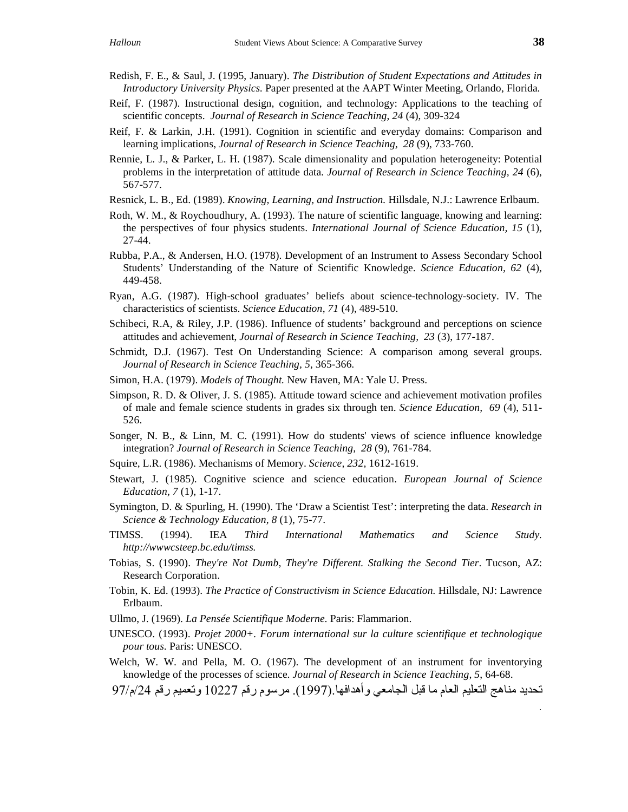- Redish, F. E., & Saul, J. (1995, January). *The Distribution of Student Expectations and Attitudes in Introductory University Physics.* Paper presented at the AAPT Winter Meeting*,* Orlando, Florida.
- Reif, F. (1987). Instructional design, cognition, and technology: Applications to the teaching of scientific concepts. *Journal of Research in Science Teaching*, *24* (4), 309-324
- Reif, F. & Larkin, J.H. (1991). Cognition in scientific and everyday domains: Comparison and learning implications, *Journal of Research in Science Teaching, 28* (9), 733-760.
- Rennie, L. J., & Parker, L. H. (1987). Scale dimensionality and population heterogeneity: Potential problems in the interpretation of attitude data. *Journal of Research in Science Teaching, 24* (6), 567-577.
- Resnick, L. B., Ed. (1989). *Knowing, Learning, and Instruction.* Hillsdale, N.J.: Lawrence Erlbaum.
- Roth, W. M., & Roychoudhury, A. (1993). The nature of scientific language, knowing and learning: the perspectives of four physics students. *International Journal of Science Education, 15* (1), 27-44.
- Rubba, P.A., & Andersen, H.O. (1978). Development of an Instrument to Assess Secondary School Students' Understanding of the Nature of Scientific Knowledge. *Science Education, 62* (4)*,* 449-458.
- Ryan, A.G. (1987). High-school graduates' beliefs about science-technology-society. IV. The characteristics of scientists. *Science Education*, *71* (4), 489-510.
- Schibeci, R.A, & Riley, J.P. (1986). Influence of students' background and perceptions on science attitudes and achievement, *Journal of Research in Science Teaching, 23* (3), 177-187.
- Schmidt, D.J. (1967). Test On Understanding Science: A comparison among several groups. *Journal of Research in Science Teaching, 5*, 365-366*.*
- Simon, H.A. (1979). *Models of Thought.* New Haven, MA: Yale U. Press.
- Simpson, R. D. & Oliver, J. S. (1985). Attitude toward science and achievement motivation profiles of male and female science students in grades six through ten. *Science Education, 69* (4), 511- 526.
- Songer, N. B., & Linn, M. C. (1991). How do students' views of science influence knowledge integration? *Journal of Research in Science Teaching, 28* (9), 761-784.
- Squire, L.R. (1986). Mechanisms of Memory. *Science, 232,* 1612-1619.
- Stewart, J. (1985). Cognitive science and science education. *European Journal of Science Education, 7* (1), 1-17.
- Symington, D. & Spurling, H. (1990). The 'Draw a Scientist Test': interpreting the data. *Research in Science & Technology Education, 8* (1), 75-77.
- TIMSS. (1994). IEA *Third International Mathematics and Science Study. http://wwwcsteep.bc.edu/timss.*
- Tobias, S. (1990). *They're Not Dumb, They're Different. Stalking the Second Tier*. Tucson, AZ: Research Corporation.
- Tobin, K. Ed. (1993). *The Practice of Constructivism in Science Education.* Hillsdale, NJ: Lawrence Erlbaum.
- Ullmo, J. (1969). *La Pensée Scientifique Moderne.* Paris: Flammarion.
- UNESCO. (1993). *Projet 2000+. Forum international sur la culture scientifique et technologique pour tous.* Paris: UNESCO.
- Welch, W. W. and Pella, M. O. (1967). The development of an instrument for inventorying knowledge of the processes of science. *Journal of Research in Science Teaching, 5*, 64-68.
- تحديد مناهج التعليم العام ما قبل الجامعي وأهدافها (1997). مرسوم رقم 10227 وتعميم رقم 24/م/97

 $\ddot{\phantom{0}}$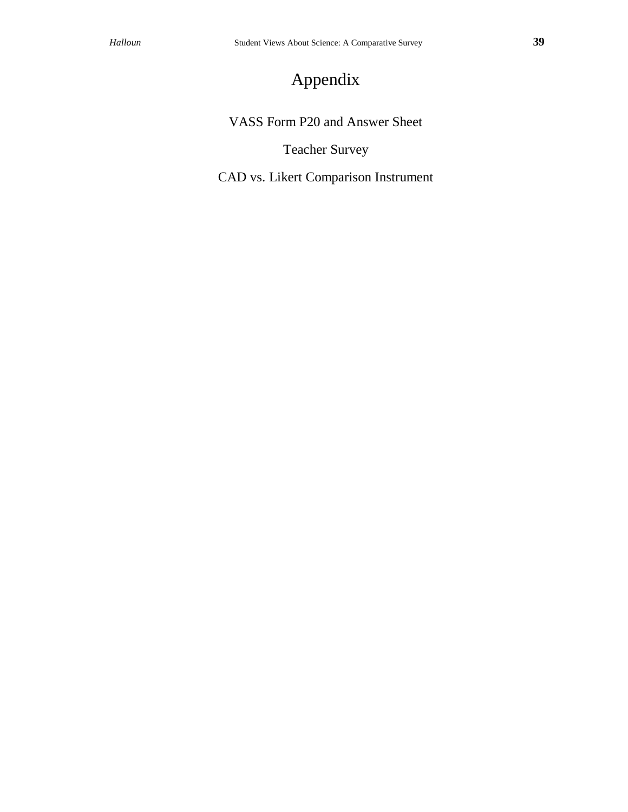# Appendix

VASS Form P20 and Answer Sheet

Teacher Survey

CAD vs. Likert Comparison Instrument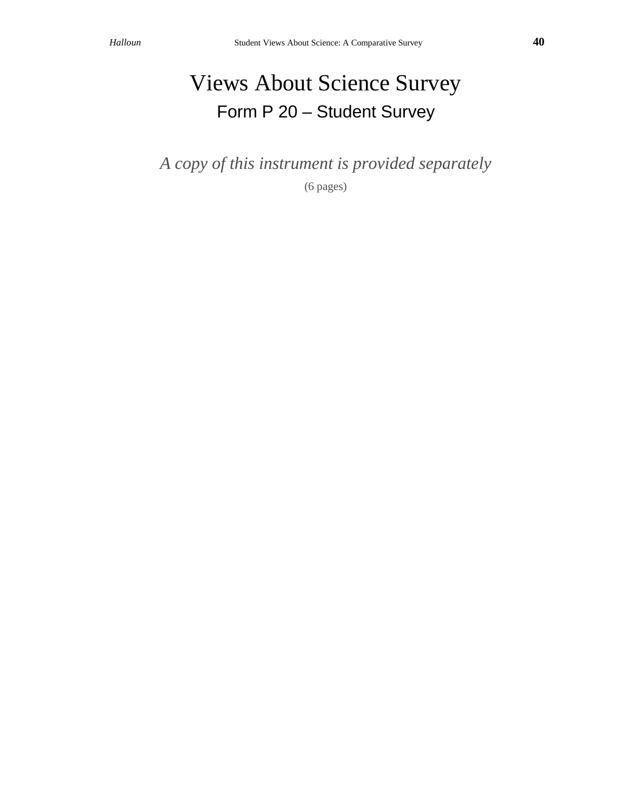# Views About Science Survey Form P 20 – Student Survey

*A copy of this instrument is provided separately*

(6 pages)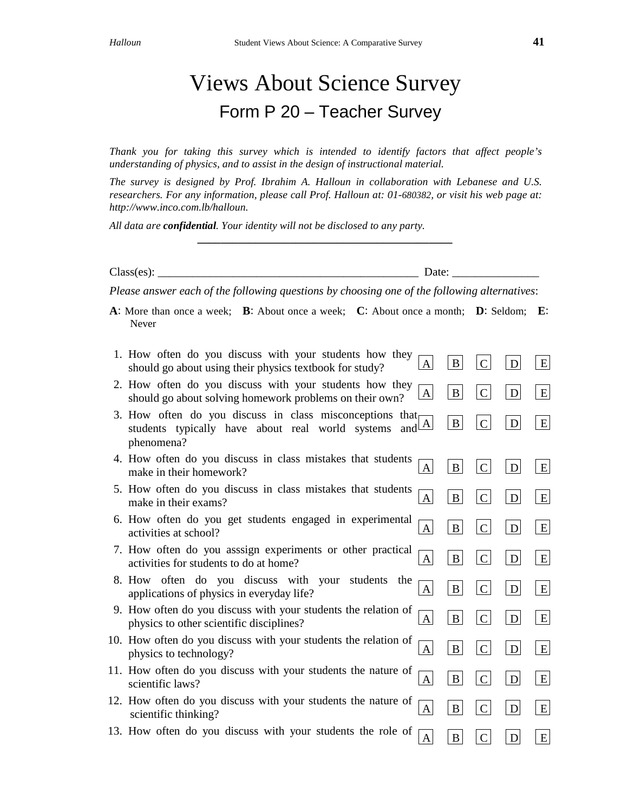# Views About Science Survey Form P 20 – Teacher Survey

*Thank you for taking this survey which is intended to identify factors that affect people's understanding of physics, and to assist in the design of instructional material.*

*The survey is designed by Prof. Ibrahim A. Halloun in collaboration with Lebanese and U.S. researchers. For any information, please call Prof. Halloun at: 01-680382, or visit his web page at: http://www.inco.com.lb/halloun.*

*\_\_\_\_\_\_\_\_\_\_\_\_\_\_\_\_\_\_\_\_\_\_\_\_\_\_\_\_\_\_\_\_\_\_\_\_\_\_\_\_\_\_\_\_*

*All data are confidential. Your identity will not be disclosed to any party.*

Class(es): \_\_\_\_\_\_\_\_\_\_\_\_\_\_\_\_\_\_\_\_\_\_\_\_\_\_\_\_\_\_\_\_\_\_\_\_\_\_\_\_\_\_\_\_\_ Date: \_\_\_\_\_\_\_\_\_\_\_\_\_\_\_

*Please answer each of the following questions by choosing one of the following alternatives*:

**A**: More than once a week; **B**: About once a week; **C**: About once a month; **D**: Seldom; **E**: Never

| 1. How often do you discuss with your students how they<br>A<br>should go about using their physics textbook for study?                                    | B            |                | D | E |
|------------------------------------------------------------------------------------------------------------------------------------------------------------|--------------|----------------|---|---|
| 2. How often do you discuss with your students how they<br>A<br>should go about solving homework problems on their own?                                    | B            | $\mathbf C$    | D | E |
| 3. How often do you discuss in class misconceptions that<br>$\Delta$<br>students typically have about real world systems<br>and <sup>L</sup><br>phenomena? | $\bf{B}$     | $\mathsf{C}$   | D | E |
| 4. How often do you discuss in class mistakes that students<br>A<br>make in their homework?                                                                | B            | $\mathsf{C}$   | D | E |
| 5. How often do you discuss in class mistakes that students<br>A<br>make in their exams?                                                                   | B            | $\mathsf{C}$   | D | E |
| 6. How often do you get students engaged in experimental<br>A<br>activities at school?                                                                     | $\mathbf{B}$ | $\mathcal{C}$  | D | E |
| 7. How often do you asssign experiments or other practical<br>A<br>activities for students to do at home?                                                  | $\mathbf{B}$ | $\mathbf C$    | D | E |
| 8. How often do you discuss with your students<br>the<br>$\mathbf{A}$<br>applications of physics in everyday life?                                         | B            | $\overline{C}$ | D | E |
| 9. How often do you discuss with your students the relation of<br>A<br>physics to other scientific disciplines?                                            | B            | $\mathcal{C}$  | D | E |
| 10. How often do you discuss with your students the relation of<br>A<br>physics to technology?                                                             | B            | $\mathcal{C}$  | D | E |
| 11. How often do you discuss with your students the nature of<br>A<br>scientific laws?                                                                     | $\bf{B}$     | $\overline{C}$ | D | E |
| 12. How often do you discuss with your students the nature of<br>A<br>scientific thinking?                                                                 | B            | $\mathcal{C}$  | D | E |
| 13. How often do you discuss with your students the role of<br>A                                                                                           | B            | $\overline{C}$ | D | E |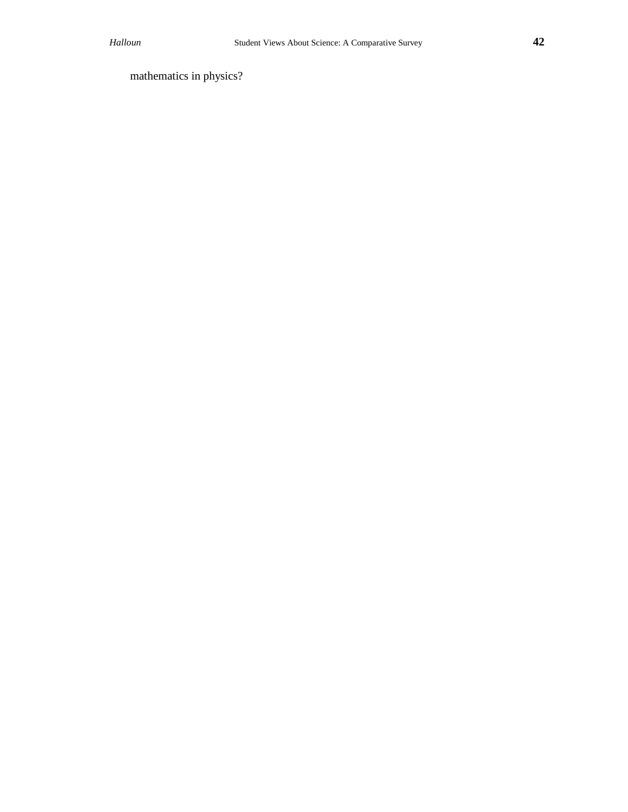mathematics in physics?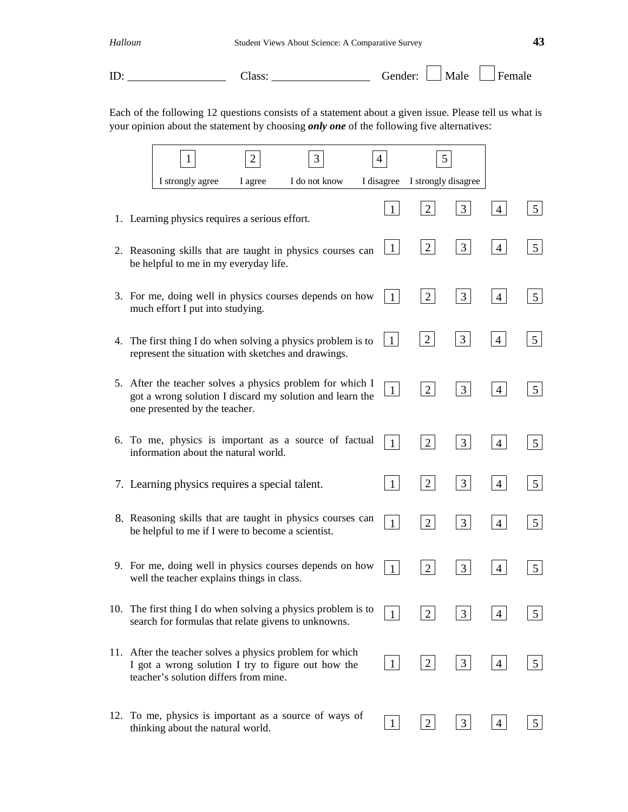| Halloun | Student Views About Science: A Comparative Survey |                       |  |
|---------|---------------------------------------------------|-----------------------|--|
| ID:     | Class:                                            | Gender: $Male$ Female |  |

Each of the following 12 questions consists of a statement about a given issue. Please tell us what is your opinion about the statement by choosing *only one* of the following five alternatives:

|  | 1                                                                                                                                                       | $\overline{2}$ | 3             |              | 5                              |                |                |                 |
|--|---------------------------------------------------------------------------------------------------------------------------------------------------------|----------------|---------------|--------------|--------------------------------|----------------|----------------|-----------------|
|  | I strongly agree                                                                                                                                        | I agree        | I do not know |              | I disagree I strongly disagree |                |                |                 |
|  | 1. Learning physics requires a serious effort.                                                                                                          |                |               | 1            | 2                              | 3              | 4              | $5\overline{)}$ |
|  | 2. Reasoning skills that are taught in physics courses can<br>be helpful to me in my everyday life.                                                     |                |               | $\mathbf{1}$ | $\overline{2}$                 | 3              | $\overline{4}$ | 5               |
|  | 3. For me, doing well in physics courses depends on how<br>much effort I put into studying.                                                             |                |               | $\mathbf{1}$ | $\overline{2}$                 | $\overline{3}$ | $\overline{4}$ | 5               |
|  | 4. The first thing I do when solving a physics problem is to<br>represent the situation with sketches and drawings.                                     |                |               | $\mathbf{1}$ | $\overline{2}$                 | $\mathfrak{Z}$ | $\overline{4}$ | 5               |
|  | 5. After the teacher solves a physics problem for which I<br>got a wrong solution I discard my solution and learn the<br>one presented by the teacher.  |                |               | $\mathbf{1}$ | 2                              | $\mathfrak{Z}$ | $\overline{4}$ | 5               |
|  | 6. To me, physics is important as a source of factual<br>information about the natural world.                                                           |                |               | $\mathbf{1}$ | $\overline{2}$                 | 3              | $\overline{4}$ | $5\overline{)}$ |
|  | 7. Learning physics requires a special talent.                                                                                                          |                |               | 1            | $\overline{2}$                 | 3              | $\overline{4}$ | $5\overline{)}$ |
|  | 8. Reasoning skills that are taught in physics courses can<br>be helpful to me if I were to become a scientist.                                         |                |               |              | $\overline{2}$                 | 3              | 4              | $5\overline{)}$ |
|  | 9. For me, doing well in physics courses depends on how<br>well the teacher explains things in class.                                                   |                |               | $\mathbf{1}$ | 2                              | 3              | 4              | 5               |
|  | 10. The first thing I do when solving a physics problem is to<br>search for formulas that relate givens to unknowns.                                    |                |               |              | $\overline{2}$                 | 3              | $\overline{4}$ | 5               |
|  | 11. After the teacher solves a physics problem for which<br>I got a wrong solution I try to figure out how the<br>teacher's solution differs from mine. |                |               | $\mathbf{1}$ | $\overline{2}$                 | $\mathfrak{Z}$ | $\overline{4}$ | $5\overline{)}$ |
|  | 12. To me, physics is important as a source of ways of<br>thinking about the natural world.                                                             |                |               | 1            | $\overline{2}$                 | $\mathfrak{Z}$ | $\overline{4}$ | 5               |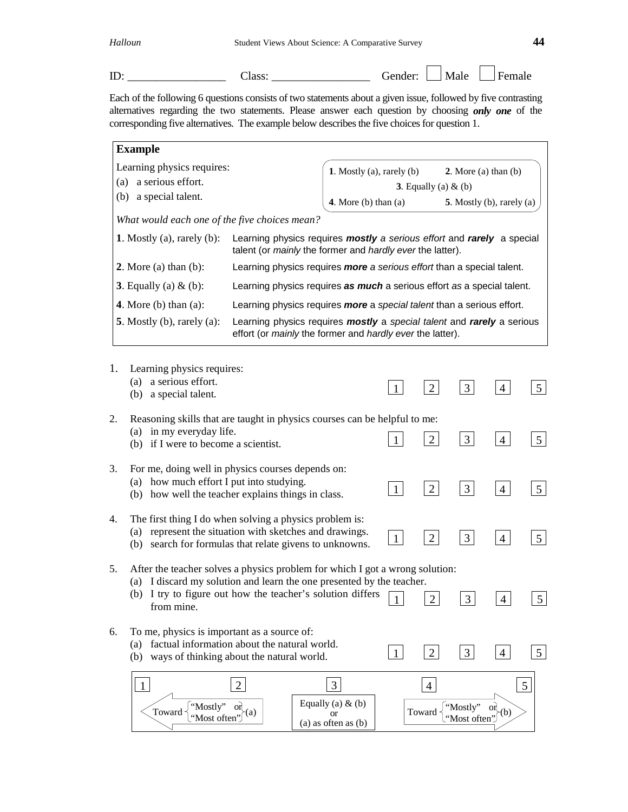$\text{ID:}\_\_\_\_\_\_\_\_\_\_\$  Class:  $\_\_\_\_\_\_\_\_\_\_\_\_\_\_\_\_\_\_$  Gender:  $\_\_\_\_\_\_\_\_\_\_\_\_\_\_\_\_\_\_$  Female

Each of the following 6 questions consists of two statements about a given issue, followed by five contrasting alternatives regarding the two statements. Please answer each question by choosing *only one* of the corresponding five alternatives. The example below describes the five choices for question 1.

| <b>Example</b>                                                                     |                                                                                                                                                                                                                                                                    |                                                                                   |              |                         |                          |                                                       |                 |
|------------------------------------------------------------------------------------|--------------------------------------------------------------------------------------------------------------------------------------------------------------------------------------------------------------------------------------------------------------------|-----------------------------------------------------------------------------------|--------------|-------------------------|--------------------------|-------------------------------------------------------|-----------------|
| Learning physics requires:<br>a serious effort.<br>(a)<br>(b) a special talent.    |                                                                                                                                                                                                                                                                    | 1. Mostly (a), rarely (b)<br>4. More $(b)$ than $(a)$                             |              | 3. Equally (a) $\&$ (b) |                          | 2. More $(a)$ than $(b)$<br>5. Mostly (b), rarely (a) |                 |
| What would each one of the five choices mean?                                      |                                                                                                                                                                                                                                                                    |                                                                                   |              |                         |                          |                                                       |                 |
| 1. Mostly $(a)$ , rarely $(b)$ :                                                   | Learning physics requires mostly a serious effort and rarely a special<br>talent (or mainly the former and hardly ever the latter).                                                                                                                                |                                                                                   |              |                         |                          |                                                       |                 |
| 2. More (a) than $(b)$ :                                                           | Learning physics requires more a serious effort than a special talent.                                                                                                                                                                                             |                                                                                   |              |                         |                          |                                                       |                 |
| 3. Equally (a) $&$ (b):                                                            | Learning physics requires as much a serious effort as a special talent.                                                                                                                                                                                            |                                                                                   |              |                         |                          |                                                       |                 |
| 4. More $(b)$ than $(a)$ :                                                         | Learning physics requires more a special talent than a serious effort.                                                                                                                                                                                             |                                                                                   |              |                         |                          |                                                       |                 |
| 5. Mostly $(b)$ , rarely $(a)$ :                                                   | Learning physics requires mostly a special talent and rarely a serious<br>effort (or mainly the former and hardly ever the latter).                                                                                                                                |                                                                                   |              |                         |                          |                                                       |                 |
| 1.<br>Learning physics requires:<br>(a) a serious effort.<br>(b) a special talent. |                                                                                                                                                                                                                                                                    |                                                                                   | $\mathbf{1}$ | $\overline{2}$          | $\mathfrak{Z}$           | $\overline{4}$                                        | $5\overline{)}$ |
| 2.<br>(a) in my everyday life.<br>(b) if I were to become a scientist.             | Reasoning skills that are taught in physics courses can be helpful to me:                                                                                                                                                                                          |                                                                                   |              | $\overline{2}$          | $\overline{3}$           | $\overline{4}$                                        | $5\overline{)}$ |
| 3.<br>(a) how much effort I put into studying.                                     | For me, doing well in physics courses depends on:<br>(b) how well the teacher explains things in class.                                                                                                                                                            |                                                                                   | $\mathbf{1}$ | $\overline{2}$          | 3                        | $\overline{4}$                                        | $5\overline{)}$ |
| 4.<br>(a)                                                                          | The first thing I do when solving a physics problem is:<br>represent the situation with sketches and drawings.<br>(b) search for formulas that relate givens to unknowns.                                                                                          |                                                                                   | $\mathbf{1}$ | $\overline{2}$          | 3                        | $\overline{4}$                                        | $5\overline{)}$ |
| 5.<br>from mine.                                                                   | After the teacher solves a physics problem for which I got a wrong solution:<br>(a) I discard my solution and learn the one presented by the teacher.<br>(b) I try to figure out how the teacher's solution differs<br>$\mathfrak{D}$<br>3<br>$\vert 5 \vert$<br>4 |                                                                                   |              |                         |                          |                                                       |                 |
| To me, physics is important as a source of:<br>6.                                  | (a) factual information about the natural world.<br>(b) ways of thinking about the natural world.                                                                                                                                                                  |                                                                                   | $\mathbf{1}$ | $\overline{2}$          | $\mathfrak{Z}$           | $\overline{4}$                                        | 5 <sup>1</sup>  |
| $\mathbf{1}$<br>"Mostly"<br>Toward<br>"Most often"                                 | $\overline{2}$<br>oη<br>(a)                                                                                                                                                                                                                                        | $\mathfrak{Z}$<br>Equally (a) $&$ (b)<br><sub>or</sub><br>$(a)$ as often as $(b)$ |              | 4<br>Toward             | "Mostly"<br>"Most often" | <b>or</b><br>b)                                       | 5               |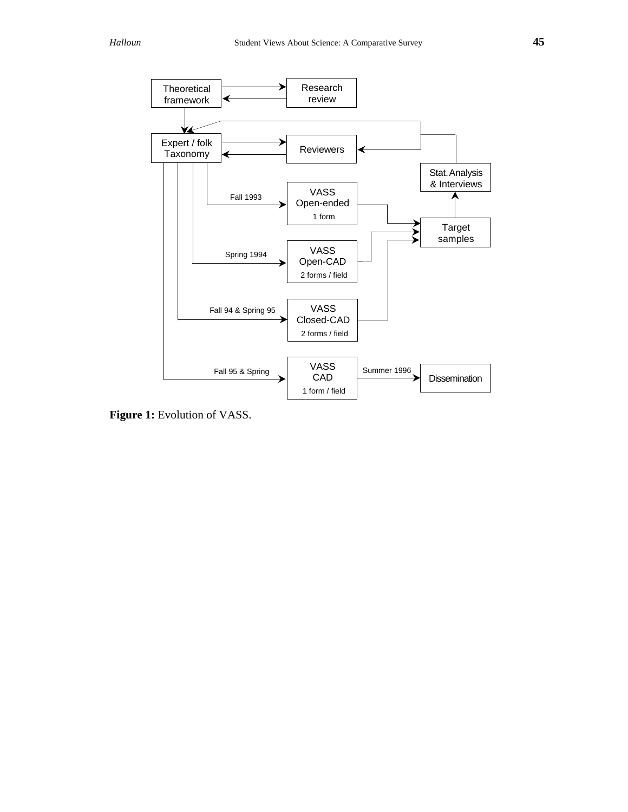

**Figure 1:** Evolution of VASS.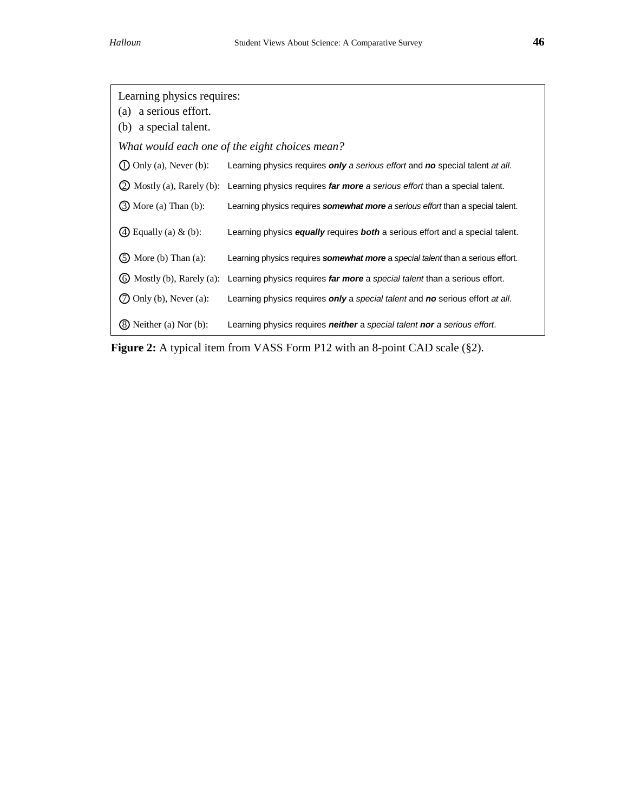| Learning physics requires:<br>a serious effort.<br>(a)<br>(b) a special talent. |                                                                                                        |
|---------------------------------------------------------------------------------|--------------------------------------------------------------------------------------------------------|
|                                                                                 | What would each one of the eight choices mean?                                                         |
| $\Omega$ Only (a), Never (b):                                                   | Learning physics requires only a serious effort and no special talent at all.                          |
|                                                                                 | (2) Mostly (a), Rarely (b): Learning physics requires far more a serious effort than a special talent. |
| $(3)$ More (a) Than (b):                                                        | Learning physics requires somewhat more a serious effort than a special talent.                        |
| $\Phi$ Equally (a) & (b):                                                       | Learning physics equally requires both a serious effort and a special talent.                          |
| $\circled{S}$ More (b) Than (a):                                                | Learning physics requires somewhat more a special talent than a serious effort.                        |
| $\omega$ Mostly (b), Rarely (a):                                                | Learning physics requires far more a special talent than a serious effort.                             |
| Only (b), Never $(a)$ :                                                         | Learning physics requires only a special talent and no serious effort at all.                          |
| Neither (a) Nor $(b)$ :                                                         | Learning physics requires <b>neither</b> a special talent <b>nor</b> a serious effort.                 |

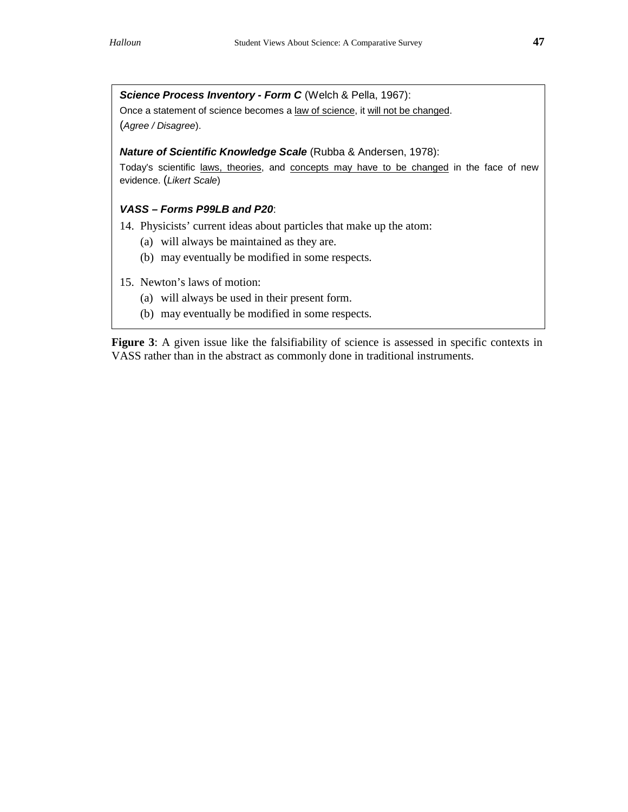**Science Process Inventory - Form C** (Welch & Pella, 1967): Once a statement of science becomes a law of science, it will not be changed. (Agree / Disagree).

#### **Nature of Scientific Knowledge Scale** (Rubba & Andersen, 1978):

Today's scientific laws, theories, and concepts may have to be changed in the face of new evidence. (Likert Scale)

## **VASS – Forms P99LB and P20**:

14. Physicists' current ideas about particles that make up the atom:

- (a) will always be maintained as they are.
- (b) may eventually be modified in some respects.
- 15. Newton's laws of motion:
	- (a) will always be used in their present form.
	- (b) may eventually be modified in some respects.

**Figure 3**: A given issue like the falsifiability of science is assessed in specific contexts in VASS rather than in the abstract as commonly done in traditional instruments.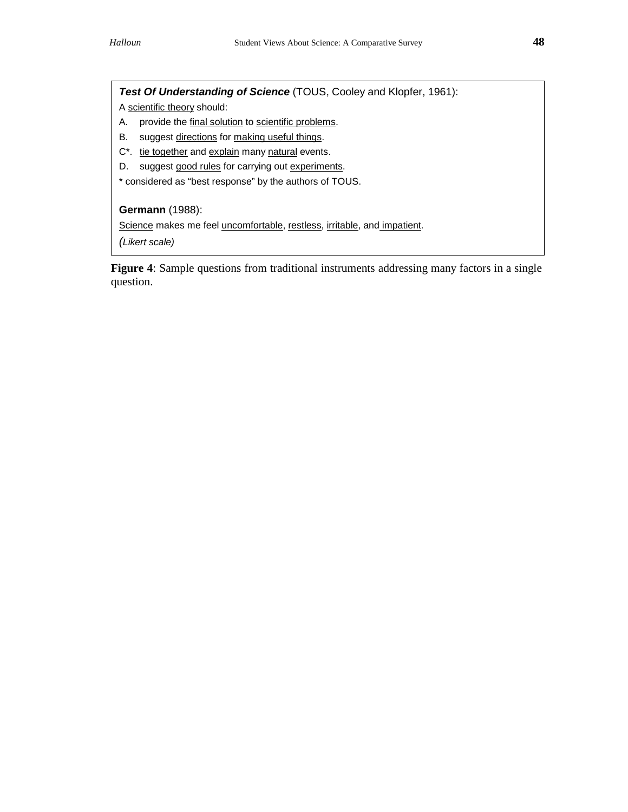**Test Of Understanding of Science** (TOUS, Cooley and Klopfer, 1961):

A scientific theory should:

- A. provide the final solution to scientific problems.
- B. suggest directions for making useful things.
- C\*. tie together and explain many natural events.
- D. suggest good rules for carrying out experiments.

\* considered as "best response" by the authors of TOUS.

## **Germann** (1988):

Science makes me feel uncomfortable, restless, irritable, and impatient.

(Likert scale)

**Figure 4**: Sample questions from traditional instruments addressing many factors in a single question.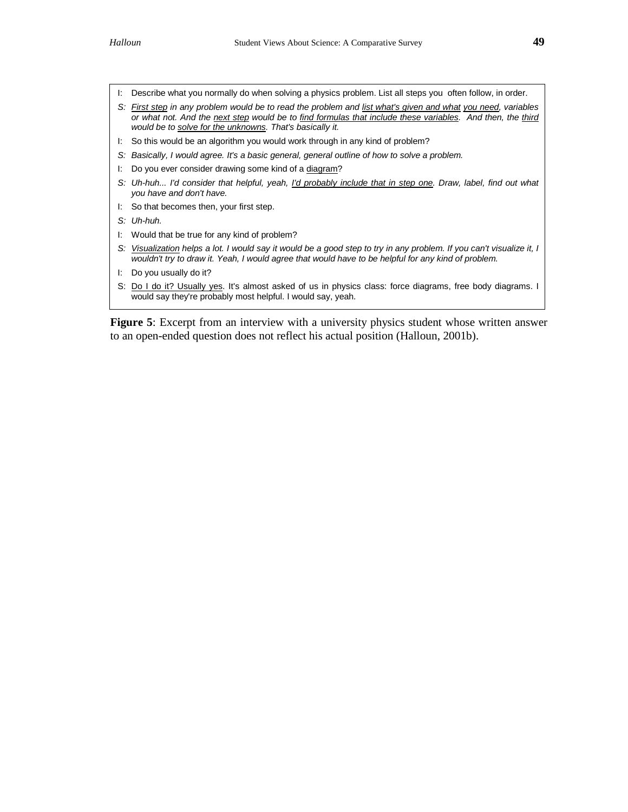- I: Describe what you normally do when solving a physics problem. List all steps you often follow, in order.
- S: First step in any problem would be to read the problem and list what's given and what you need, variables or what not. And the next step would be to find formulas that include these variables. And then, the third would be to solve for the unknowns. That's basically it.
- I: So this would be an algorithm you would work through in any kind of problem?
- S: Basically, I would agree. It's a basic general, general outline of how to solve a problem.
- I: Do you ever consider drawing some kind of a diagram?
- S: Uh-huh... I'd consider that helpful, yeah, I'd probably include that in step one. Draw, label, find out what you have and don't have.
- I: So that becomes then, your first step.
- S: Uh-huh.
- I: Would that be true for any kind of problem?
- S: Visualization helps a lot. I would say it would be a good step to try in any problem. If you can't visualize it, I wouldn't try to draw it. Yeah, I would agree that would have to be helpful for any kind of problem.
- I: Do you usually do it?
- S: Do I do it? Usually yes. It's almost asked of us in physics class: force diagrams, free body diagrams. I would say they're probably most helpful. I would say, yeah.

**Figure 5**: Excerpt from an interview with a university physics student whose written answer to an open-ended question does not reflect his actual position (Halloun, 2001b).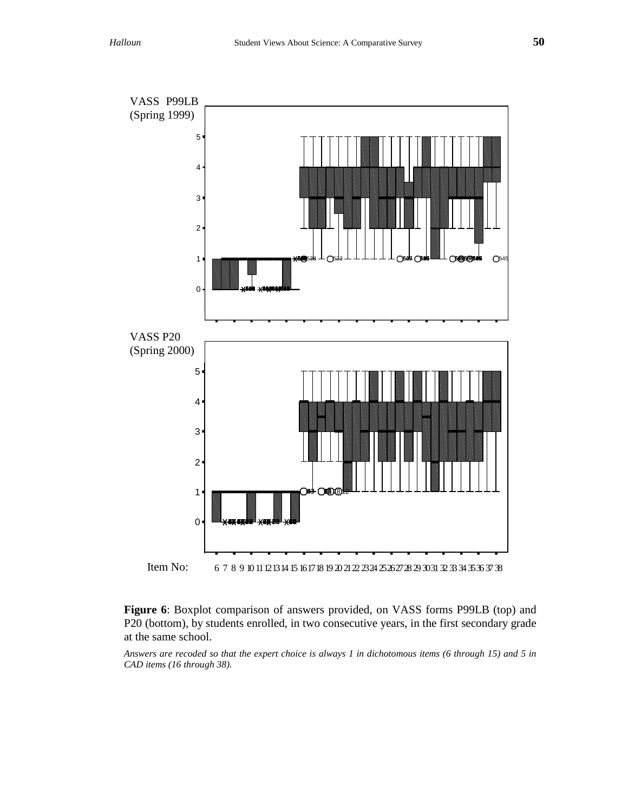

2012 **R32 B32 8012 8012 8001**  $\overline{\phantom{a}}$ Item No: 6 7 8 9 10 11 12 13 14 15 16 17 18 19 20 21 22 23 24 25 26 27 28 29 30 31 32 33 34 35 36 37 38

Figure 6: Boxplot comparison of answers provided, on VASS forms P99LB (top) and Figure 6: Boxplot comparison or answers provided, on VASS forms P99LB (top) and<br>P20 (bottom), by students enrolled, in two consecutive years, in the first secondary grade at the same school.

*Answers are recoded so that the expert choice is always 1 in dichotomous items (6 through 15) and 5 in CAD items (16 through 38).*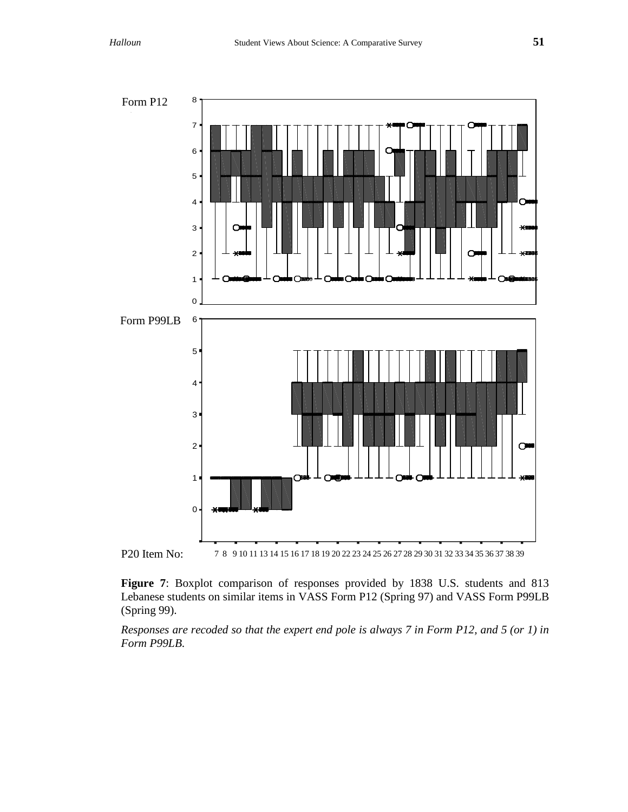

P20 Item No: 7 8 9 10 11 13 14 15 16 17 18 19 20 22 23 24 25 26 27 28 29 30 31 32 33 34 35 36 37 38 39

Figure 7: Boxplot comparison of responses provided by 1838 U.S. students and 813 Lebanese students on similar items in VASS Form P12 (Spring 97) and VASS Form P99LB (Spring 99).

*Responses are recoded so that the expert end pole is always 7 in Form P12, and 5 (or 1) in Form P99LB*.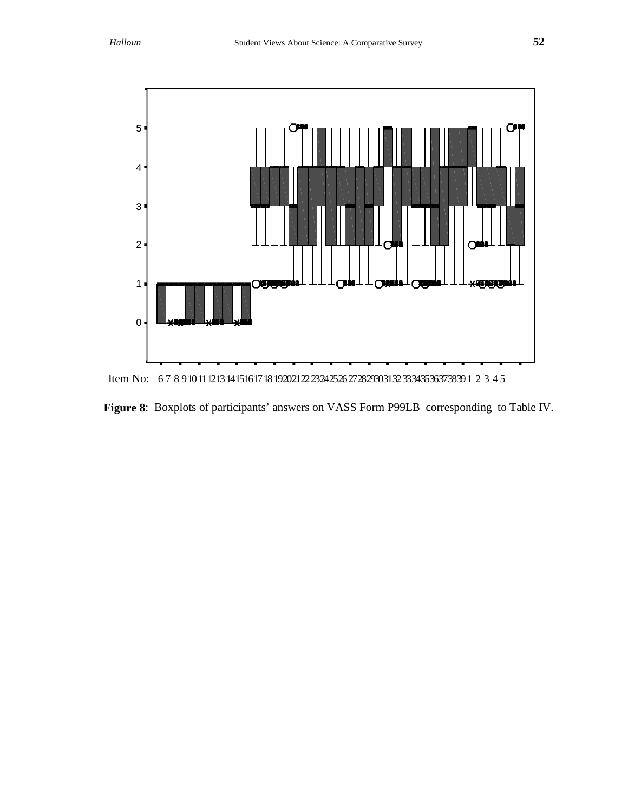

Item No: 67 8 9 10 11 12 13 14 15 16 17 18 19 20 21 22 23 24 25 26 27 28 29 30 31 32 33 34 35 36 37 38 39 1 2 3 4 5<br>

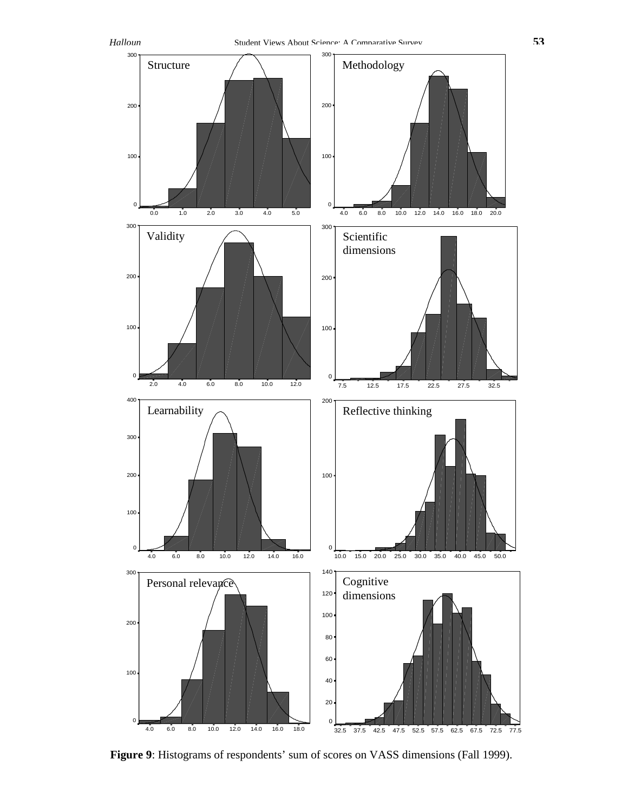

Sum of relevance items, expert=1 or 5 Figure 9: Histograms of respondents' sum of scores on VASS dimensions (Fall 1999).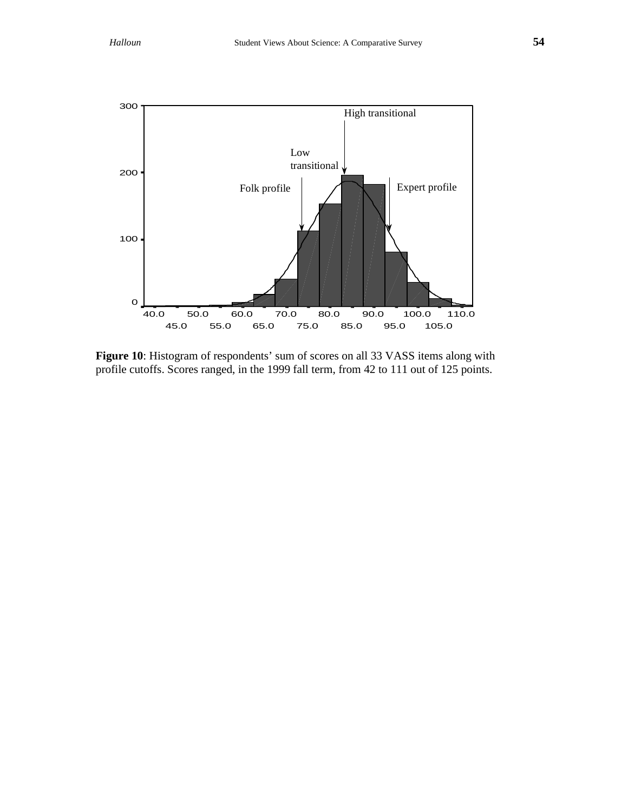

**Figure 10**: Histogram of respondents' sum of scores on all 33 VASS items along with profile cutoffs. Scores ranged, in the 1999 fall term, from 42 to 111 out of 125 points.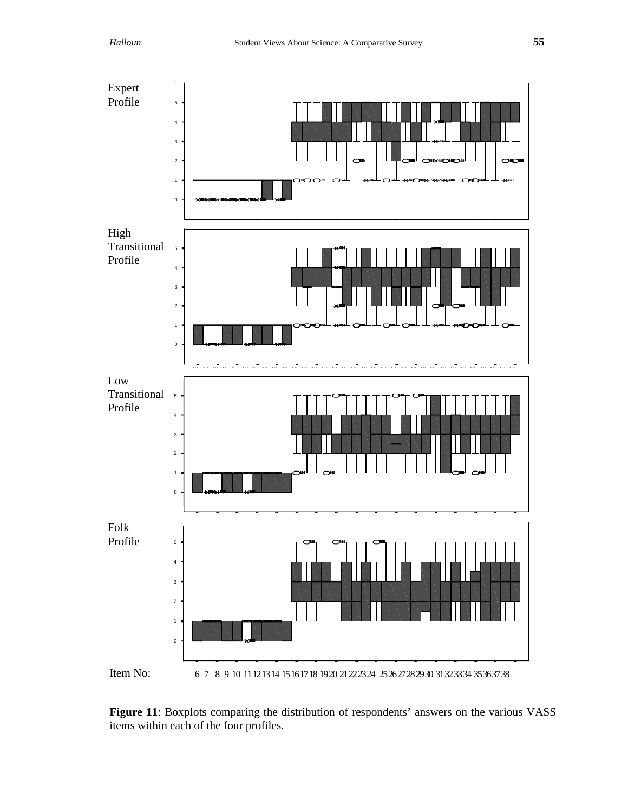

**Figure 11**: Boxplots comparing the distribution of respondents' answers on the various VASS items within each of the four profiles.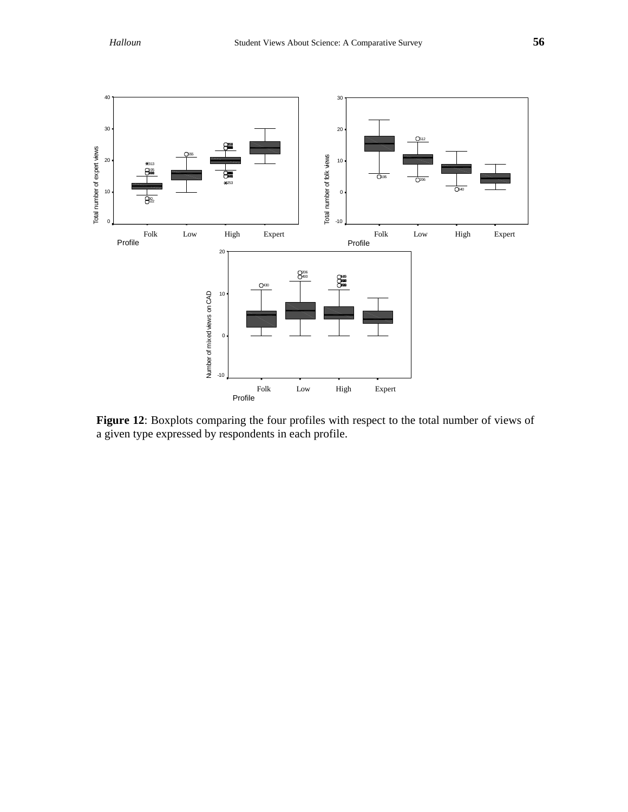

Figure 12: Boxplots comparing the four profiles with respect to the total number of views of a given type expressed by respondents in each profile.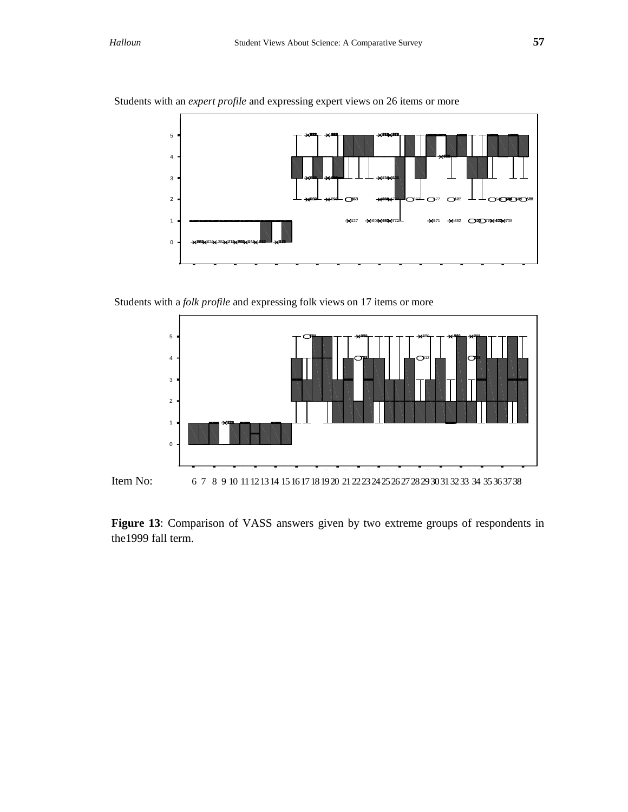

Students with an *expert profile* and expressing expert views on 26 items or more

Students with a *folk profile* and expressing folk views on 17 items or more



**Figure 13**: Comparison of VASS answers given by two extreme groups of respondents in the1999 fall term.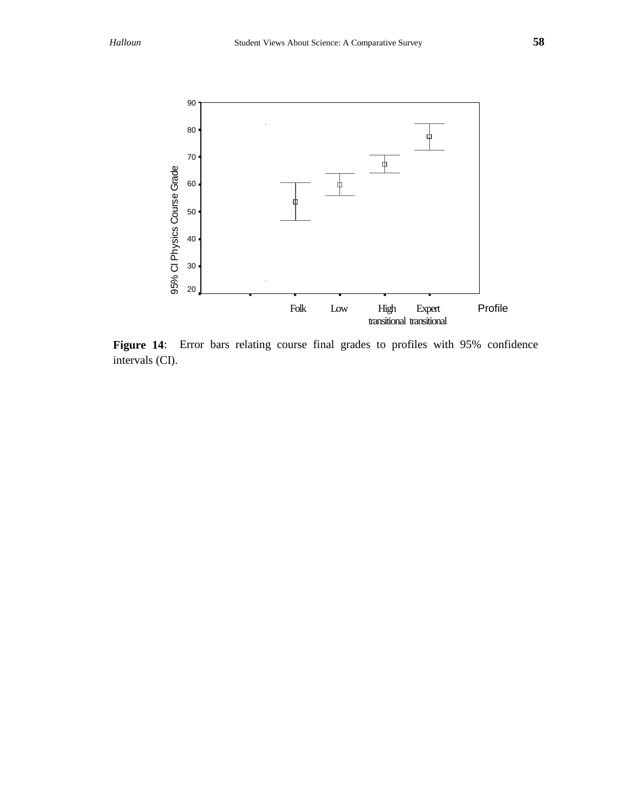

Figure 14: Error bars relating course final grades to profiles with 95% confidence intervals (CI).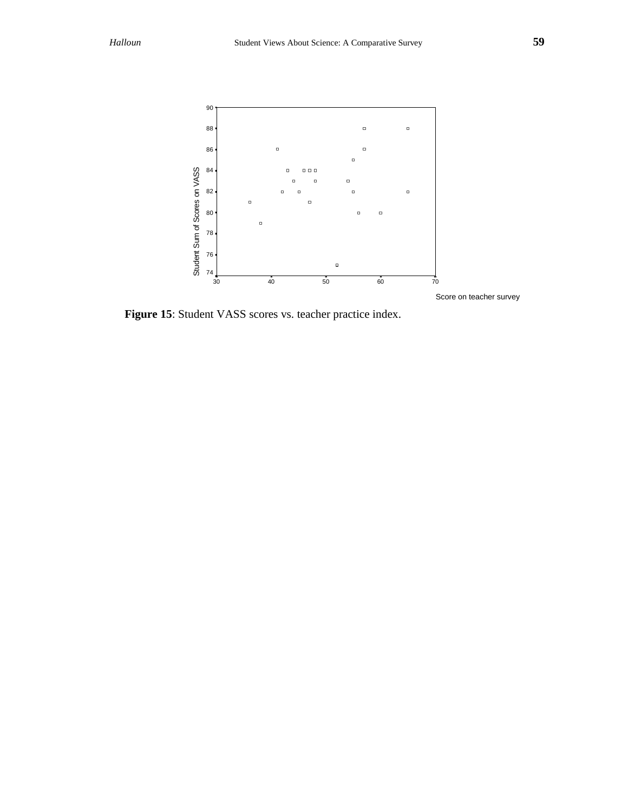

**Figure 15**: Student VASS scores vs. teacher practice index.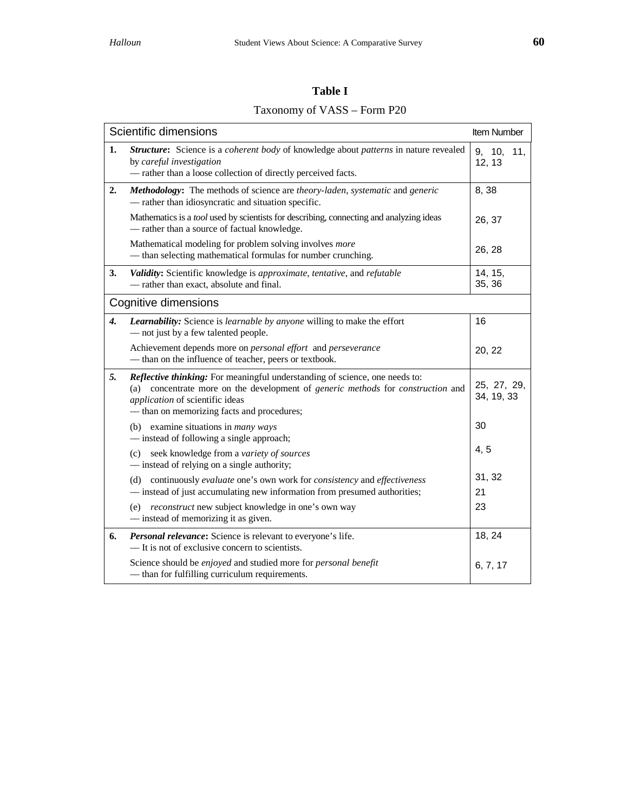# Taxonomy of VASS – Form P20

|                    | Scientific dimensions                                                                                                                                                                                                                           | Item Number               |
|--------------------|-------------------------------------------------------------------------------------------------------------------------------------------------------------------------------------------------------------------------------------------------|---------------------------|
| 1.                 | Structure: Science is a coherent body of knowledge about patterns in nature revealed<br>by careful investigation<br>- rather than a loose collection of directly perceived facts.                                                               | 9, 10,<br>11,<br>12, 13   |
| 2.                 | Methodology: The methods of science are theory-laden, systematic and generic<br>- rather than idiosyncratic and situation specific.                                                                                                             | 8,38                      |
|                    | Mathematics is a tool used by scientists for describing, connecting and analyzing ideas<br>- rather than a source of factual knowledge.                                                                                                         | 26, 37                    |
|                    | Mathematical modeling for problem solving involves more<br>- than selecting mathematical formulas for number crunching.                                                                                                                         | 26, 28                    |
| 3.                 | Validity: Scientific knowledge is approximate, tentative, and refutable<br>- rather than exact, absolute and final.                                                                                                                             | 14, 15,<br>35, 36         |
|                    | Cognitive dimensions                                                                                                                                                                                                                            |                           |
| $\boldsymbol{4}$ . | Learnability: Science is learnable by anyone willing to make the effort<br>- not just by a few talented people.                                                                                                                                 | 16                        |
|                    | Achievement depends more on <i>personal effort</i> and <i>perseverance</i><br>- than on the influence of teacher, peers or textbook.                                                                                                            | 20, 22                    |
| 5.                 | Reflective thinking: For meaningful understanding of science, one needs to:<br>(a) concentrate more on the development of generic methods for construction and<br>application of scientific ideas<br>- than on memorizing facts and procedures; | 25, 27, 29,<br>34, 19, 33 |
|                    | (b) examine situations in <i>many</i> ways<br>— instead of following a single approach;                                                                                                                                                         | 30                        |
|                    | (c) seek knowledge from a variety of sources<br>- instead of relying on a single authority;                                                                                                                                                     | 4, 5                      |
|                    | (d) continuously evaluate one's own work for consistency and effectiveness                                                                                                                                                                      | 31, 32                    |
|                    | - instead of just accumulating new information from presumed authorities;<br>(e) reconstruct new subject knowledge in one's own way                                                                                                             | 21<br>23                  |
|                    | - instead of memorizing it as given.                                                                                                                                                                                                            |                           |
| 6.                 | Personal relevance: Science is relevant to everyone's life.<br>— It is not of exclusive concern to scientists.                                                                                                                                  | 18, 24                    |
|                    | Science should be enjoyed and studied more for personal benefit<br>- than for fulfilling curriculum requirements.                                                                                                                               | 6, 7, 17                  |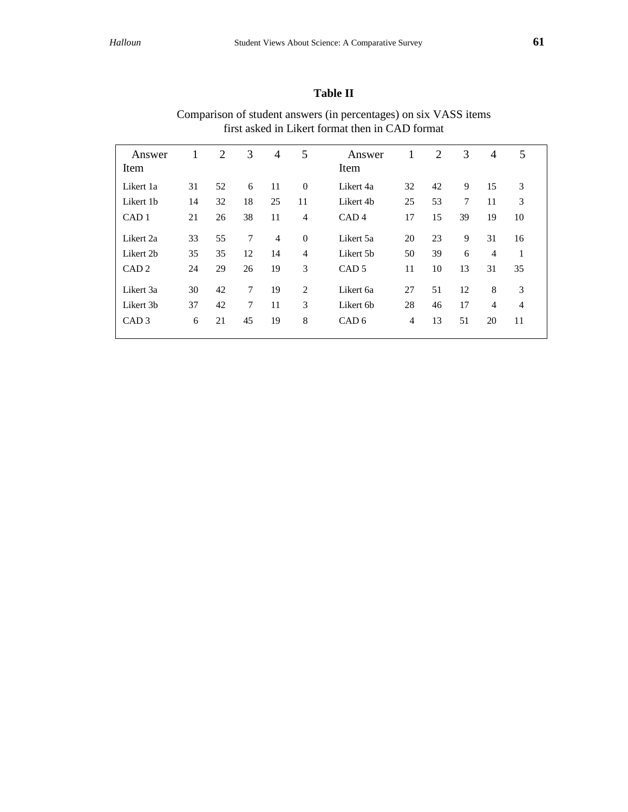## **Table II**

| Answer<br>Item   | 1  | 2  | 3              | 4              | 5              | Answer<br>Item   | 1  | $\overline{2}$ | 3      | 4              | 5              |  |
|------------------|----|----|----------------|----------------|----------------|------------------|----|----------------|--------|----------------|----------------|--|
| Likert 1a        | 31 | 52 | 6              | 11             | $\Omega$       | Likert 4a        | 32 | 42             | 9      | 15             | 3              |  |
| Likert 1b        | 14 | 32 | 18             | 25             | 11             | Likert 4b        | 25 | 53             | $\tau$ | 11             | 3              |  |
| CAD <sub>1</sub> | 21 | 26 | 38             | 11             | $\overline{4}$ | CAD <sub>4</sub> | 17 | 15             | 39     | 19             | 10             |  |
| Likert 2a        | 33 | 55 | 7              | $\overline{4}$ | $\mathbf{0}$   | Likert 5a        | 20 | 23             | 9      | 31             | 16             |  |
| Likert 2b        | 35 | 35 | 12             | 14             | $\overline{4}$ | Likert 5b        | 50 | 39             | 6      | $\overline{4}$ | 1              |  |
| CAD <sub>2</sub> | 24 | 29 | 26             | 19             | 3              | CAD <sub>5</sub> | 11 | 10             | 13     | 31             | 35             |  |
| Likert 3a        | 30 | 42 | $\overline{7}$ | 19             | $\mathfrak{D}$ | Likert 6a        | 27 | 51             | 12     | 8              | 3              |  |
| Likert 3b        | 37 | 42 | $\overline{7}$ | 11             | 3              | Likert 6b        | 28 | 46             | 17     | 4              | $\overline{4}$ |  |
| CAD <sub>3</sub> | 6  | 21 | 45             | 19             | 8              | CAD <sub>6</sub> | 4  | 13             | 51     | 20             | 11             |  |
|                  |    |    |                |                |                |                  |    |                |        |                |                |  |

## Comparison of student answers (in percentages) on six VASS items first asked in Likert format then in CAD format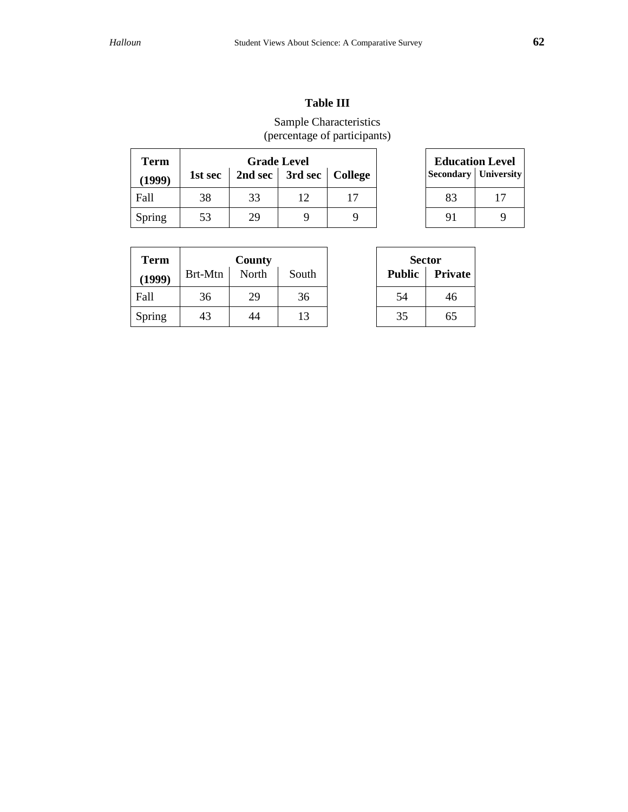## **Table III**

## Sample Characteristics (percentage of participants)

| <b>Term</b> |         |    | <b>Grade Level</b>          |  | <b>Education Level</b>        |  |
|-------------|---------|----|-----------------------------|--|-------------------------------|--|
| (1999)      | 1st sec |    | 2nd sec   3rd sec   College |  | <b>Secondary   University</b> |  |
| Fall        | 38      | 33 |                             |  |                               |  |
| Spring      | 53      | 29 |                             |  |                               |  |

| <b>Education Level</b> |                             |  |  |  |  |  |  |
|------------------------|-----------------------------|--|--|--|--|--|--|
|                        | <b>Secondary</b> University |  |  |  |  |  |  |
| 83                     | 17                          |  |  |  |  |  |  |
| 91                     |                             |  |  |  |  |  |  |

| <b>Term</b> |         | County |       | <b>Sector</b> |         |
|-------------|---------|--------|-------|---------------|---------|
| (1999)      | Brt-Mtn | North  | South | <b>Public</b> | Private |
| Fall        | 36      | 29     | 36    | 54            | 46      |
| Spring      | 43      | 44     | 13    | 35            | 65      |

| Sector        |                |  |  |  |  |  |
|---------------|----------------|--|--|--|--|--|
| <b>Public</b> | <b>Private</b> |  |  |  |  |  |
| 54            | 46             |  |  |  |  |  |
| 35            | 65             |  |  |  |  |  |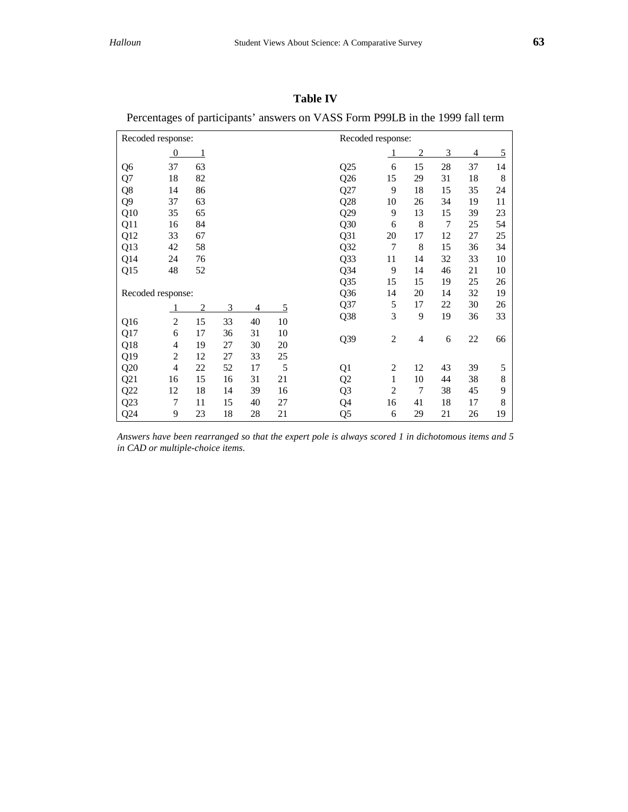## **Table IV**

| Recoded response: |                  |                |    |    | Recoded response: |                |                |                |    |    |    |
|-------------------|------------------|----------------|----|----|-------------------|----------------|----------------|----------------|----|----|----|
|                   | $\boldsymbol{0}$ | 1              |    |    |                   |                |                | $\overline{2}$ | 3  | 4  | 5  |
| Q <sub>6</sub>    | 37               | 63             |    |    |                   | Q25            | 6              | 15             | 28 | 37 | 14 |
| Q7                | 18               | 82             |    |    |                   | Q26            | 15             | 29             | 31 | 18 | 8  |
| Q8                | 14               | 86             |    |    |                   | Q27            | 9              | 18             | 15 | 35 | 24 |
| Q <sub>9</sub>    | 37               | 63             |    |    |                   | Q28            | 10             | 26             | 34 | 19 | 11 |
| Q10               | 35               | 65             |    |    |                   | Q29            | 9              | 13             | 15 | 39 | 23 |
| Q11               | 16               | 84             |    |    |                   | Q30            | 6              | 8              | 7  | 25 | 54 |
| Q12               | 33               | 67             |    |    |                   | Q31            | 20             | 17             | 12 | 27 | 25 |
| Q13               | 42               | 58             |    |    |                   | Q32            | $\overline{7}$ | 8              | 15 | 36 | 34 |
| Q14               | 24               | 76             |    |    |                   | Q33            | 11             | 14             | 32 | 33 | 10 |
| Q15               | 48               | 52             |    |    |                   | Q34            | 9              | 14             | 46 | 21 | 10 |
|                   |                  |                |    |    |                   | Q35            | 15             | 15             | 19 | 25 | 26 |
| Recoded response: |                  |                |    |    |                   | Q36            | 14             | 20             | 14 | 32 | 19 |
|                   |                  | $\overline{2}$ | 3  | 4  | 5                 | Q37            | 5              | 17             | 22 | 30 | 26 |
| Q16               | $\overline{2}$   | 15             | 33 | 40 | 10                | Q38            | 3              | 9              | 19 | 36 | 33 |
| Q17               | 6                | 17             | 36 | 31 | 10                |                |                |                |    |    |    |
| Q18               | 4                | 19             | 27 | 30 | 20                | Q39            | $\overline{c}$ | $\overline{4}$ | 6  | 22 | 66 |
| Q19               | $\overline{c}$   | 12             | 27 | 33 | 25                |                |                |                |    |    |    |
| Q20               | $\overline{4}$   | 22             | 52 | 17 | 5                 | Q1             | $\overline{c}$ | 12             | 43 | 39 | 5  |
| Q21               | 16               | 15             | 16 | 31 | 21                | Q2             | $\mathbf{1}$   | 10             | 44 | 38 | 8  |
| Q22               | 12               | 18             | 14 | 39 | 16                | Q <sub>3</sub> | $\overline{2}$ | $\overline{7}$ | 38 | 45 | 9  |
| Q23               | 7                | 11             | 15 | 40 | 27                | Q4             | 16             | 41             | 18 | 17 | 8  |
| Q24               | 9                | 23             | 18 | 28 | 21                | Q <sub>5</sub> | 6              | 29             | 21 | 26 | 19 |

## Percentages of participants' answers on VASS Form P99LB in the 1999 fall term

*Answers have been rearranged so that the expert pole is always scored 1 in dichotomous items and 5 in CAD or multiple-choice items*.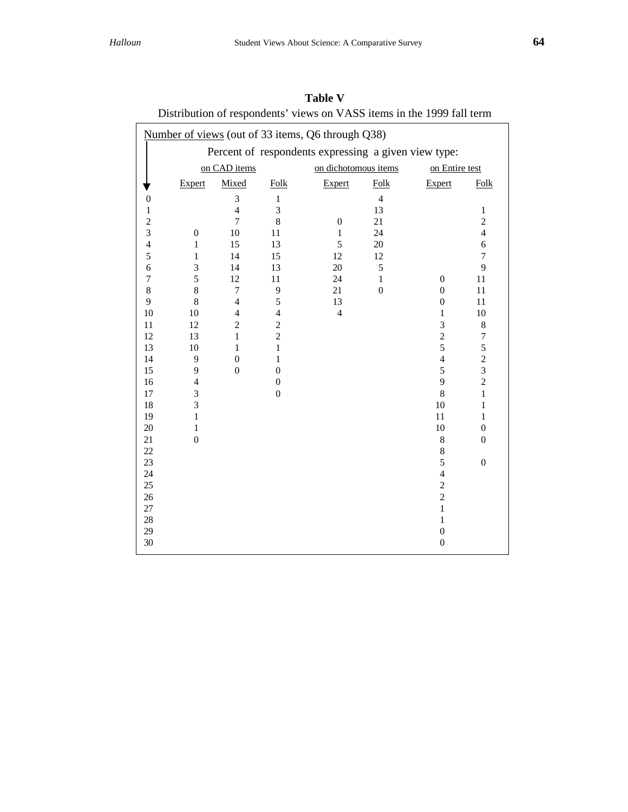| $P_{\text{D}}$ is the dependent of $\mathcal{L}_{\text{D}}$ is $\mathcal{L}_{\text{D}}$ in $\mathcal{L}_{\text{D}}$ in the $1/7$ function |                                                   |                          |                |                      |                  |                         |                  |  |  |
|-------------------------------------------------------------------------------------------------------------------------------------------|---------------------------------------------------|--------------------------|----------------|----------------------|------------------|-------------------------|------------------|--|--|
|                                                                                                                                           | Number of views (out of 33 items, Q6 through Q38) |                          |                |                      |                  |                         |                  |  |  |
| Percent of respondents expressing a given view type:                                                                                      |                                                   |                          |                |                      |                  |                         |                  |  |  |
|                                                                                                                                           |                                                   | on CAD items             |                | on dichotomous items |                  | on Entire test          |                  |  |  |
|                                                                                                                                           | <b>Expert</b>                                     | Mixed                    | Folk           | <b>Expert</b>        | Folk             | Expert                  | Folk             |  |  |
| $\boldsymbol{0}$                                                                                                                          |                                                   | $\mathfrak{Z}$           | $\mathbf{1}$   |                      | $\overline{4}$   |                         |                  |  |  |
| $\mathbf{1}$                                                                                                                              |                                                   | $\overline{4}$           | $\overline{3}$ |                      | 13               |                         | $\mathbf{1}$     |  |  |
|                                                                                                                                           |                                                   | $\overline{7}$           | $\,8\,$        | $\boldsymbol{0}$     | 21               |                         | $\overline{c}$   |  |  |
| $\frac{2}{3}$                                                                                                                             | $\boldsymbol{0}$                                  | 10                       | 11             | $\mathbf{1}$         | 24               |                         | $\overline{4}$   |  |  |
| $\overline{4}$                                                                                                                            | $\mathbf{1}$                                      | 15                       | 13             | 5                    | 20               |                         | $\epsilon$       |  |  |
| 5                                                                                                                                         | 1                                                 | 14                       | 15             | 12                   | 12               |                         | $\overline{7}$   |  |  |
| 6                                                                                                                                         | $\mathfrak{Z}$                                    | 14                       | 13             | 20                   | $\sqrt{5}$       |                         | 9                |  |  |
| $\boldsymbol{7}$                                                                                                                          | 5                                                 | 12                       | 11             | 24                   | $\mathbf{1}$     | $\boldsymbol{0}$        | 11               |  |  |
| $\boldsymbol{8}$                                                                                                                          | 8                                                 | $\overline{7}$           | 9              | 21                   | $\boldsymbol{0}$ | $\overline{0}$          | 11               |  |  |
| 9                                                                                                                                         | 8                                                 | $\overline{4}$           | 5              | 13                   |                  | $\overline{0}$          | 11               |  |  |
| 10                                                                                                                                        | 10                                                | $\overline{\mathcal{L}}$ | $\overline{4}$ | $\overline{4}$       |                  | $\mathbf{1}$            | 10               |  |  |
| 11                                                                                                                                        | 12                                                | $\overline{c}$           | $\overline{c}$ |                      |                  | 3                       | $\,8$            |  |  |
| 12                                                                                                                                        | 13                                                | $\mathbf{1}$             | $\overline{c}$ |                      |                  | $\overline{c}$          | $\tau$           |  |  |
| 13                                                                                                                                        | 10                                                | $\mathbf{1}$             | $\mathbf{1}$   |                      |                  | 5                       | 5                |  |  |
| 14                                                                                                                                        | 9                                                 | $\mathbf{0}$             | $\mathbf{1}$   |                      |                  | $\overline{4}$          | $\overline{c}$   |  |  |
| 15                                                                                                                                        | 9                                                 | $\mathbf{0}$             | $\overline{0}$ |                      |                  | 5                       | $\overline{3}$   |  |  |
| 16                                                                                                                                        | $\overline{4}$                                    |                          | $\overline{0}$ |                      |                  | 9                       | $\overline{c}$   |  |  |
| 17                                                                                                                                        | 3                                                 |                          | $\overline{0}$ |                      |                  | 8                       | $\mathbf{1}$     |  |  |
| 18                                                                                                                                        | 3                                                 |                          |                |                      |                  | 10                      | $\mathbf{1}$     |  |  |
| 19                                                                                                                                        | $\mathbf{1}$                                      |                          |                |                      |                  | 11                      | $\mathbf{1}$     |  |  |
| $20\,$                                                                                                                                    | $\,1$                                             |                          |                |                      |                  | 10                      | $\overline{0}$   |  |  |
| 21                                                                                                                                        | $\overline{0}$                                    |                          |                |                      |                  | 8                       | $\overline{0}$   |  |  |
| 22                                                                                                                                        |                                                   |                          |                |                      |                  | $\,8\,$                 |                  |  |  |
| 23                                                                                                                                        |                                                   |                          |                |                      |                  | 5                       | $\boldsymbol{0}$ |  |  |
| 24                                                                                                                                        |                                                   |                          |                |                      |                  | $\overline{\mathbf{4}}$ |                  |  |  |
| 25                                                                                                                                        |                                                   |                          |                |                      |                  | $\overline{c}$          |                  |  |  |
| $26\,$                                                                                                                                    |                                                   |                          |                |                      |                  | $\overline{c}$          |                  |  |  |
| 27                                                                                                                                        |                                                   |                          |                |                      |                  | $\mathbf{1}$            |                  |  |  |
| 28                                                                                                                                        |                                                   |                          |                |                      |                  | $\,1$                   |                  |  |  |
| 29                                                                                                                                        |                                                   |                          |                |                      |                  | $\boldsymbol{0}$        |                  |  |  |
| 30                                                                                                                                        |                                                   |                          |                |                      |                  | $\boldsymbol{0}$        |                  |  |  |

**Table V** Distribution of respondents' views on VASS items in the 1999 fall term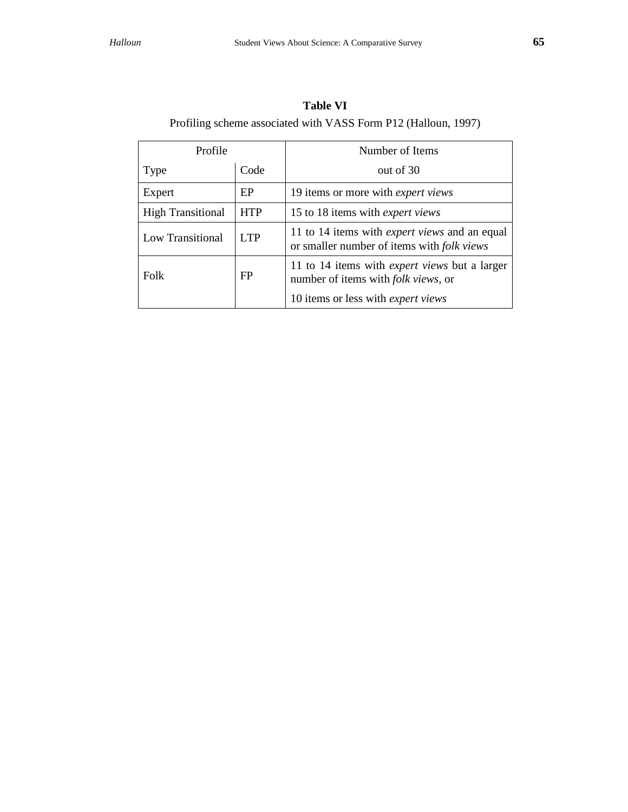| Profile                  |            | Number of Items                                                                                           |  |  |
|--------------------------|------------|-----------------------------------------------------------------------------------------------------------|--|--|
| Type                     | Code       | out of 30                                                                                                 |  |  |
| Expert                   | EP         | 19 items or more with <i>expert views</i>                                                                 |  |  |
| <b>High Transitional</b> | <b>HTP</b> | 15 to 18 items with <i>expert views</i>                                                                   |  |  |
| Low Transitional         | <b>LTP</b> | 11 to 14 items with <i>expert views</i> and an equal<br>or smaller number of items with <i>folk views</i> |  |  |
| Folk                     | FP         | 11 to 14 items with <i>expert views</i> but a larger<br>number of items with <i>folk views</i> , or       |  |  |
|                          |            | 10 items or less with <i>expert views</i>                                                                 |  |  |

**Table VI** Profiling scheme associated with VASS Form P12 (Halloun, 1997)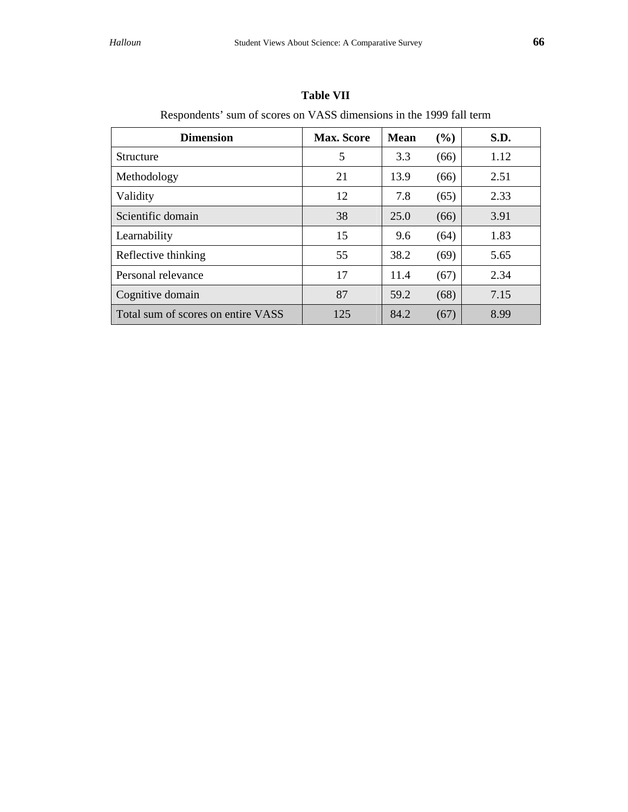| ٠<br>۰.<br>۰. | ٠<br>۰.<br>۰. |
|---------------|---------------|
| I             | I             |
| ۰.<br>×<br>v  | ۰.<br>×<br>v  |

| <b>Dimension</b>                   | <b>Max. Score</b> | <b>Mean</b> | (%)  | S.D. |
|------------------------------------|-------------------|-------------|------|------|
| <b>Structure</b>                   | 5                 | 3.3         | (66) | 1.12 |
| Methodology                        | 21                | 13.9        | (66) | 2.51 |
| Validity                           | 12                | 7.8         | (65) | 2.33 |
| Scientific domain                  | 38                | 25.0        | (66) | 3.91 |
| Learnability                       | 15                | 9.6         | (64) | 1.83 |
| Reflective thinking                | 55                | 38.2        | (69) | 5.65 |
| Personal relevance                 | 17                | 11.4        | (67) | 2.34 |
| Cognitive domain                   | 87                | 59.2        | (68) | 7.15 |
| Total sum of scores on entire VASS | 125               | 84.2        | (67) | 8.99 |

## **Table VII**

Respondents' sum of scores on VASS dimensions in the 1999 fall term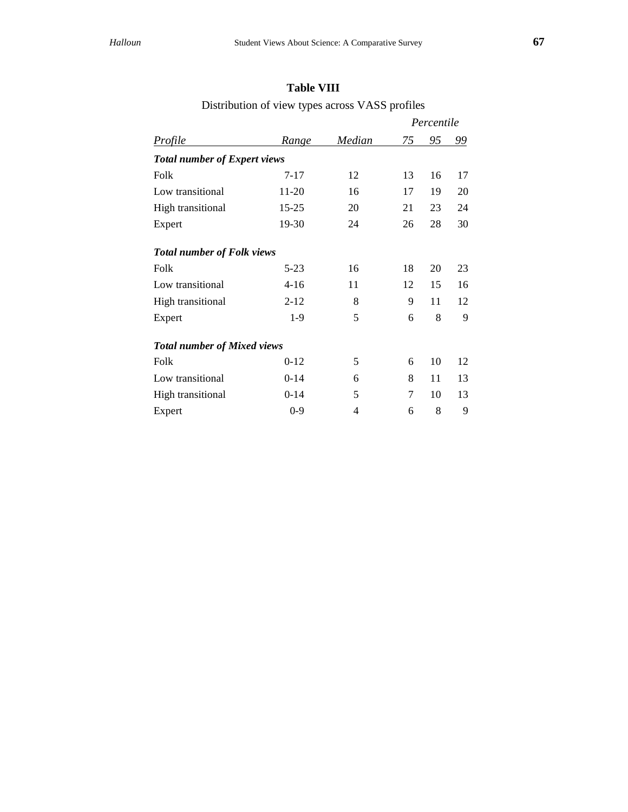## **Table VIII**

Distribution of view types across VASS profiles

|                                     |                                    |        |    | Percentile |    |  |  |  |  |
|-------------------------------------|------------------------------------|--------|----|------------|----|--|--|--|--|
| <b>Profile</b>                      | <u>Range</u>                       | Median | 75 | 95         | 99 |  |  |  |  |
| <b>Total number of Expert views</b> |                                    |        |    |            |    |  |  |  |  |
| Folk                                | $7-17$                             | 12     | 13 | 16         | 17 |  |  |  |  |
| Low transitional                    | 11-20                              | 16     | 17 | 19         | 20 |  |  |  |  |
| <b>High transitional</b>            | $15 - 25$                          | 20     | 21 | 23         | 24 |  |  |  |  |
| Expert                              | 19-30                              | 24     | 26 | 28         | 30 |  |  |  |  |
| <b>Total number of Folk views</b>   |                                    |        |    |            |    |  |  |  |  |
| Folk                                | $5 - 23$                           | 16     | 18 | 20         | 23 |  |  |  |  |
| Low transitional                    | $4 - 16$                           | 11     | 12 | 15         | 16 |  |  |  |  |
| <b>High transitional</b>            | $2 - 12$                           | 8      | 9  | 11         | 12 |  |  |  |  |
| Expert                              | $1-9$                              | 5      | 6  | 8          | 9  |  |  |  |  |
|                                     | <b>Total number of Mixed views</b> |        |    |            |    |  |  |  |  |
| Folk                                | $0 - 12$                           | 5      | 6  | 10         | 12 |  |  |  |  |
| Low transitional                    | $0-14$                             | 6      | 8  | 11         | 13 |  |  |  |  |
| <b>High transitional</b>            | $0-14$                             | 5      | 7  | 10         | 13 |  |  |  |  |
| Expert                              | $0 - 9$                            | 4      | 6  | 8          | 9  |  |  |  |  |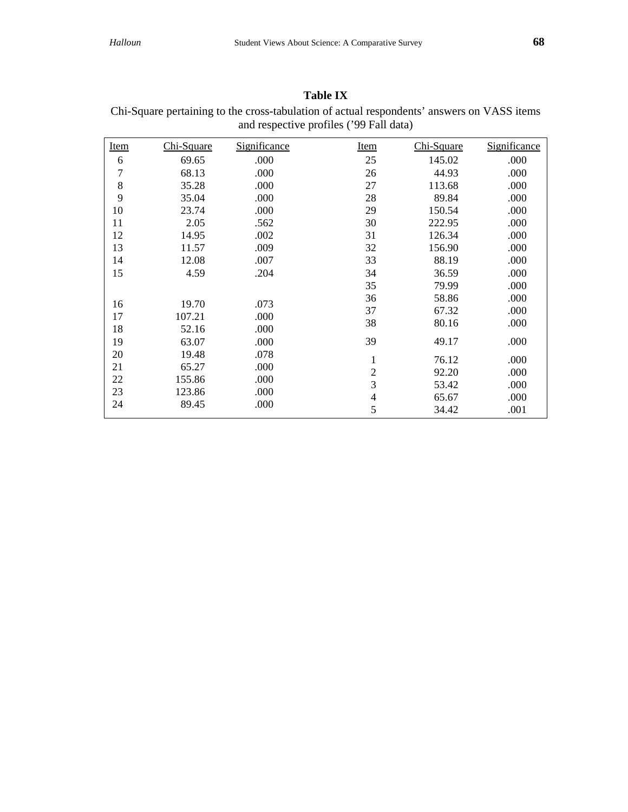| Chi-Square pertaining to the cross-tabulation of actual respondents' answers on VASS items<br>and respective profiles ('99 Fall data) |            |              |                |            |              |  |  |
|---------------------------------------------------------------------------------------------------------------------------------------|------------|--------------|----------------|------------|--------------|--|--|
| <b>Item</b>                                                                                                                           | Chi-Square | Significance | <b>Item</b>    | Chi-Square | Significance |  |  |
| 6                                                                                                                                     | 69.65      | .000         | 25             | 145.02     | .000         |  |  |
| 7                                                                                                                                     | 68.13      | .000         | 26             | 44.93      | .000         |  |  |
| 8                                                                                                                                     | 35.28      | .000         | 27             | 113.68     | .000         |  |  |
| 9                                                                                                                                     | 35.04      | .000         | 28             | 89.84      | .000         |  |  |
| 10                                                                                                                                    | 23.74      | .000         | 29             | 150.54     | .000         |  |  |
| 11                                                                                                                                    | 2.05       | .562         | 30             | 222.95     | .000         |  |  |
| 12                                                                                                                                    | 14.95      | .002         | 31             | 126.34     | .000         |  |  |
| 13                                                                                                                                    | 11.57      | .009         | 32             | 156.90     | .000         |  |  |
| 14                                                                                                                                    | 12.08      | .007         | 33             | 88.19      | .000         |  |  |
| 15                                                                                                                                    | 4.59       | .204         | 34             | 36.59      | .000         |  |  |
|                                                                                                                                       |            |              | 35             | 79.99      | .000         |  |  |
| 16                                                                                                                                    | 19.70      | .073         | 36             | 58.86      | .000         |  |  |
| 17                                                                                                                                    | 107.21     | .000         | 37             | 67.32      | .000         |  |  |
| 18                                                                                                                                    | 52.16      | .000         | 38             | 80.16      | .000         |  |  |
| 19                                                                                                                                    | 63.07      | .000         | 39             | 49.17      | .000         |  |  |
| 20                                                                                                                                    | 19.48      | .078         | 1              | 76.12      | .000         |  |  |
| 21                                                                                                                                    | 65.27      | .000         | $\overline{2}$ | 92.20      | .000         |  |  |
| 22                                                                                                                                    | 155.86     | .000         | $\overline{3}$ | 53.42      | .000         |  |  |
| 23                                                                                                                                    | 123.86     | .000         | $\overline{4}$ | 65.67      | .000         |  |  |
| 24                                                                                                                                    | 89.45      | .000         | 5              | 34.42      | .001         |  |  |

**Table IX**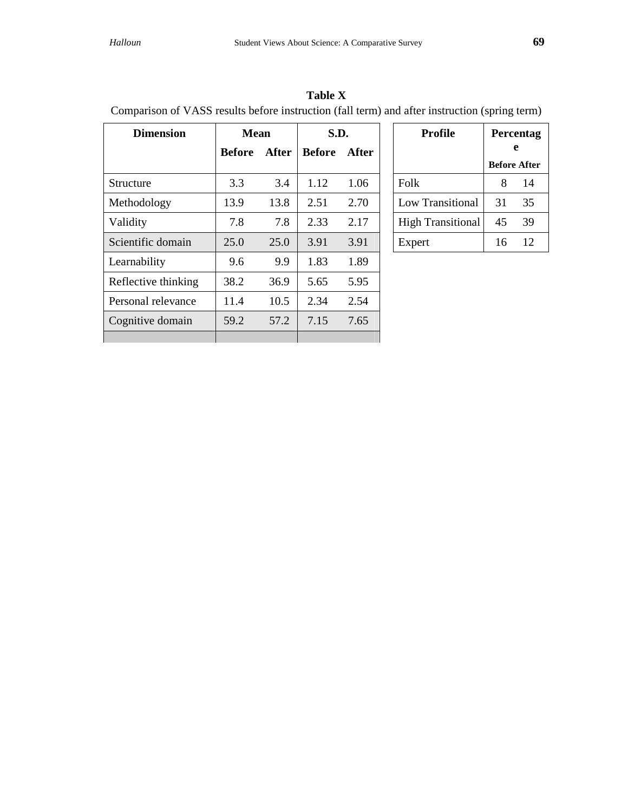| a) and after instruction (spring term) |                     |    |  |  |  |  |
|----------------------------------------|---------------------|----|--|--|--|--|
| Profile                                | Percentag           |    |  |  |  |  |
|                                        | <b>Before After</b> |    |  |  |  |  |
| Folk                                   |                     | 14 |  |  |  |  |
| Low Transitional                       | 31                  | 35 |  |  |  |  |
| <b>High Transitional</b>               | 45                  | 39 |  |  |  |  |
|                                        |                     |    |  |  |  |  |

| <b>Table X</b>                                                                                |  |
|-----------------------------------------------------------------------------------------------|--|
| Comparison of VASS results before instruction (fall term) and after instruction (spring term) |  |

| <b>Dimension</b>    | <b>Mean</b>   |       | S.D.          |       |
|---------------------|---------------|-------|---------------|-------|
|                     | <b>Before</b> | After | <b>Before</b> | After |
|                     |               |       |               |       |
| Structure           | 3.3           | 3.4   | 1.12          | 1.06  |
| Methodology         | 13.9          | 13.8  | 2.51          | 2.70  |
| Validity            | 7.8           | 7.8   | 2.33          | 2.17  |
| Scientific domain   | 25.0          | 25.0  | 3.91          | 3.91  |
| Learnability        | 9.6           | 9.9   | 1.83          | 1.89  |
| Reflective thinking | 38.2          | 36.9  | 5.65          | 5.95  |
| Personal relevance  | 11.4          | 10.5  | 2.34          | 2.54  |
| Cognitive domain    | 59.2          | 57.2  | 7.15          | 7.65  |
|                     |               |       |               |       |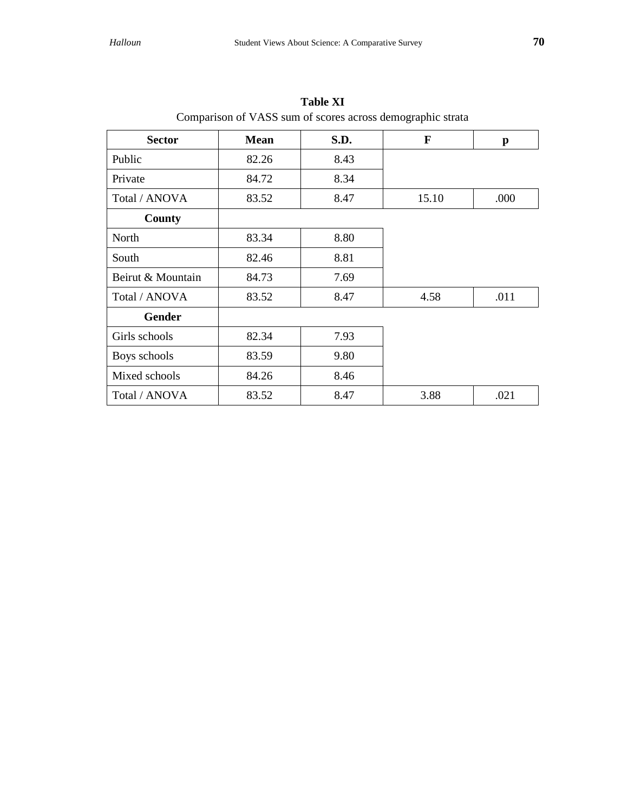| <b>Sector</b>     | <b>Mean</b> | S.D. | $\mathbf{F}$ | $\mathbf{p}$ |
|-------------------|-------------|------|--------------|--------------|
| Public            | 82.26       | 8.43 |              |              |
| Private           | 84.72       | 8.34 |              |              |
| Total / ANOVA     | 83.52       | 8.47 | 15.10        | .000         |
| County            |             |      |              |              |
| North             | 83.34       | 8.80 |              |              |
| South             | 82.46       | 8.81 |              |              |
| Beirut & Mountain | 84.73       | 7.69 |              |              |
| Total / ANOVA     | 83.52       | 8.47 | 4.58         | .011         |
| <b>Gender</b>     |             |      |              |              |
| Girls schools     | 82.34       | 7.93 |              |              |
| Boys schools      | 83.59       | 9.80 |              |              |
| Mixed schools     | 84.26       | 8.46 |              |              |
| Total / ANOVA     | 83.52       | 8.47 | 3.88         | .021         |

**Table XI** Comparison of VASS sum of scores across demographic strata